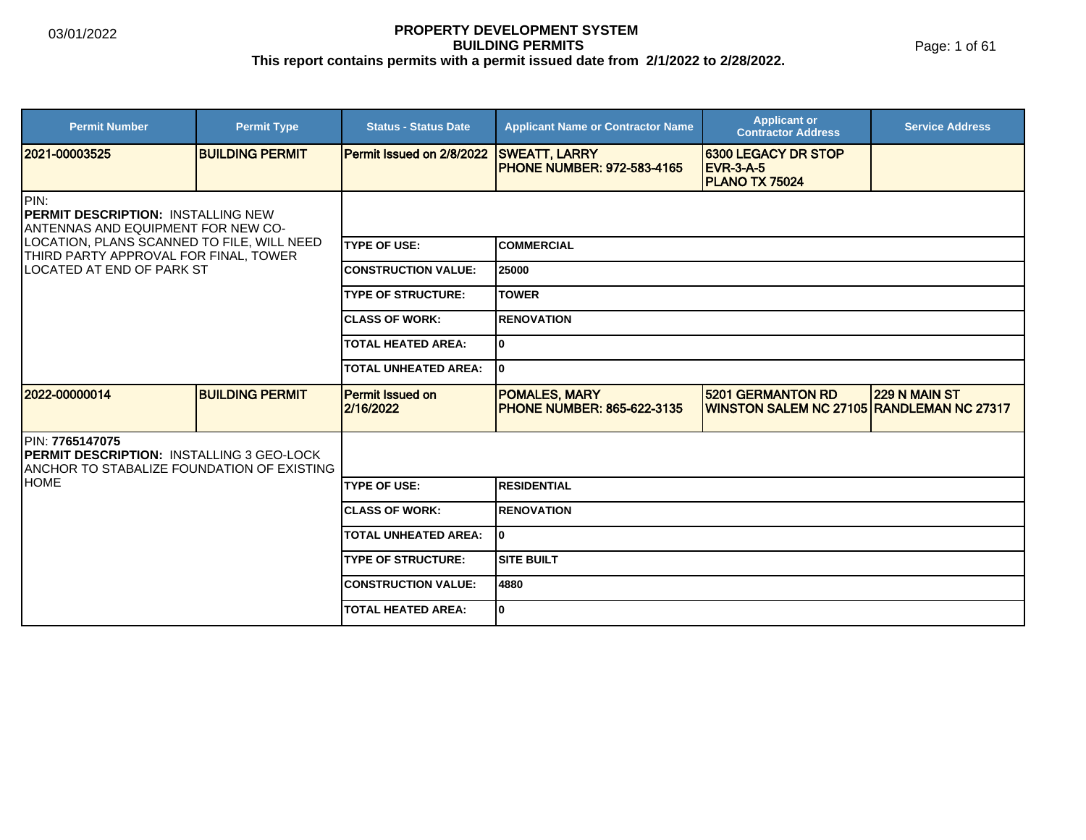#### **PROPERTY DEVELOPMENT SYSTEM BUILDING PERMITS This report contains permits with a permit issued date from 2/1/2022 to 2/28/2022.**

Page: 1 of 61

| <b>Permit Number</b>                                                                                                                                                                                        | <b>Permit Type</b>     | <b>Status - Status Date</b>          | <b>Applicant Name or Contractor Name</b>                  | <b>Applicant or</b><br><b>Contractor Address</b>                        | <b>Service Address</b> |  |
|-------------------------------------------------------------------------------------------------------------------------------------------------------------------------------------------------------------|------------------------|--------------------------------------|-----------------------------------------------------------|-------------------------------------------------------------------------|------------------------|--|
| 2021-00003525                                                                                                                                                                                               | <b>BUILDING PERMIT</b> | Permit Issued on 2/8/2022            | <b>SWEATT, LARRY</b><br><b>PHONE NUMBER: 972-583-4165</b> | <b>6300 LEGACY DR STOP</b><br><b>EVR-3-A-5</b><br><b>PLANO TX 75024</b> |                        |  |
| PIN:<br><b>PERMIT DESCRIPTION: INSTALLING NEW</b><br>ANTENNAS AND EQUIPMENT FOR NEW CO-<br>LOCATION, PLANS SCANNED TO FILE, WILL NEED<br>THIRD PARTY APPROVAL FOR FINAL, TOWER<br>LOCATED AT END OF PARK ST |                        |                                      |                                                           |                                                                         |                        |  |
|                                                                                                                                                                                                             |                        | <b>TYPE OF USE:</b>                  | <b>COMMERCIAL</b>                                         |                                                                         |                        |  |
|                                                                                                                                                                                                             |                        | <b>CONSTRUCTION VALUE:</b>           | 25000                                                     |                                                                         |                        |  |
|                                                                                                                                                                                                             |                        | <b>TYPE OF STRUCTURE:</b>            | <b>TOWER</b>                                              |                                                                         |                        |  |
|                                                                                                                                                                                                             |                        | <b>CLASS OF WORK:</b>                | <b>RENOVATION</b>                                         |                                                                         |                        |  |
|                                                                                                                                                                                                             |                        | <b>TOTAL HEATED AREA:</b>            | 0                                                         |                                                                         |                        |  |
|                                                                                                                                                                                                             |                        | <b>TOTAL UNHEATED AREA:</b>          | 0                                                         |                                                                         |                        |  |
| 2022-00000014                                                                                                                                                                                               | <b>BUILDING PERMIT</b> | <b>Permit Issued on</b><br>2/16/2022 | <b>POMALES, MARY</b><br><b>PHONE NUMBER: 865-622-3135</b> | 5201 GERMANTON RD<br>WINSTON SALEM NC 27105 RANDLEMAN NC 27317          | 229 N MAIN ST          |  |
| PIN: 7765147075<br><b>PERMIT DESCRIPTION: INSTALLING 3 GEO-LOCK</b><br>ANCHOR TO STABALIZE FOUNDATION OF EXISTING                                                                                           |                        |                                      |                                                           |                                                                         |                        |  |
| <b>HOME</b>                                                                                                                                                                                                 |                        | <b>TYPE OF USE:</b>                  | <b>RESIDENTIAL</b>                                        |                                                                         |                        |  |
|                                                                                                                                                                                                             |                        | <b>CLASS OF WORK:</b>                | <b>RENOVATION</b>                                         |                                                                         |                        |  |
|                                                                                                                                                                                                             |                        | <b>TOTAL UNHEATED AREA:</b>          | 0                                                         |                                                                         |                        |  |
|                                                                                                                                                                                                             |                        | <b>TYPE OF STRUCTURE:</b>            | <b>SITE BUILT</b>                                         |                                                                         |                        |  |
|                                                                                                                                                                                                             |                        | <b>CONSTRUCTION VALUE:</b>           | 4880                                                      |                                                                         |                        |  |
|                                                                                                                                                                                                             |                        | <b>TOTAL HEATED AREA:</b>            | 0                                                         |                                                                         |                        |  |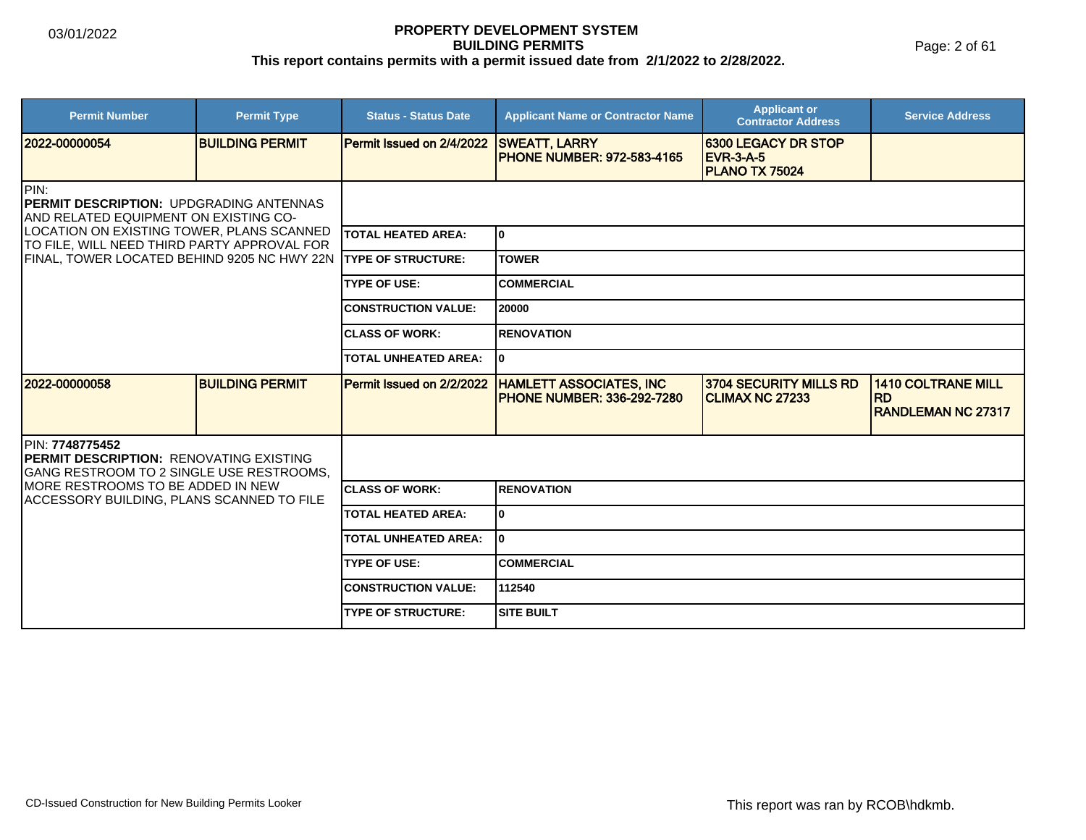Page: 2 of 61

| <b>Permit Number</b>                                                                                           | <b>Permit Type</b>     | <b>Status - Status Date</b> | <b>Applicant Name or Contractor Name</b>                            | <b>Applicant or</b><br><b>Contractor Address</b>                 | <b>Service Address</b>                                              |  |
|----------------------------------------------------------------------------------------------------------------|------------------------|-----------------------------|---------------------------------------------------------------------|------------------------------------------------------------------|---------------------------------------------------------------------|--|
| 2022-00000054                                                                                                  | <b>BUILDING PERMIT</b> | Permit Issued on 2/4/2022   | <b>SWEATT, LARRY</b><br><b>PHONE NUMBER: 972-583-4165</b>           | <b>6300 LEGACY DR STOP</b><br><b>EVR-3-A-5</b><br>PLANO TX 75024 |                                                                     |  |
| PIN:<br>PERMIT DESCRIPTION: UPDGRADING ANTENNAS<br>AND RELATED EQUIPMENT ON EXISTING CO-                       |                        |                             |                                                                     |                                                                  |                                                                     |  |
| LOCATION ON EXISTING TOWER, PLANS SCANNED<br>TO FILE, WILL NEED THIRD PARTY APPROVAL FOR                       |                        | <b>TOTAL HEATED AREA:</b>   | ١o                                                                  |                                                                  |                                                                     |  |
| FINAL, TOWER LOCATED BEHIND 9205 NC HWY 22N TYPE OF STRUCTURE:                                                 |                        |                             | <b>TOWER</b>                                                        |                                                                  |                                                                     |  |
|                                                                                                                |                        | <b>TYPE OF USE:</b>         | <b>COMMERCIAL</b>                                                   |                                                                  |                                                                     |  |
|                                                                                                                |                        | <b>CONSTRUCTION VALUE:</b>  | 20000                                                               |                                                                  |                                                                     |  |
|                                                                                                                |                        | <b>ICLASS OF WORK:</b>      | <b>RENOVATION</b>                                                   |                                                                  |                                                                     |  |
|                                                                                                                |                        |                             | I٥                                                                  |                                                                  |                                                                     |  |
| 2022-00000058                                                                                                  | <b>BUILDING PERMIT</b> | Permit Issued on 2/2/2022   | <b>HAMLETT ASSOCIATES, INC</b><br><b>PHONE NUMBER: 336-292-7280</b> | 3704 SECURITY MILLS RD<br><b>CLIMAX NC 27233</b>                 | <b>1410 COLTRANE MILL</b><br><b>RD</b><br><b>RANDLEMAN NC 27317</b> |  |
| PIN: 7748775452<br><b>PERMIT DESCRIPTION: RENOVATING EXISTING</b><br>IGANG RESTROOM TO 2 SINGLE USE RESTROOMS. |                        |                             |                                                                     |                                                                  |                                                                     |  |
| MORE RESTROOMS TO BE ADDED IN NEW<br>ACCESSORY BUILDING, PLANS SCANNED TO FILE                                 |                        | <b>ICLASS OF WORK:</b>      | <b>RENOVATION</b>                                                   |                                                                  |                                                                     |  |
|                                                                                                                |                        | <b>TOTAL HEATED AREA:</b>   | ١o                                                                  |                                                                  |                                                                     |  |
|                                                                                                                |                        | <b>TOTAL UNHEATED AREA:</b> | ۱O.                                                                 |                                                                  |                                                                     |  |
|                                                                                                                |                        | <b>TYPE OF USE:</b>         | <b>COMMERCIAL</b>                                                   |                                                                  |                                                                     |  |
|                                                                                                                |                        | <b>CONSTRUCTION VALUE:</b>  | 112540                                                              |                                                                  |                                                                     |  |
|                                                                                                                |                        | <b>TYPE OF STRUCTURE:</b>   | <b>SITE BUILT</b>                                                   |                                                                  |                                                                     |  |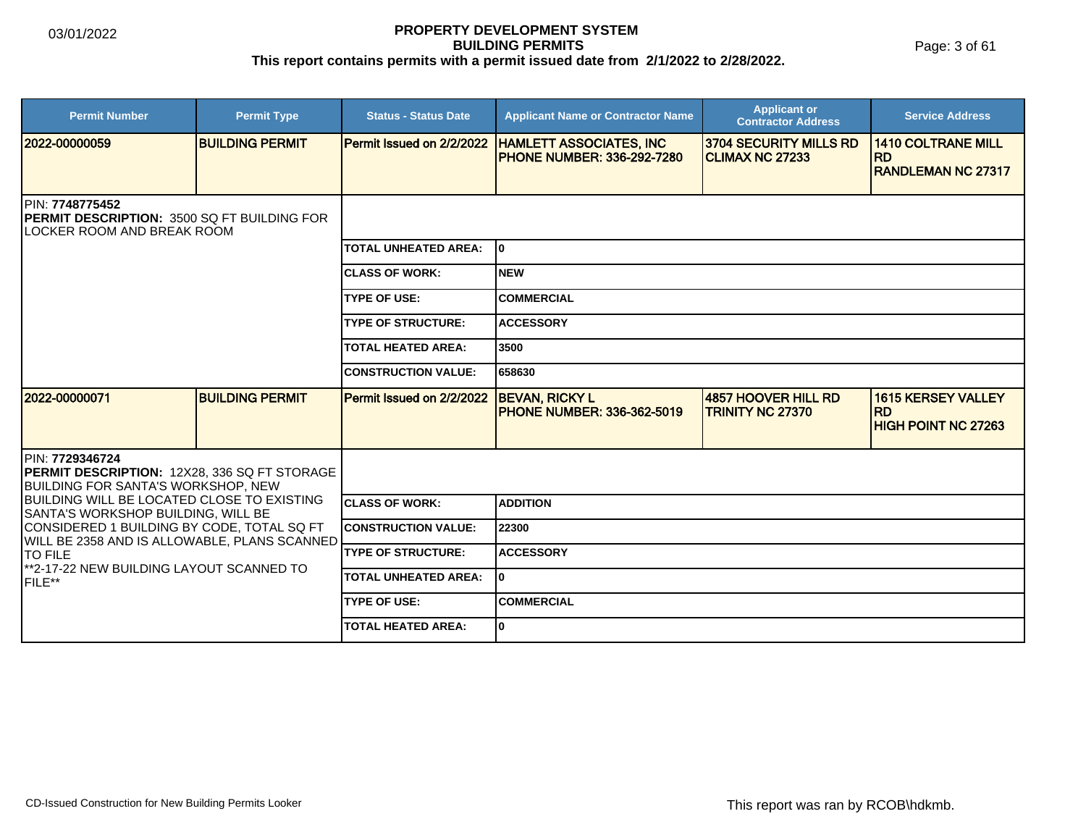Page: 3 of 61

| <b>Permit Number</b>                                                                                                        | <b>Permit Type</b>     | <b>Status - Status Date</b> | <b>Applicant Name or Contractor Name</b>                             | <b>Applicant or</b><br><b>Contractor Address</b>        | <b>Service Address</b>                                               |  |
|-----------------------------------------------------------------------------------------------------------------------------|------------------------|-----------------------------|----------------------------------------------------------------------|---------------------------------------------------------|----------------------------------------------------------------------|--|
| 2022-00000059                                                                                                               | <b>BUILDING PERMIT</b> | Permit Issued on 2/2/2022   | <b>HAMLETT ASSOCIATES, INC</b><br><b>IPHONE NUMBER: 336-292-7280</b> | <b>3704 SECURITY MILLS RD</b><br><b>CLIMAX NC 27233</b> | <b>1410 COLTRANE MILL</b><br><b>RD</b><br><b>RANDLEMAN NC 27317</b>  |  |
| PIN: 7748775452<br><b>PERMIT DESCRIPTION: 3500 SQ FT BUILDING FOR</b><br><b>ILOCKER ROOM AND BREAK ROOM</b>                 |                        |                             |                                                                      |                                                         |                                                                      |  |
|                                                                                                                             |                        | <b>TOTAL UNHEATED AREA:</b> | lo.                                                                  |                                                         |                                                                      |  |
|                                                                                                                             |                        | <b>CLASS OF WORK:</b>       | Inew                                                                 |                                                         |                                                                      |  |
|                                                                                                                             |                        | <b>TYPE OF USE:</b>         | <b>COMMERCIAL</b>                                                    |                                                         |                                                                      |  |
|                                                                                                                             |                        | <b>TYPE OF STRUCTURE:</b>   | <b>ACCESSORY</b>                                                     |                                                         |                                                                      |  |
|                                                                                                                             |                        | <b>TOTAL HEATED AREA:</b>   | 3500                                                                 |                                                         |                                                                      |  |
|                                                                                                                             |                        | <b>CONSTRUCTION VALUE:</b>  | 658630                                                               |                                                         |                                                                      |  |
| 12022-00000071                                                                                                              | <b>BUILDING PERMIT</b> | Permit Issued on 2/2/2022   | <b>BEVAN, RICKY L</b><br><b>PHONE NUMBER: 336-362-5019</b>           | 4857 HOOVER HILL RD<br><b>TRINITY NC 27370</b>          | <b>1615 KERSEY VALLEY</b><br><b>RD</b><br><b>HIGH POINT NC 27263</b> |  |
| <b>IPIN: 7729346724</b><br><b>PERMIT DESCRIPTION: 12X28, 336 SQ FT STORAGE</b><br><b>BUILDING FOR SANTA'S WORKSHOP, NEW</b> |                        |                             |                                                                      |                                                         |                                                                      |  |
| <b>BUILDING WILL BE LOCATED CLOSE TO EXISTING</b><br>SANTA'S WORKSHOP BUILDING, WILL BE                                     |                        | <b>CLASS OF WORK:</b>       | <b>ADDITION</b>                                                      |                                                         |                                                                      |  |
| CONSIDERED 1 BUILDING BY CODE, TOTAL SQ FT<br>WILL BE 2358 AND IS ALLOWABLE, PLANS SCANNED                                  |                        | <b>CONSTRUCTION VALUE:</b>  | 22300                                                                |                                                         |                                                                      |  |
| <b>TO FILE</b>                                                                                                              |                        | <b>TYPE OF STRUCTURE:</b>   | <b>ACCESSORY</b>                                                     |                                                         |                                                                      |  |
| **2-17-22 NEW BUILDING LAYOUT SCANNED TO<br><b>IFILE**</b>                                                                  |                        | <b>TOTAL UNHEATED AREA:</b> | I٥                                                                   |                                                         |                                                                      |  |
|                                                                                                                             |                        | <b>TYPE OF USE:</b>         | <b>COMMERCIAL</b>                                                    |                                                         |                                                                      |  |
|                                                                                                                             |                        | <b>TOTAL HEATED AREA:</b>   | I٥                                                                   |                                                         |                                                                      |  |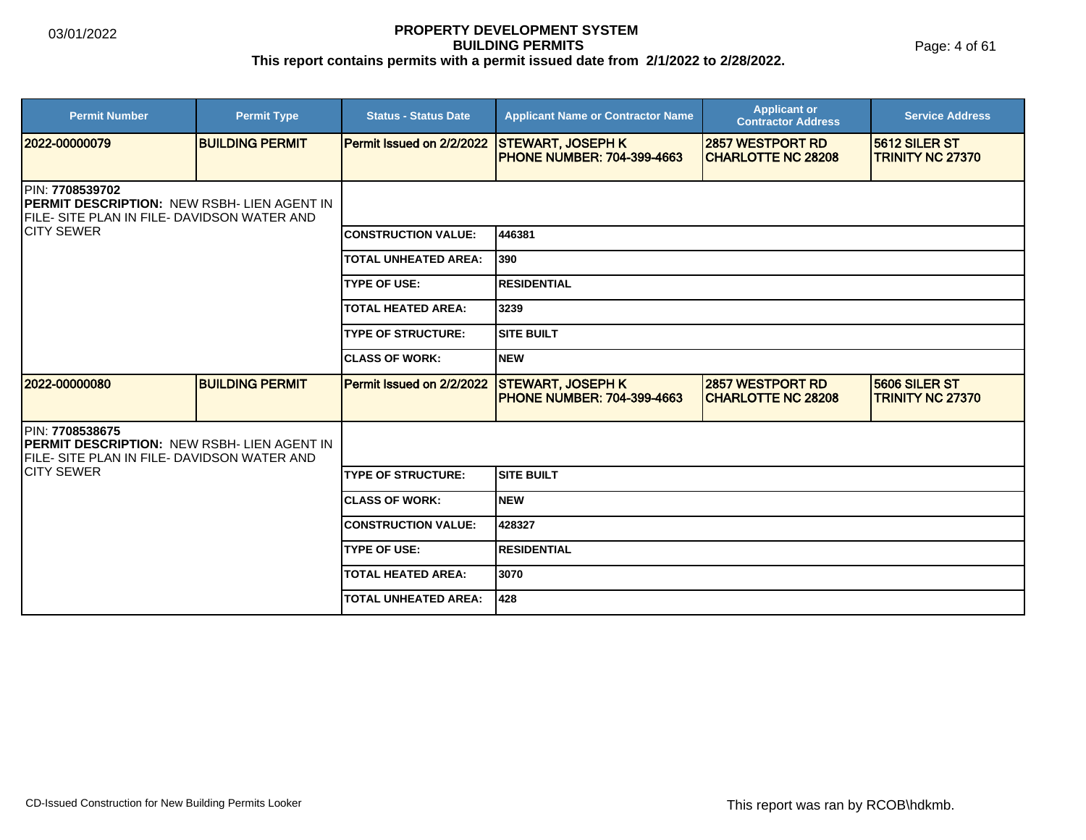Page: 4 of 61

| <b>Permit Number</b>                                                                                                          | <b>Permit Type</b>     | <b>Status - Status Date</b>      | <b>Applicant Name or Contractor Name</b>                      | <b>Applicant or</b><br><b>Contractor Address</b>     | <b>Service Address</b>                          |  |
|-------------------------------------------------------------------------------------------------------------------------------|------------------------|----------------------------------|---------------------------------------------------------------|------------------------------------------------------|-------------------------------------------------|--|
| 12022-00000079                                                                                                                | <b>BUILDING PERMIT</b> | <b>Permit Issued on 2/2/2022</b> | <b>STEWART, JOSEPH K</b><br><b>PHONE NUMBER: 704-399-4663</b> | <b>2857 WESTPORT RD</b><br><b>CHARLOTTE NC 28208</b> | 5612 SILER ST<br><b>TRINITY NC 27370</b>        |  |
| <b>IPIN: 7708539702</b><br><b>IPERMIT DESCRIPTION: NEW RSBH- LIEN AGENT IN</b><br>FILE- SITE PLAN IN FILE- DAVIDSON WATER AND |                        |                                  |                                                               |                                                      |                                                 |  |
| <b>ICITY SEWER</b>                                                                                                            |                        | <b>CONSTRUCTION VALUE:</b>       | 446381                                                        |                                                      |                                                 |  |
|                                                                                                                               |                        | <b>TOTAL UNHEATED AREA:</b>      | 390                                                           |                                                      |                                                 |  |
|                                                                                                                               |                        | <b>TYPE OF USE:</b>              | <b>RESIDENTIAL</b>                                            |                                                      |                                                 |  |
|                                                                                                                               |                        | <b>TOTAL HEATED AREA:</b>        | 3239                                                          |                                                      |                                                 |  |
|                                                                                                                               |                        | <b>TYPE OF STRUCTURE:</b>        | <b>SITE BUILT</b>                                             |                                                      |                                                 |  |
|                                                                                                                               |                        | <b>ICLASS OF WORK:</b>           | <b>NEW</b>                                                    |                                                      |                                                 |  |
| 2022-00000080                                                                                                                 | <b>BUILDING PERMIT</b> | Permit Issued on 2/2/2022        | <b>STEWART, JOSEPH K</b><br><b>PHONE NUMBER: 704-399-4663</b> | <b>2857 WESTPORT RD</b><br><b>CHARLOTTE NC 28208</b> | <b>5606 SILER ST</b><br><b>TRINITY NC 27370</b> |  |
| PIN: 7708538675<br><b>IPERMIT DESCRIPTION: NEW RSBH- LIEN AGENT IN</b><br><b>IFILE- SITE PLAN IN FILE- DAVIDSON WATER AND</b> |                        |                                  |                                                               |                                                      |                                                 |  |
| <b>ICITY SEWER</b>                                                                                                            |                        | <b>TYPE OF STRUCTURE:</b>        | <b>SITE BUILT</b>                                             |                                                      |                                                 |  |
|                                                                                                                               |                        | <b>CLASS OF WORK:</b>            | <b>NEW</b>                                                    |                                                      |                                                 |  |
|                                                                                                                               |                        | <b>CONSTRUCTION VALUE:</b>       | 428327                                                        |                                                      |                                                 |  |
|                                                                                                                               |                        | <b>TYPE OF USE:</b>              | <b>RESIDENTIAL</b>                                            |                                                      |                                                 |  |
|                                                                                                                               |                        | <b>TOTAL HEATED AREA:</b>        | 3070                                                          |                                                      |                                                 |  |
|                                                                                                                               |                        | <b>TOTAL UNHEATED AREA:</b>      | 428                                                           |                                                      |                                                 |  |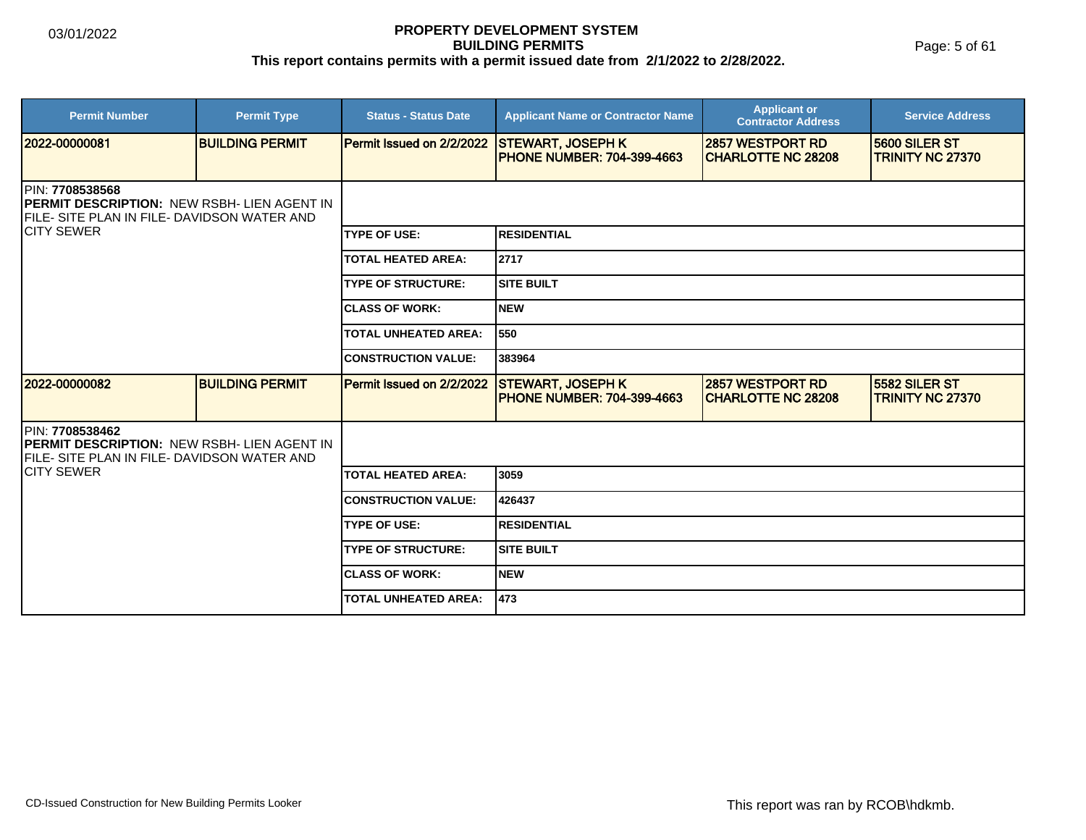Page: 5 of 61

| <b>Permit Number</b>                                                                                                                  | <b>Permit Type</b>     | <b>Status - Status Date</b> | <b>Applicant Name or Contractor Name</b>                       | <b>Applicant or</b><br><b>Contractor Address</b>      | <b>Service Address</b>                   |  |
|---------------------------------------------------------------------------------------------------------------------------------------|------------------------|-----------------------------|----------------------------------------------------------------|-------------------------------------------------------|------------------------------------------|--|
| 2022-00000081                                                                                                                         | <b>BUILDING PERMIT</b> | Permit Issued on 2/2/2022   | <b>STEWART, JOSEPH K</b><br><b>PHONE NUMBER: 704-399-4663</b>  | 2857 WESTPORT RD<br><b>CHARLOTTE NC 28208</b>         | 5600 SILER ST<br><b>TRINITY NC 27370</b> |  |
| <b>IPIN: 7708538568</b><br><b>IPERMIT DESCRIPTION: NEW RSBH- LIEN AGENT IN</b><br><b>IFILE- SITE PLAN IN FILE- DAVIDSON WATER AND</b> |                        |                             |                                                                |                                                       |                                          |  |
| <b>ICITY SEWER</b>                                                                                                                    |                        | <b>TYPE OF USE:</b>         | <b>RESIDENTIAL</b>                                             |                                                       |                                          |  |
|                                                                                                                                       |                        | <b>TOTAL HEATED AREA:</b>   | 2717                                                           |                                                       |                                          |  |
|                                                                                                                                       |                        | <b>TYPE OF STRUCTURE:</b>   | <b>SITE BUILT</b>                                              |                                                       |                                          |  |
|                                                                                                                                       |                        | <b>ICLASS OF WORK:</b>      | <b>NEW</b>                                                     |                                                       |                                          |  |
|                                                                                                                                       |                        | <b>TOTAL UNHEATED AREA:</b> | 550                                                            |                                                       |                                          |  |
|                                                                                                                                       |                        | <b>CONSTRUCTION VALUE:</b>  | 383964                                                         |                                                       |                                          |  |
| 12022-00000082                                                                                                                        | <b>BUILDING PERMIT</b> | Permit Issued on 2/2/2022   | <b>STEWART, JOSEPH K</b><br><b>IPHONE NUMBER: 704-399-4663</b> | <b>2857 WESTPORT RD</b><br><b>ICHARLOTTE NC 28208</b> | 5582 SILER ST<br><b>TRINITY NC 27370</b> |  |
| <b>IPIN: 7708538462</b><br><b>IPERMIT DESCRIPTION: NEW RSBH- LIEN AGENT IN</b><br><b>IFILE- SITE PLAN IN FILE- DAVIDSON WATER AND</b> |                        |                             |                                                                |                                                       |                                          |  |
| <b>ICITY SEWER</b>                                                                                                                    |                        | <b>TOTAL HEATED AREA:</b>   | 3059                                                           |                                                       |                                          |  |
|                                                                                                                                       |                        | <b>CONSTRUCTION VALUE:</b>  | 426437                                                         |                                                       |                                          |  |
|                                                                                                                                       |                        | <b>TYPE OF USE:</b>         | <b>RESIDENTIAL</b>                                             |                                                       |                                          |  |
|                                                                                                                                       |                        | <b>TYPE OF STRUCTURE:</b>   | <b>SITE BUILT</b>                                              |                                                       |                                          |  |
|                                                                                                                                       |                        | <b>ICLASS OF WORK:</b>      | <b>INEW</b>                                                    |                                                       |                                          |  |
|                                                                                                                                       |                        | <b>TOTAL UNHEATED AREA:</b> | 473                                                            |                                                       |                                          |  |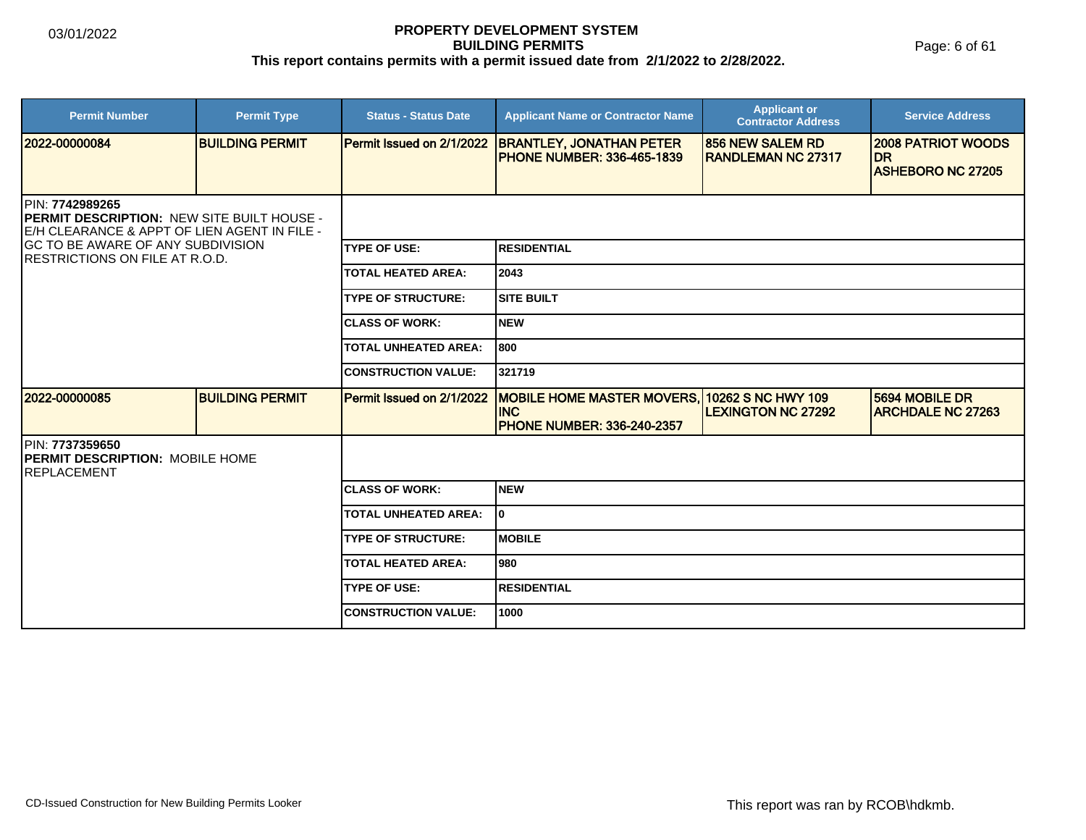Page: 6 of 61

| <b>Permit Number</b>                                                                                                                                                                                       | <b>Permit Type</b>     | <b>Status - Status Date</b> | <b>Applicant Name or Contractor Name</b>                                                         | <b>Applicant or</b><br><b>Contractor Address</b>      | <b>Service Address</b>                                             |  |
|------------------------------------------------------------------------------------------------------------------------------------------------------------------------------------------------------------|------------------------|-----------------------------|--------------------------------------------------------------------------------------------------|-------------------------------------------------------|--------------------------------------------------------------------|--|
| 2022-00000084                                                                                                                                                                                              | <b>BUILDING PERMIT</b> | Permit Issued on 2/1/2022   | <b>BRANTLEY, JONATHAN PETER</b><br><b>PHONE NUMBER: 336-465-1839</b>                             | <b>856 NEW SALEM RD</b><br><b>IRANDLEMAN NC 27317</b> | <b>2008 PATRIOT WOODS</b><br><b>DR</b><br><b>ASHEBORO NC 27205</b> |  |
|                                                                                                                                                                                                            |                        |                             |                                                                                                  |                                                       |                                                                    |  |
| PIN: 7742989265<br><b>IPERMIT DESCRIPTION: NEW SITE BUILT HOUSE -</b><br>E/H CLEARANCE & APPT OF LIEN AGENT IN FILE -<br><b>GC TO BE AWARE OF ANY SUBDIVISION</b><br><b>RESTRICTIONS ON FILE AT R.O.D.</b> |                        |                             |                                                                                                  |                                                       |                                                                    |  |
|                                                                                                                                                                                                            |                        | <b>ITYPE OF USE:</b>        | <b>RESIDENTIAL</b>                                                                               |                                                       |                                                                    |  |
|                                                                                                                                                                                                            |                        | <b>TOTAL HEATED AREA:</b>   | 2043 ا                                                                                           |                                                       |                                                                    |  |
|                                                                                                                                                                                                            |                        | <b>TYPE OF STRUCTURE:</b>   | <b>SITE BUILT</b>                                                                                |                                                       |                                                                    |  |
|                                                                                                                                                                                                            |                        | <b>ICLASS OF WORK:</b>      | Inew                                                                                             |                                                       |                                                                    |  |
|                                                                                                                                                                                                            |                        | <b>TOTAL UNHEATED AREA:</b> | 1800                                                                                             |                                                       |                                                                    |  |
|                                                                                                                                                                                                            |                        | <b>CONSTRUCTION VALUE:</b>  | 321719                                                                                           |                                                       |                                                                    |  |
| 2022-00000085                                                                                                                                                                                              | <b>BUILDING PERMIT</b> | Permit Issued on 2/1/2022   | MOBILE HOME MASTER MOVERS, 10262 S NC HWY 109<br><b>INC</b><br><b>PHONE NUMBER: 336-240-2357</b> | <b>LEXINGTON NC 27292</b>                             | 5694 MOBILE DR<br><b>ARCHDALE NC 27263</b>                         |  |
| PIN: 7737359650<br><b>PERMIT DESCRIPTION: MOBILE HOME</b><br><b>IREPLACEMENT</b>                                                                                                                           |                        |                             |                                                                                                  |                                                       |                                                                    |  |
|                                                                                                                                                                                                            |                        | <b>ICLASS OF WORK:</b>      | <b>NEW</b>                                                                                       |                                                       |                                                                    |  |
|                                                                                                                                                                                                            |                        | <b>TOTAL UNHEATED AREA:</b> | I٥                                                                                               |                                                       |                                                                    |  |
|                                                                                                                                                                                                            |                        | <b>TYPE OF STRUCTURE:</b>   | <b>IMOBILE</b>                                                                                   |                                                       |                                                                    |  |
|                                                                                                                                                                                                            |                        | <b>TOTAL HEATED AREA:</b>   | 980                                                                                              |                                                       |                                                                    |  |
|                                                                                                                                                                                                            |                        | <b>TYPE OF USE:</b>         | <b>RESIDENTIAL</b>                                                                               |                                                       |                                                                    |  |
|                                                                                                                                                                                                            |                        | <b>ICONSTRUCTION VALUE:</b> | 1000                                                                                             |                                                       |                                                                    |  |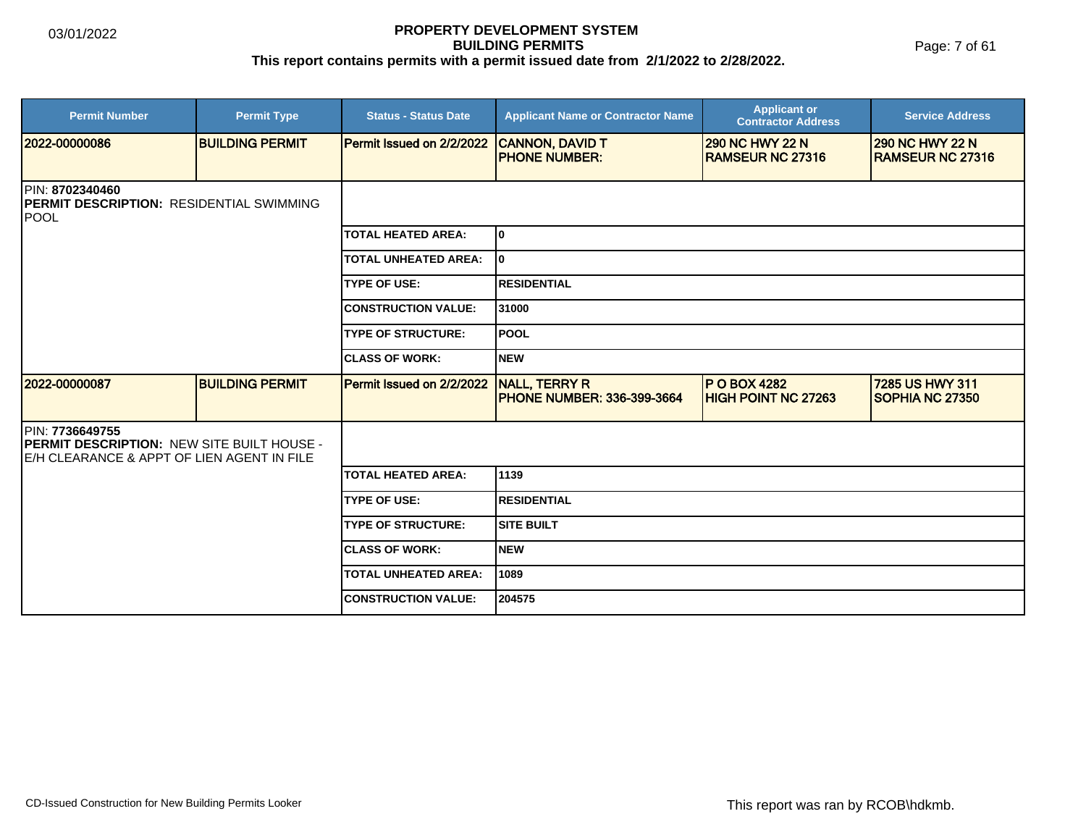Page: 7 of 61

| <b>Permit Number</b>                                                                                                | <b>Permit Type</b>     | <b>Status - Status Date</b> | <b>Applicant Name or Contractor Name</b>                  | <b>Applicant or</b><br><b>Contractor Address</b>  | <b>Service Address</b>                            |
|---------------------------------------------------------------------------------------------------------------------|------------------------|-----------------------------|-----------------------------------------------------------|---------------------------------------------------|---------------------------------------------------|
| 2022-00000086                                                                                                       | <b>BUILDING PERMIT</b> | Permit Issued on 2/2/2022   | <b>CANNON, DAVID T</b><br><b>PHONE NUMBER:</b>            | <b>290 NC HWY 22 N</b><br><b>RAMSEUR NC 27316</b> | <b>290 NC HWY 22 N</b><br><b>RAMSEUR NC 27316</b> |
| PIN: 8702340460<br><b>PERMIT DESCRIPTION: RESIDENTIAL SWIMMING</b><br><b>POOL</b>                                   |                        |                             |                                                           |                                                   |                                                   |
|                                                                                                                     |                        | <b>TOTAL HEATED AREA:</b>   | lo                                                        |                                                   |                                                   |
|                                                                                                                     |                        | <b>TOTAL UNHEATED AREA:</b> | lo                                                        |                                                   |                                                   |
|                                                                                                                     |                        | <b>TYPE OF USE:</b>         | <b>RESIDENTIAL</b>                                        |                                                   |                                                   |
|                                                                                                                     |                        | <b>CONSTRUCTION VALUE:</b>  | 31000                                                     |                                                   |                                                   |
|                                                                                                                     |                        | <b>TYPE OF STRUCTURE:</b>   | lpool                                                     |                                                   |                                                   |
|                                                                                                                     |                        | <b>ICLASS OF WORK:</b>      | Inew                                                      |                                                   |                                                   |
| 12022-00000087                                                                                                      | <b>BUILDING PERMIT</b> | Permit Issued on 2/2/2022   | <b>NALL, TERRY R</b><br><b>PHONE NUMBER: 336-399-3664</b> | <b>P O BOX 4282</b><br><b>HIGH POINT NC 27263</b> | 7285 US HWY 311<br>SOPHIA NC 27350                |
| PIN: 7736649755<br><b>PERMIT DESCRIPTION: NEW SITE BUILT HOUSE -</b><br>IE/H CLEARANCE & APPT OF LIEN AGENT IN FILE |                        |                             |                                                           |                                                   |                                                   |
|                                                                                                                     |                        | <b>TOTAL HEATED AREA:</b>   | 1139                                                      |                                                   |                                                   |
|                                                                                                                     |                        | <b>TYPE OF USE:</b>         | <b>RESIDENTIAL</b>                                        |                                                   |                                                   |
|                                                                                                                     |                        | <b>TYPE OF STRUCTURE:</b>   | <b>SITE BUILT</b>                                         |                                                   |                                                   |
|                                                                                                                     |                        | <b>ICLASS OF WORK:</b>      | Inew                                                      |                                                   |                                                   |
|                                                                                                                     |                        | <b>TOTAL UNHEATED AREA:</b> | 1089                                                      |                                                   |                                                   |
|                                                                                                                     |                        | <b>CONSTRUCTION VALUE:</b>  | 204575                                                    |                                                   |                                                   |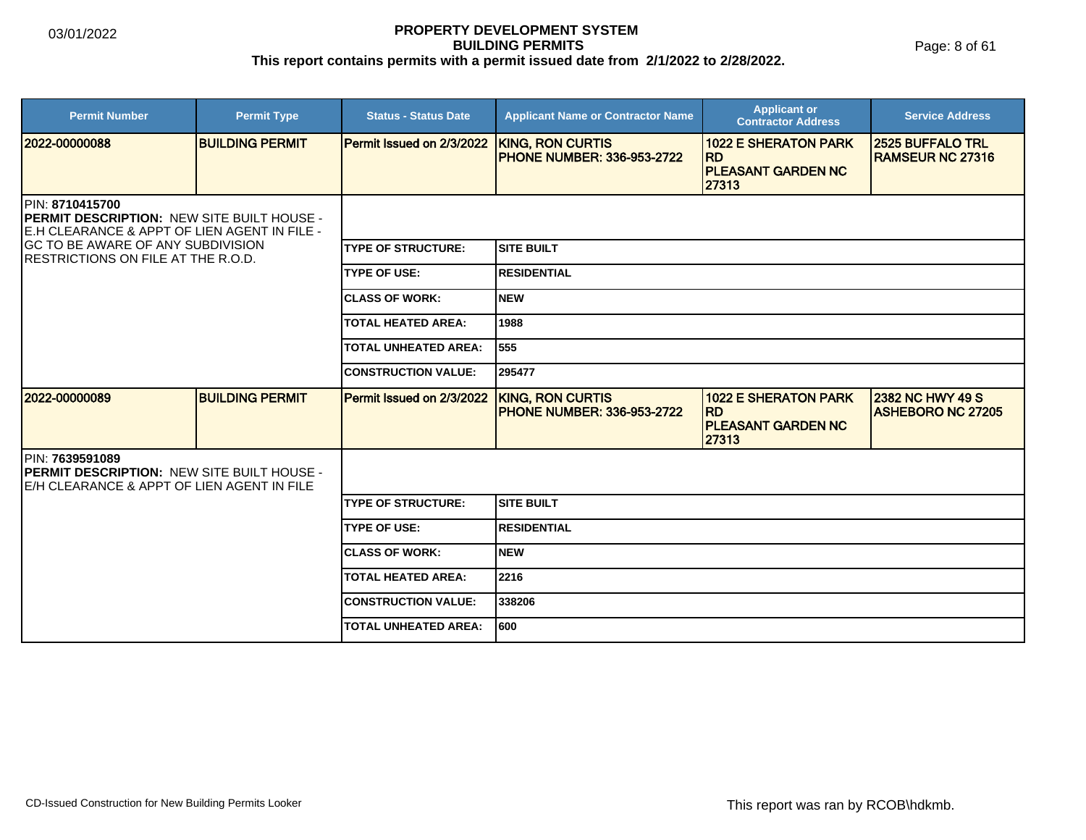Page: 8 of 61

| <b>Permit Number</b>                                                                                                  | <b>Permit Type</b>     | <b>Status - Status Date</b>      | <b>Applicant Name or Contractor Name</b>                     | <b>Applicant or</b><br><b>Contractor Address</b>                               | <b>Service Address</b>                              |  |
|-----------------------------------------------------------------------------------------------------------------------|------------------------|----------------------------------|--------------------------------------------------------------|--------------------------------------------------------------------------------|-----------------------------------------------------|--|
| 2022-00000088                                                                                                         | <b>BUILDING PERMIT</b> | <b>Permit Issued on 2/3/2022</b> | <b>KING, RON CURTIS</b><br><b>PHONE NUMBER: 336-953-2722</b> | <b>1022 E SHERATON PARK</b><br><b>RD</b><br><b>PLEASANT GARDEN NC</b><br>27313 | <b>2525 BUFFALO TRL</b><br><b>RAMSEUR NC 27316</b>  |  |
| <b>IPIN: 8710415700</b><br>PERMIT DESCRIPTION: NEW SITE BUILT HOUSE -<br>E.H CLEARANCE & APPT OF LIEN AGENT IN FILE - |                        |                                  |                                                              |                                                                                |                                                     |  |
| GC TO BE AWARE OF ANY SUBDIVISION<br>IRESTRICTIONS ON FILE AT THE R.O.D.                                              |                        | <b>TYPE OF STRUCTURE:</b>        | <b>SITE BUILT</b>                                            |                                                                                |                                                     |  |
|                                                                                                                       |                        | <b>TYPE OF USE:</b>              | <b>RESIDENTIAL</b>                                           |                                                                                |                                                     |  |
|                                                                                                                       |                        | <b>CLASS OF WORK:</b>            | <b>NEW</b>                                                   |                                                                                |                                                     |  |
|                                                                                                                       |                        | <b>TOTAL HEATED AREA:</b>        | 1988                                                         |                                                                                |                                                     |  |
|                                                                                                                       |                        | <b>TOTAL UNHEATED AREA:</b>      | 555                                                          |                                                                                |                                                     |  |
|                                                                                                                       |                        | <b>CONSTRUCTION VALUE:</b>       | 295477                                                       |                                                                                |                                                     |  |
| 2022-00000089                                                                                                         | <b>BUILDING PERMIT</b> | Permit Issued on 2/3/2022        | <b>KING, RON CURTIS</b><br><b>PHONE NUMBER: 336-953-2722</b> | <b>1022 E SHERATON PARK</b><br><b>RD</b><br><b>PLEASANT GARDEN NC</b><br>27313 | <b>2382 NC HWY 49 S</b><br><b>ASHEBORO NC 27205</b> |  |
| PIN: 7639591089<br>PERMIT DESCRIPTION: NEW SITE BUILT HOUSE -<br>E/H CLEARANCE & APPT OF LIEN AGENT IN FILE           |                        |                                  |                                                              |                                                                                |                                                     |  |
|                                                                                                                       |                        | <b>TYPE OF STRUCTURE:</b>        | <b>SITE BUILT</b>                                            |                                                                                |                                                     |  |
|                                                                                                                       |                        | <b>TYPE OF USE:</b>              | <b>RESIDENTIAL</b>                                           |                                                                                |                                                     |  |
|                                                                                                                       |                        | <b>CLASS OF WORK:</b>            | <b>NEW</b>                                                   |                                                                                |                                                     |  |
|                                                                                                                       |                        | <b>TOTAL HEATED AREA:</b>        | 2216                                                         |                                                                                |                                                     |  |
|                                                                                                                       |                        | <b>CONSTRUCTION VALUE:</b>       | 338206                                                       |                                                                                |                                                     |  |
|                                                                                                                       |                        | <b>TOTAL UNHEATED AREA:</b>      | 600                                                          |                                                                                |                                                     |  |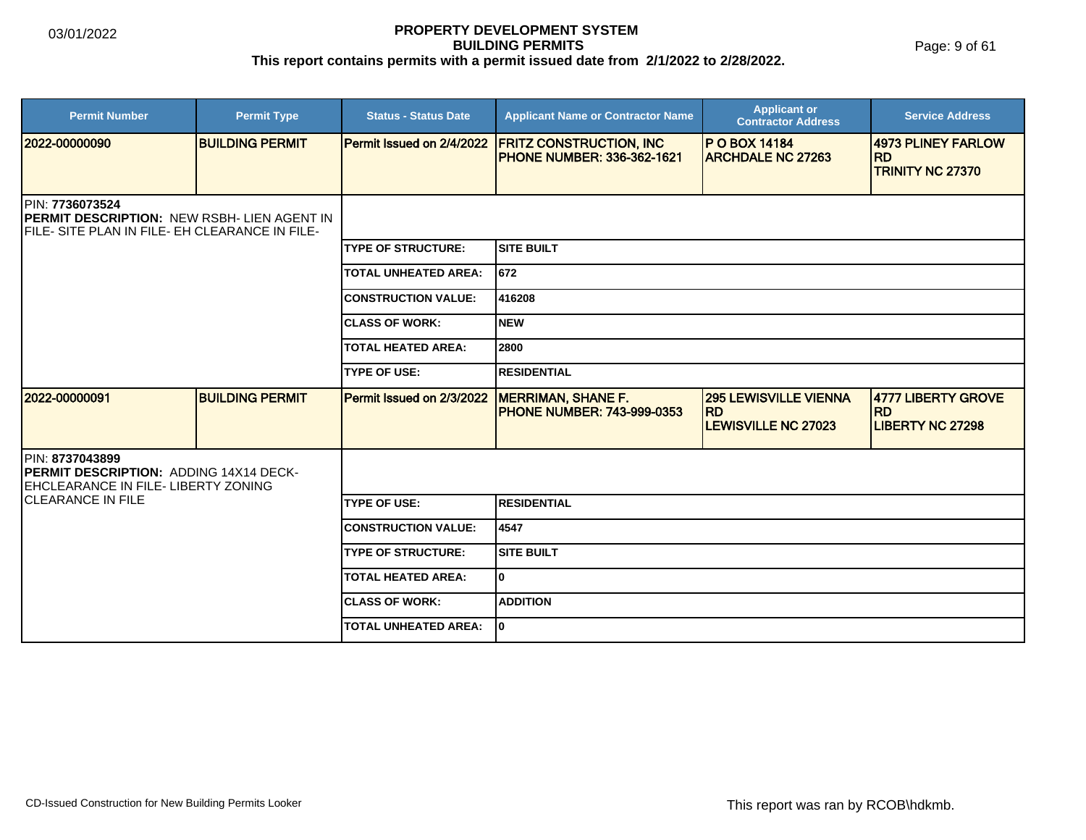Page: 9 of 61

| <b>Permit Number</b>                                                                                             | <b>Permit Type</b>     | <b>Status - Status Date</b>      | <b>Applicant Name or Contractor Name</b>                             | <b>Applicant or</b><br><b>Contractor Address</b>                        | <b>Service Address</b>                                      |  |  |
|------------------------------------------------------------------------------------------------------------------|------------------------|----------------------------------|----------------------------------------------------------------------|-------------------------------------------------------------------------|-------------------------------------------------------------|--|--|
| 2022-00000090                                                                                                    | <b>BUILDING PERMIT</b> | <b>Permit Issued on 2/4/2022</b> | <b>FRITZ CONSTRUCTION, INC</b><br><b>IPHONE NUMBER: 336-362-1621</b> | <b>P O BOX 14184</b><br><b>ARCHDALE NC 27263</b>                        | 4973 PLINEY FARLOW<br><b>IRD</b><br><b>TRINITY NC 27370</b> |  |  |
| PIN: 7736073524<br>PERMIT DESCRIPTION: NEW RSBH- LIEN AGENT IN<br>FILE- SITE PLAN IN FILE- EH CLEARANCE IN FILE- |                        |                                  |                                                                      |                                                                         |                                                             |  |  |
|                                                                                                                  |                        | <b>ITYPE OF STRUCTURE:</b>       | SITE BUILT                                                           |                                                                         |                                                             |  |  |
|                                                                                                                  |                        | <b>TOTAL UNHEATED AREA:</b>      | 672                                                                  |                                                                         |                                                             |  |  |
|                                                                                                                  |                        | <b>CONSTRUCTION VALUE:</b>       | 416208                                                               |                                                                         |                                                             |  |  |
|                                                                                                                  |                        | <b>ICLASS OF WORK:</b>           | Inew                                                                 |                                                                         |                                                             |  |  |
|                                                                                                                  |                        | TOTAL HEATED AREA:               | 2800                                                                 |                                                                         |                                                             |  |  |
|                                                                                                                  |                        | <b>TYPE OF USE:</b>              | <b>RESIDENTIAL</b>                                                   |                                                                         |                                                             |  |  |
| 2022-00000091                                                                                                    | <b>BUILDING PERMIT</b> | Permit Issued on 2/3/2022        | <b>MERRIMAN, SHANE F.</b><br><b>PHONE NUMBER: 743-999-0353</b>       | <b>295 LEWISVILLE VIENNA</b><br><b>RD</b><br><b>LEWISVILLE NC 27023</b> | 4777 LIBERTY GROVE<br><b>RD</b><br><b>LIBERTY NC 27298</b>  |  |  |
| PIN: 8737043899<br>PERMIT DESCRIPTION: ADDING 14X14 DECK-<br><b>IEHCLEARANCE IN FILE- LIBERTY ZONING</b>         |                        |                                  |                                                                      |                                                                         |                                                             |  |  |
| <b>CLEARANCE IN FILE</b>                                                                                         |                        | <b>TYPE OF USE:</b>              | <b>RESIDENTIAL</b>                                                   |                                                                         |                                                             |  |  |
|                                                                                                                  |                        | <b>CONSTRUCTION VALUE:</b>       | 4547                                                                 |                                                                         |                                                             |  |  |
|                                                                                                                  |                        | <b>TYPE OF STRUCTURE:</b>        | <b>SITE BUILT</b>                                                    |                                                                         |                                                             |  |  |
|                                                                                                                  |                        | TOTAL HEATED AREA:               | lo.                                                                  |                                                                         |                                                             |  |  |
|                                                                                                                  |                        | <b>ICLASS OF WORK:</b>           | <b>ADDITION</b>                                                      |                                                                         |                                                             |  |  |
|                                                                                                                  |                        | <b>TOTAL UNHEATED AREA:</b>      | I٥                                                                   |                                                                         |                                                             |  |  |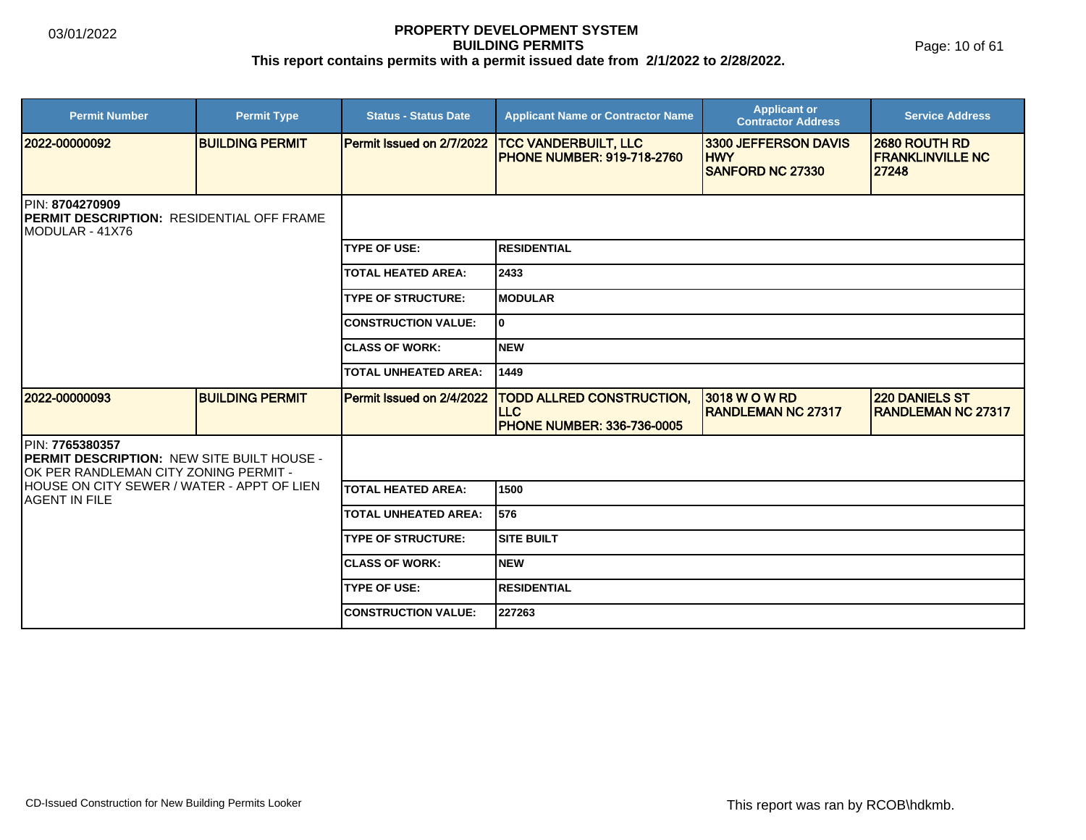Page: 10 of 61

| <b>Permit Number</b>                                                                                          | <b>Permit Type</b>     | <b>Status - Status Date</b> | <b>Applicant Name or Contractor Name</b>                                            | <b>Applicant or</b><br><b>Contractor Address</b>              | <b>Service Address</b>                             |  |
|---------------------------------------------------------------------------------------------------------------|------------------------|-----------------------------|-------------------------------------------------------------------------------------|---------------------------------------------------------------|----------------------------------------------------|--|
| 2022-00000092                                                                                                 | <b>BUILDING PERMIT</b> | Permit Issued on 2/7/2022   | <b>TCC VANDERBUILT, LLC</b><br><b>PHONE NUMBER: 919-718-2760</b>                    | 3300 JEFFERSON DAVIS<br><b>HWY</b><br><b>SANFORD NC 27330</b> | 2680 ROUTH RD<br><b>FRANKLINVILLE NC</b><br>27248  |  |
| <b>IPIN: 8704270909</b><br><b>IPERMIT DESCRIPTION: RESIDENTIAL OFF FRAME</b><br>IMODULAR - 41X76              |                        |                             |                                                                                     |                                                               |                                                    |  |
|                                                                                                               |                        | <b>TYPE OF USE:</b>         | <b>RESIDENTIAL</b>                                                                  |                                                               |                                                    |  |
|                                                                                                               |                        | <b>TOTAL HEATED AREA:</b>   | 2433                                                                                |                                                               |                                                    |  |
|                                                                                                               |                        | <b>TYPE OF STRUCTURE:</b>   | <b>MODULAR</b>                                                                      |                                                               |                                                    |  |
|                                                                                                               |                        | <b>CONSTRUCTION VALUE:</b>  | ۱o.                                                                                 |                                                               |                                                    |  |
|                                                                                                               |                        | <b>ICLASS OF WORK:</b>      | <b>NEW</b>                                                                          |                                                               |                                                    |  |
|                                                                                                               |                        | <b>TOTAL UNHEATED AREA:</b> | 1449                                                                                |                                                               |                                                    |  |
| 2022-00000093                                                                                                 | <b>BUILDING PERMIT</b> | Permit Issued on 2/4/2022   | <b>TODD ALLRED CONSTRUCTION,</b><br><b>LLC</b><br><b>PHONE NUMBER: 336-736-0005</b> | 3018 W O W RD<br><b>RANDLEMAN NC 27317</b>                    | <b>220 DANIELS ST</b><br><b>RANDLEMAN NC 27317</b> |  |
| PIN: 7765380357<br><b>PERMIT DESCRIPTION: NEW SITE BUILT HOUSE -</b><br>OK PER RANDLEMAN CITY ZONING PERMIT - |                        |                             |                                                                                     |                                                               |                                                    |  |
| HOUSE ON CITY SEWER / WATER - APPT OF LIEN<br>IAGENT IN FILE                                                  |                        | <b>TOTAL HEATED AREA:</b>   | 1500                                                                                |                                                               |                                                    |  |
|                                                                                                               |                        | <b>TOTAL UNHEATED AREA:</b> | 576                                                                                 |                                                               |                                                    |  |
|                                                                                                               |                        | <b>TYPE OF STRUCTURE:</b>   | <b>SITE BUILT</b>                                                                   |                                                               |                                                    |  |
|                                                                                                               |                        | <b>ICLASS OF WORK:</b>      | <b>NEW</b>                                                                          |                                                               |                                                    |  |
|                                                                                                               |                        | <b>TYPE OF USE:</b>         | <b>RESIDENTIAL</b>                                                                  |                                                               |                                                    |  |
|                                                                                                               |                        | <b>ICONSTRUCTION VALUE:</b> | 227263                                                                              |                                                               |                                                    |  |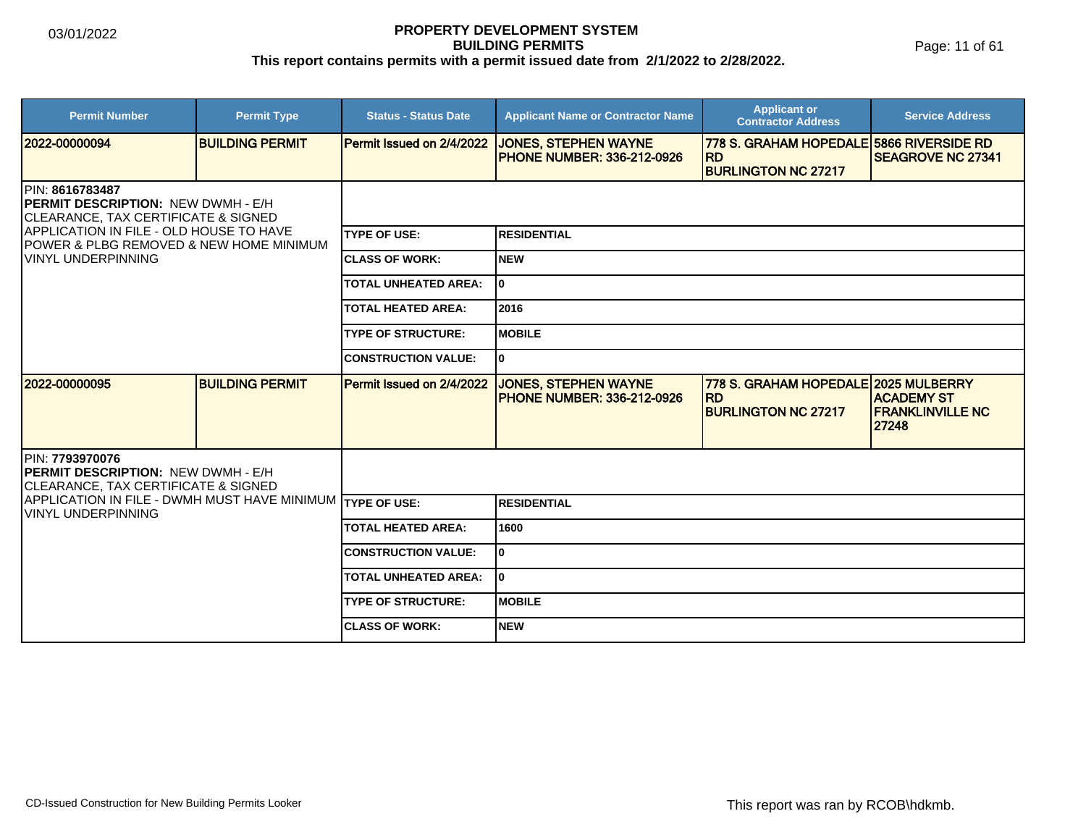Page: 11 of 61

| <b>Permit Number</b>                                                                                            | <b>Permit Type</b>     | <b>Status - Status Date</b> | <b>Applicant Name or Contractor Name</b>                          | <b>Applicant or</b><br><b>Contractor Address</b>                                    | <b>Service Address</b>                          |
|-----------------------------------------------------------------------------------------------------------------|------------------------|-----------------------------|-------------------------------------------------------------------|-------------------------------------------------------------------------------------|-------------------------------------------------|
| 2022-00000094                                                                                                   | <b>BUILDING PERMIT</b> | Permit Issued on 2/4/2022   | <b>JONES, STEPHEN WAYNE</b><br><b>IPHONE NUMBER: 336-212-0926</b> | 778 S. GRAHAM HOPEDALE 5866 RIVERSIDE RD<br><b>RD</b><br><b>BURLINGTON NC 27217</b> | <b>SEAGROVE NC 27341</b>                        |
| PIN: 8616783487<br><b>PERMIT DESCRIPTION: NEW DWMH - E/H</b><br><b>CLEARANCE, TAX CERTIFICATE &amp; SIGNED</b>  |                        |                             |                                                                   |                                                                                     |                                                 |
| APPLICATION IN FILE - OLD HOUSE TO HAVE<br>IPOWER & PLBG REMOVED & NEW HOME MINIMUM                             |                        | <b>TYPE OF USE:</b>         | <b>RESIDENTIAL</b>                                                |                                                                                     |                                                 |
| <b>VINYL UNDERPINNING</b>                                                                                       |                        | <b>ICLASS OF WORK:</b>      | Inew                                                              |                                                                                     |                                                 |
|                                                                                                                 |                        | <b>TOTAL UNHEATED AREA:</b> | ١o                                                                |                                                                                     |                                                 |
|                                                                                                                 |                        | <b>TOTAL HEATED AREA:</b>   | 2016                                                              |                                                                                     |                                                 |
|                                                                                                                 |                        | <b>TYPE OF STRUCTURE:</b>   | <b>IMOBILE</b>                                                    |                                                                                     |                                                 |
|                                                                                                                 |                        | <b>CONSTRUCTION VALUE:</b>  | I٥                                                                |                                                                                     |                                                 |
| 2022-00000095                                                                                                   | <b>BUILDING PERMIT</b> | Permit Issued on 2/4/2022   | <b>JONES, STEPHEN WAYNE</b><br><b>IPHONE NUMBER: 336-212-0926</b> | 778 S. GRAHAM HOPEDALE 2025 MULBERRY<br><b>RD</b><br><b>BURLINGTON NC 27217</b>     | IACADEMY ST<br><b>FRANKLINVILLE NC</b><br>27248 |
| IPIN: 7793970076<br><b>PERMIT DESCRIPTION: NEW DWMH - E/H</b><br><b>CLEARANCE, TAX CERTIFICATE &amp; SIGNED</b> |                        |                             |                                                                   |                                                                                     |                                                 |
| APPLICATION IN FILE - DWMH MUST HAVE MINIMUM TYPE OF USE:<br><b>VINYL UNDERPINNING</b>                          |                        |                             | <b>RESIDENTIAL</b>                                                |                                                                                     |                                                 |
|                                                                                                                 |                        | <b>TOTAL HEATED AREA:</b>   | 1600                                                              |                                                                                     |                                                 |
|                                                                                                                 |                        | <b>CONSTRUCTION VALUE:</b>  | lo                                                                |                                                                                     |                                                 |
|                                                                                                                 |                        | TOTAL UNHEATED AREA:        | I٥                                                                |                                                                                     |                                                 |
|                                                                                                                 |                        | <b>TYPE OF STRUCTURE:</b>   | <b>IMOBILE</b>                                                    |                                                                                     |                                                 |
|                                                                                                                 |                        | <b>ICLASS OF WORK:</b>      | <b>NEW</b>                                                        |                                                                                     |                                                 |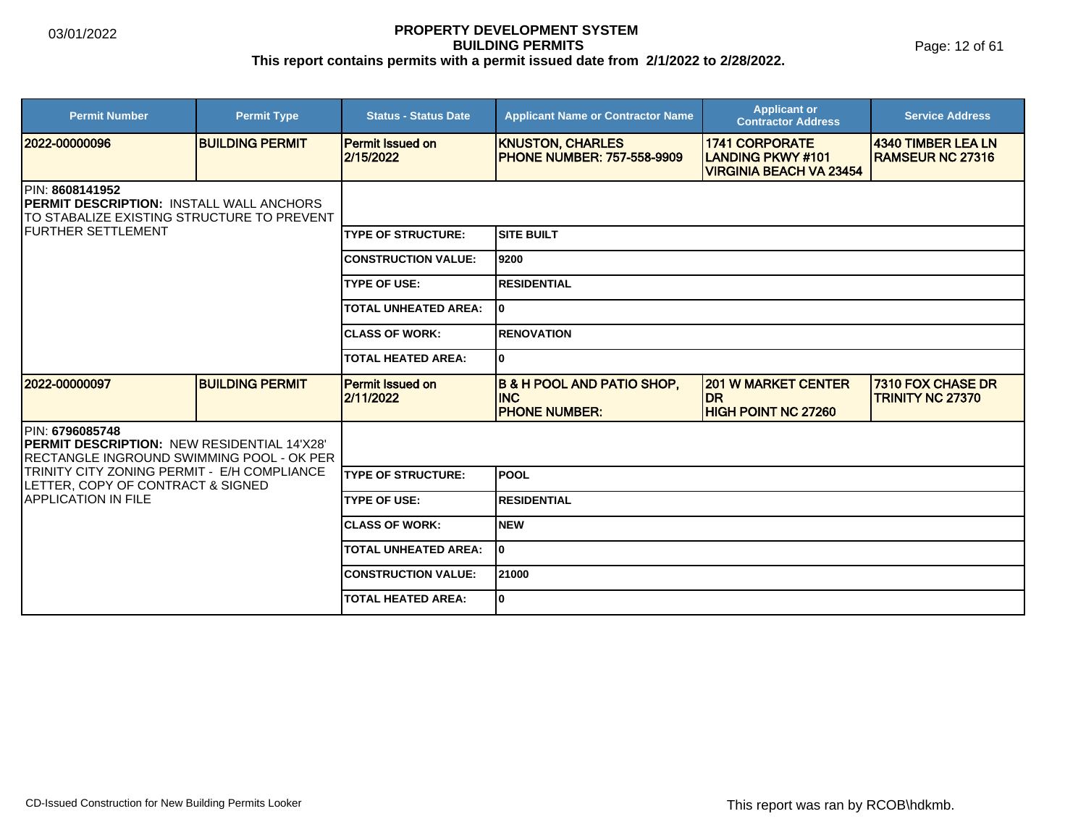Page: 12 of 61

| <b>Permit Number</b>                                                                                                                                    | <b>Permit Type</b>     | <b>Status - Status Date</b>          | <b>Applicant Name or Contractor Name</b>                                    | <b>Applicant or</b><br><b>Contractor Address</b>                                    | <b>Service Address</b>                        |  |
|---------------------------------------------------------------------------------------------------------------------------------------------------------|------------------------|--------------------------------------|-----------------------------------------------------------------------------|-------------------------------------------------------------------------------------|-----------------------------------------------|--|
| 2022-00000096                                                                                                                                           | <b>BUILDING PERMIT</b> | <b>Permit Issued on</b><br>2/15/2022 | <b>KNUSTON, CHARLES</b><br><b>PHONE NUMBER: 757-558-9909</b>                | <b>1741 CORPORATE</b><br><b>LANDING PKWY #101</b><br><b>VIRGINIA BEACH VA 23454</b> | 4340 TIMBER LEA LN<br><b>RAMSEUR NC 27316</b> |  |
| <b>IPIN: 8608141952</b><br><b>IPERMIT DESCRIPTION: INSTALL WALL ANCHORS</b><br>TO STABALIZE EXISTING STRUCTURE TO PREVENT<br><b>IFURTHER SETTLEMENT</b> |                        |                                      |                                                                             |                                                                                     |                                               |  |
|                                                                                                                                                         |                        | <b>TYPE OF STRUCTURE:</b>            | <b>SITE BUILT</b>                                                           |                                                                                     |                                               |  |
|                                                                                                                                                         |                        | <b>CONSTRUCTION VALUE:</b>           | 9200                                                                        |                                                                                     |                                               |  |
|                                                                                                                                                         |                        | <b>TYPE OF USE:</b>                  | <b>RESIDENTIAL</b>                                                          |                                                                                     |                                               |  |
|                                                                                                                                                         |                        | <b>TOTAL UNHEATED AREA:</b>          | I٥                                                                          |                                                                                     |                                               |  |
|                                                                                                                                                         |                        | <b>CLASS OF WORK:</b>                | <b>RENOVATION</b>                                                           |                                                                                     |                                               |  |
|                                                                                                                                                         |                        | <b>TOTAL HEATED AREA:</b>            | I٥                                                                          |                                                                                     |                                               |  |
| 2022-00000097                                                                                                                                           | <b>BUILDING PERMIT</b> | <b>Permit Issued on</b><br>2/11/2022 | <b>B &amp; H POOL AND PATIO SHOP,</b><br><b>INC</b><br><b>PHONE NUMBER:</b> | <b>201 W MARKET CENTER</b><br><b>DR</b><br><b>HIGH POINT NC 27260</b>               | 7310 FOX CHASE DR<br><b>TRINITY NC 27370</b>  |  |
| IPIN: 6796085748<br>PERMIT DESCRIPTION: NEW RESIDENTIAL 14'X28'<br>IRECTANGLE INGROUND SWIMMING POOL - OK PER_                                          |                        |                                      |                                                                             |                                                                                     |                                               |  |
| TRINITY CITY ZONING PERMIT - E/H COMPLIANCE<br>LETTER, COPY OF CONTRACT & SIGNED                                                                        |                        | <b>TYPE OF STRUCTURE:</b>            | <b>POOL</b>                                                                 |                                                                                     |                                               |  |
| IAPPLICATION IN FILE                                                                                                                                    |                        | <b>TYPE OF USE:</b>                  | <b>RESIDENTIAL</b>                                                          |                                                                                     |                                               |  |
|                                                                                                                                                         |                        | <b>CLASS OF WORK:</b>                | Inew                                                                        |                                                                                     |                                               |  |
|                                                                                                                                                         |                        | <b>TOTAL UNHEATED AREA:</b>          | I٥                                                                          |                                                                                     |                                               |  |
|                                                                                                                                                         |                        | <b>CONSTRUCTION VALUE:</b>           | 21000                                                                       |                                                                                     |                                               |  |
|                                                                                                                                                         |                        | <b>TOTAL HEATED AREA:</b>            | l0                                                                          |                                                                                     |                                               |  |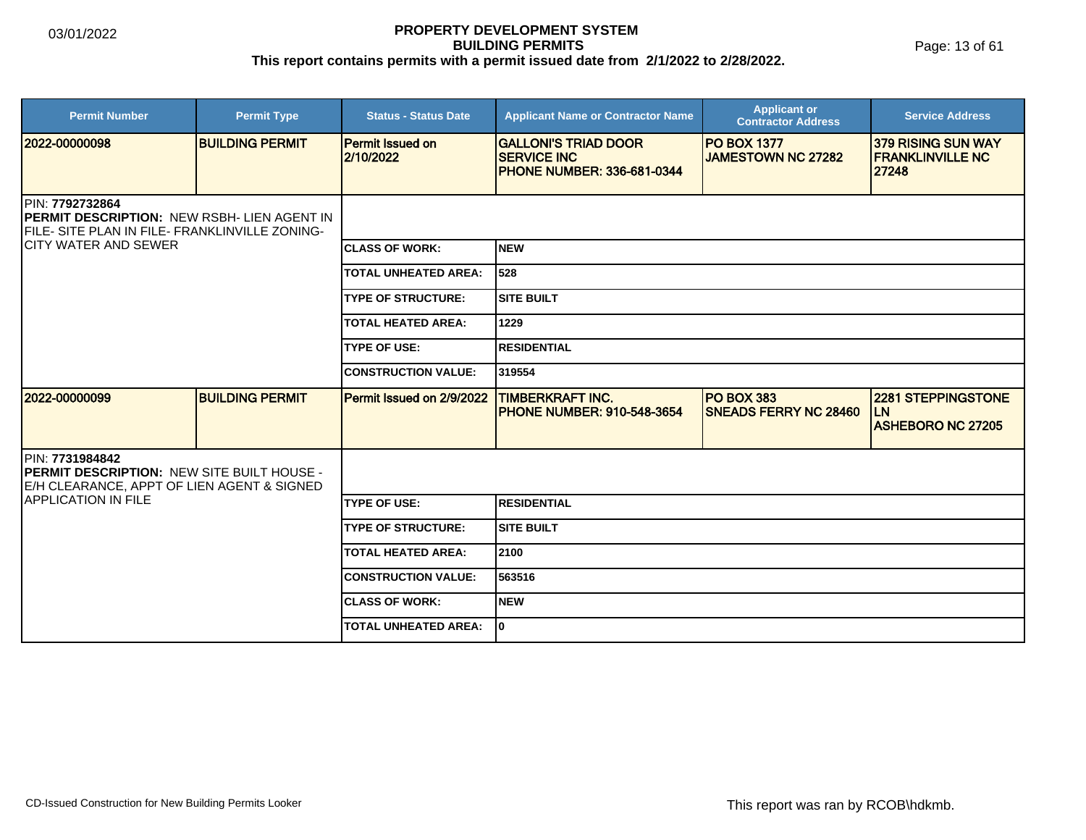Page: 13 of 61

| <b>Permit Number</b>                                                                                                                                     | <b>Permit Type</b>     | <b>Status - Status Date</b>          | <b>Applicant Name or Contractor Name</b>                                               | <b>Applicant or</b><br><b>Contractor Address</b> | <b>Service Address</b>                                             |  |  |
|----------------------------------------------------------------------------------------------------------------------------------------------------------|------------------------|--------------------------------------|----------------------------------------------------------------------------------------|--------------------------------------------------|--------------------------------------------------------------------|--|--|
| 2022-00000098                                                                                                                                            | <b>BUILDING PERMIT</b> | <b>Permit Issued on</b><br>2/10/2022 | <b>GALLONI'S TRIAD DOOR</b><br><b>SERVICE INC</b><br><b>PHONE NUMBER: 336-681-0344</b> | <b>PO BOX 1377</b><br><b>JAMESTOWN NC 27282</b>  | <b>379 RISING SUN WAY</b><br><b>IFRANKLINVILLE NC</b><br>27248     |  |  |
| PIN: 7792732864<br><b>IPERMIT DESCRIPTION: NEW RSBH- LIEN AGENT IN</b><br>FILE- SITE PLAN IN FILE- FRANKLINVILLE ZONING-<br><b>ICITY WATER AND SEWER</b> |                        |                                      |                                                                                        |                                                  |                                                                    |  |  |
|                                                                                                                                                          |                        | <b>ICLASS OF WORK:</b>               | Inew                                                                                   |                                                  |                                                                    |  |  |
|                                                                                                                                                          |                        | <b>TOTAL UNHEATED AREA:</b>          | 528                                                                                    |                                                  |                                                                    |  |  |
|                                                                                                                                                          |                        | <b>TYPE OF STRUCTURE:</b>            | <b>SITE BUILT</b>                                                                      |                                                  |                                                                    |  |  |
|                                                                                                                                                          |                        | <b>TOTAL HEATED AREA:</b>            | 1229                                                                                   |                                                  |                                                                    |  |  |
|                                                                                                                                                          |                        | <b>TYPE OF USE:</b>                  | <b>RESIDENTIAL</b>                                                                     |                                                  |                                                                    |  |  |
|                                                                                                                                                          |                        | <b>CONSTRUCTION VALUE:</b>           | 319554                                                                                 |                                                  |                                                                    |  |  |
| 2022-00000099                                                                                                                                            | <b>BUILDING PERMIT</b> | Permit Issued on 2/9/2022            | <b>TIMBERKRAFT INC.</b><br><b>PHONE NUMBER: 910-548-3654</b>                           | PO BOX 383<br><b>SNEADS FERRY NC 28460</b>       | <b>2281 STEPPINGSTONE</b><br><b>LN</b><br><b>ASHEBORO NC 27205</b> |  |  |
| PIN: 7731984842<br><b>IPERMIT DESCRIPTION: NEW SITE BUILT HOUSE -</b><br>E/H CLEARANCE, APPT OF LIEN AGENT & SIGNED                                      |                        |                                      |                                                                                        |                                                  |                                                                    |  |  |
| <b>IAPPLICATION IN FILE</b>                                                                                                                              |                        | <b>ITYPE OF USE:</b>                 | RESIDENTIAL                                                                            |                                                  |                                                                    |  |  |
|                                                                                                                                                          |                        | <b>TYPE OF STRUCTURE:</b>            | <b>SITE BUILT</b>                                                                      |                                                  |                                                                    |  |  |
|                                                                                                                                                          |                        | <b>TOTAL HEATED AREA:</b>            | 2100                                                                                   |                                                  |                                                                    |  |  |
|                                                                                                                                                          |                        | <b>CONSTRUCTION VALUE:</b>           | 563516                                                                                 |                                                  |                                                                    |  |  |
|                                                                                                                                                          |                        | <b>ICLASS OF WORK:</b>               | <b>NEW</b>                                                                             |                                                  |                                                                    |  |  |
|                                                                                                                                                          |                        | <b>TOTAL UNHEATED AREA:</b>          | I٥                                                                                     |                                                  |                                                                    |  |  |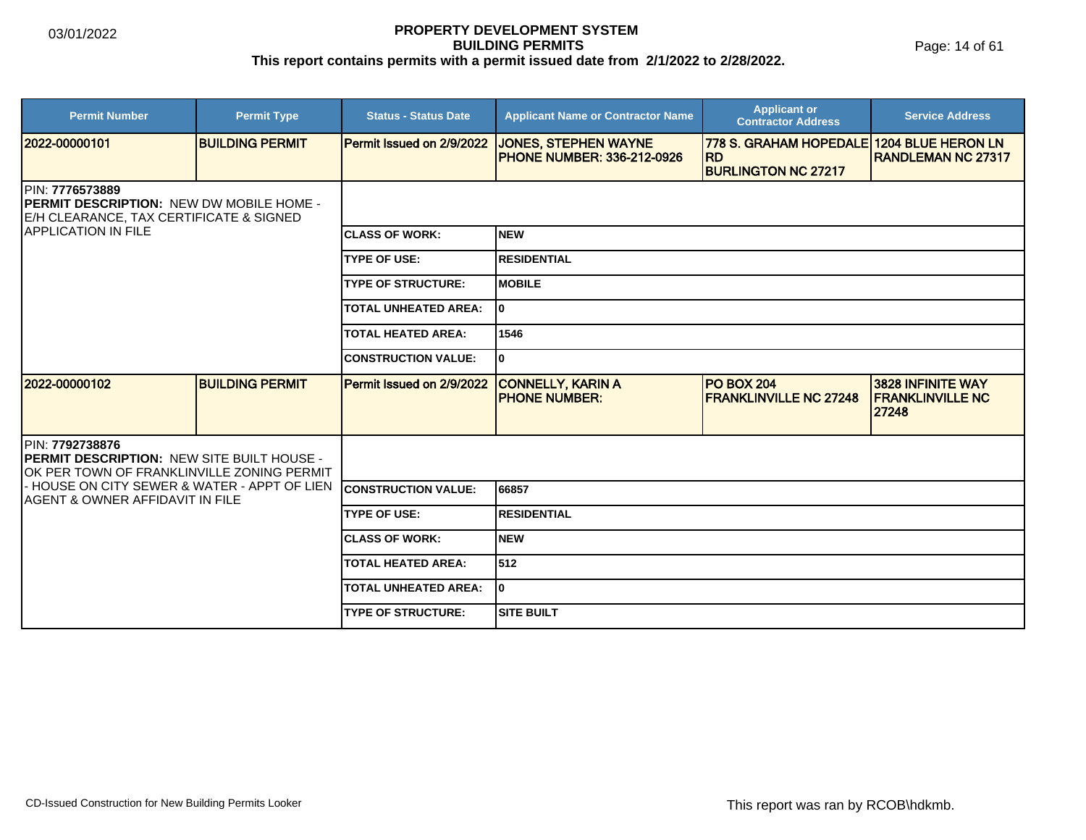Page: 14 of 61

| <b>Permit Number</b>                                                                                                                          | <b>Permit Type</b>     | <b>Status - Status Date</b>      | <b>Applicant Name or Contractor Name</b>                         | <b>Applicant or</b><br><b>Contractor Address</b>                         | <b>Service Address</b>                                 |
|-----------------------------------------------------------------------------------------------------------------------------------------------|------------------------|----------------------------------|------------------------------------------------------------------|--------------------------------------------------------------------------|--------------------------------------------------------|
| 2022-00000101                                                                                                                                 | <b>BUILDING PERMIT</b> | <b>Permit Issued on 2/9/2022</b> | <b>JONES, STEPHEN WAYNE</b><br><b>PHONE NUMBER: 336-212-0926</b> | <b>778 S. GRAHAM HOPEDALE</b><br><b>RD</b><br><b>BURLINGTON NC 27217</b> | <b>1204 BLUE HERON LN</b><br><b>RANDLEMAN NC 27317</b> |
| PIN: 7776573889<br><b>IPERMIT DESCRIPTION: NEW DW MOBILE HOME -</b><br>E/H CLEARANCE, TAX CERTIFICATE & SIGNED<br><b>IAPPLICATION IN FILE</b> |                        |                                  |                                                                  |                                                                          |                                                        |
|                                                                                                                                               |                        | <b>ICLASS OF WORK:</b>           | <b>NEW</b>                                                       |                                                                          |                                                        |
|                                                                                                                                               |                        | <b>TYPE OF USE:</b>              | <b>RESIDENTIAL</b>                                               |                                                                          |                                                        |
|                                                                                                                                               |                        | <b>TYPE OF STRUCTURE:</b>        | <b>MOBILE</b>                                                    |                                                                          |                                                        |
|                                                                                                                                               |                        | <b>TOTAL UNHEATED AREA:</b>      | I٥                                                               |                                                                          |                                                        |
|                                                                                                                                               |                        | <b>TOTAL HEATED AREA:</b>        | 1546                                                             |                                                                          |                                                        |
|                                                                                                                                               |                        | <b>CONSTRUCTION VALUE:</b>       | 0                                                                |                                                                          |                                                        |
| 2022-00000102                                                                                                                                 | <b>BUILDING PERMIT</b> | Permit Issued on 2/9/2022        | <b>CONNELLY, KARIN A</b><br><b>PHONE NUMBER:</b>                 | <b>PO BOX 204</b><br><b>FRANKLINVILLE NC 27248</b>                       | 3828 INFINITE WAY<br><b>FRANKLINVILLE NC</b><br>27248  |
| PIN: 7792738876<br><b>PERMIT DESCRIPTION: NEW SITE BUILT HOUSE -</b><br>OK PER TOWN OF FRANKLINVILLE ZONING PERMIT                            |                        |                                  |                                                                  |                                                                          |                                                        |
| - HOUSE ON CITY SEWER & WATER - APPT OF LIEN<br>AGENT & OWNER AFFIDAVIT IN FILE                                                               |                        | <b>CONSTRUCTION VALUE:</b>       | 66857                                                            |                                                                          |                                                        |
|                                                                                                                                               |                        | <b>TYPE OF USE:</b>              | <b>RESIDENTIAL</b>                                               |                                                                          |                                                        |
|                                                                                                                                               |                        | <b>CLASS OF WORK:</b>            | <b>NEW</b>                                                       |                                                                          |                                                        |
|                                                                                                                                               |                        | <b>TOTAL HEATED AREA:</b>        | 512                                                              |                                                                          |                                                        |
|                                                                                                                                               |                        | <b>TOTAL UNHEATED AREA:</b>      | 0                                                                |                                                                          |                                                        |
|                                                                                                                                               |                        | <b>TYPE OF STRUCTURE:</b>        | <b>SITE BUILT</b>                                                |                                                                          |                                                        |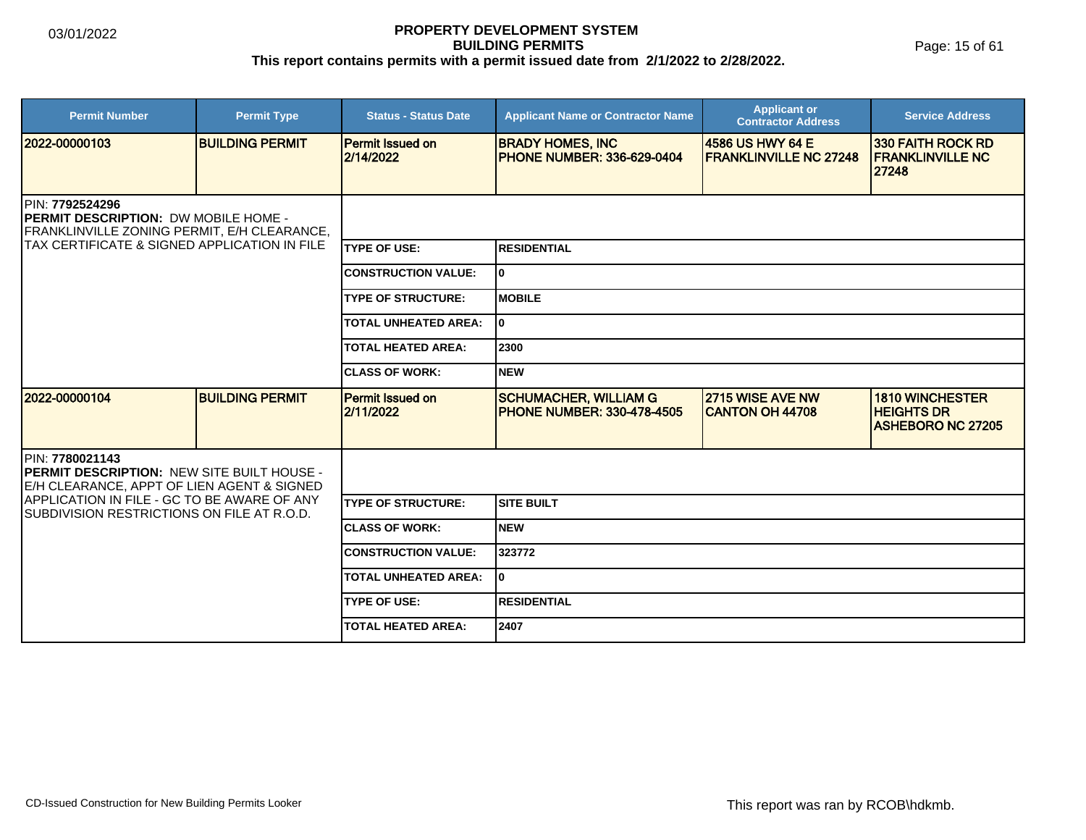Page: 15 of 61

| <b>Permit Number</b>                                                                                          | <b>Permit Type</b>     | <b>Status - Status Date</b>          | <b>Applicant Name or Contractor Name</b>                          | <b>Applicant or</b><br><b>Contractor Address</b>  | <b>Service Address</b>                                                  |  |  |
|---------------------------------------------------------------------------------------------------------------|------------------------|--------------------------------------|-------------------------------------------------------------------|---------------------------------------------------|-------------------------------------------------------------------------|--|--|
| 2022-00000103                                                                                                 | <b>BUILDING PERMIT</b> | <b>Permit Issued on</b><br>2/14/2022 | <b>BRADY HOMES, INC</b><br><b>PHONE NUMBER: 336-629-0404</b>      | 4586 US HWY 64 E<br><b>FRANKLINVILLE NC 27248</b> | <b>330 FAITH ROCK RD</b><br><b>FRANKLINVILLE NC</b><br>27248            |  |  |
| PIN: 7792524296<br><b>PERMIT DESCRIPTION: DW MOBILE HOME -</b><br>FRANKLINVILLE ZONING PERMIT, E/H CLEARANCE, |                        |                                      |                                                                   |                                                   |                                                                         |  |  |
| ITAX CERTIFICATE & SIGNED APPLICATION IN FILE                                                                 |                        | <b>TYPE OF USE:</b>                  | <b>RESIDENTIAL</b>                                                |                                                   |                                                                         |  |  |
|                                                                                                               |                        | <b>CONSTRUCTION VALUE:</b>           | l0.                                                               |                                                   |                                                                         |  |  |
|                                                                                                               |                        | <b>TYPE OF STRUCTURE:</b>            | <b>MOBILE</b>                                                     |                                                   |                                                                         |  |  |
|                                                                                                               |                        | <b>TOTAL UNHEATED AREA:</b>          | 0                                                                 |                                                   |                                                                         |  |  |
|                                                                                                               |                        | <b>TOTAL HEATED AREA:</b>            | 2300                                                              |                                                   |                                                                         |  |  |
|                                                                                                               |                        | <b>CLASS OF WORK:</b>                | <b>NEW</b>                                                        |                                                   |                                                                         |  |  |
| 2022-00000104                                                                                                 | <b>BUILDING PERMIT</b> | Permit Issued on<br>2/11/2022        | <b>SCHUMACHER, WILLIAM G</b><br><b>PHONE NUMBER: 330-478-4505</b> | 2715 WISE AVE NW<br><b>CANTON OH 44708</b>        | <b>1810 WINCHESTER</b><br><b>HEIGHTS DR</b><br><b>ASHEBORO NC 27205</b> |  |  |
| PIN: 7780021143<br>PERMIT DESCRIPTION: NEW SITE BUILT HOUSE -<br>E/H CLEARANCE, APPT OF LIEN AGENT & SIGNED   |                        |                                      |                                                                   |                                                   |                                                                         |  |  |
| APPLICATION IN FILE - GC TO BE AWARE OF ANY<br>SUBDIVISION RESTRICTIONS ON FILE AT R.O.D.                     |                        | <b>TYPE OF STRUCTURE:</b>            | <b>SITE BUILT</b>                                                 |                                                   |                                                                         |  |  |
|                                                                                                               |                        | <b>CLASS OF WORK:</b>                | <b>NEW</b>                                                        |                                                   |                                                                         |  |  |
|                                                                                                               |                        | <b>CONSTRUCTION VALUE:</b>           | 323772                                                            |                                                   |                                                                         |  |  |
|                                                                                                               |                        | <b>TOTAL UNHEATED AREA:</b>          | ١o                                                                |                                                   |                                                                         |  |  |
|                                                                                                               |                        | <b>TYPE OF USE:</b>                  | <b>RESIDENTIAL</b>                                                |                                                   |                                                                         |  |  |
|                                                                                                               |                        | <b>TOTAL HEATED AREA:</b>            | 2407                                                              |                                                   |                                                                         |  |  |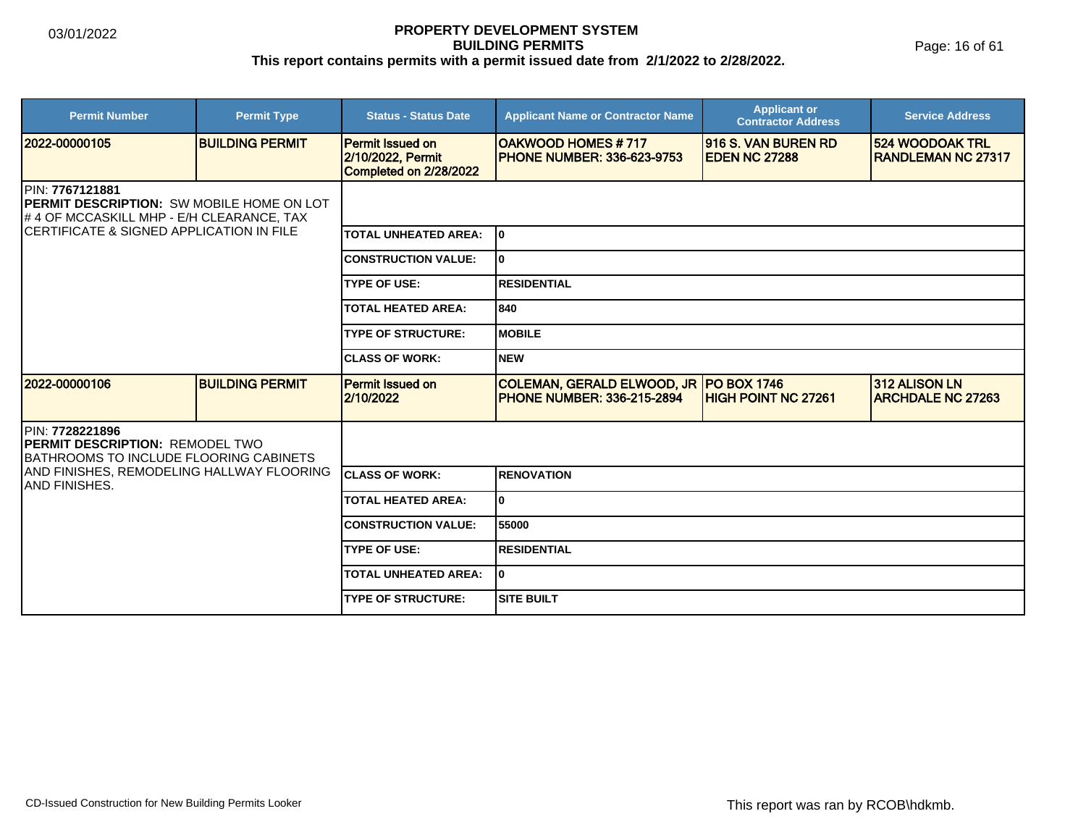Page: 16 of 61

| <b>Permit Number</b>                                                                                        | <b>Permit Type</b>     | <b>Status - Status Date</b>                                            | <b>Applicant Name or Contractor Name</b>                                      | <b>Applicant or</b><br><b>Contractor Address</b> | <b>Service Address</b>                       |  |  |
|-------------------------------------------------------------------------------------------------------------|------------------------|------------------------------------------------------------------------|-------------------------------------------------------------------------------|--------------------------------------------------|----------------------------------------------|--|--|
| 2022-00000105                                                                                               | <b>BUILDING PERMIT</b> | <b>Permit Issued on</b><br>2/10/2022, Permit<br>Completed on 2/28/2022 | <b>OAKWOOD HOMES #717</b><br><b>PHONE NUMBER: 336-623-9753</b>                | 916 S. VAN BUREN RD<br><b>EDEN NC 27288</b>      | 524 WOODOAK TRL<br><b>RANDLEMAN NC 27317</b> |  |  |
| PIN: 7767121881<br>PERMIT DESCRIPTION: SW MOBILE HOME ON LOT<br># 4 OF MCCASKILL MHP - E/H CLEARANCE, TAX   |                        |                                                                        |                                                                               |                                                  |                                              |  |  |
| ICERTIFICATE & SIGNED APPLICATION IN FILE                                                                   |                        | <b>TOTAL UNHEATED AREA:</b>                                            | I٥                                                                            |                                                  |                                              |  |  |
|                                                                                                             |                        | <b>CONSTRUCTION VALUE:</b>                                             | 0                                                                             |                                                  |                                              |  |  |
|                                                                                                             |                        | <b>TYPE OF USE:</b>                                                    | <b>RESIDENTIAL</b>                                                            |                                                  |                                              |  |  |
|                                                                                                             |                        | <b>TOTAL HEATED AREA:</b>                                              | 840                                                                           |                                                  |                                              |  |  |
|                                                                                                             |                        | <b>TYPE OF STRUCTURE:</b>                                              | <b>MOBILE</b>                                                                 |                                                  |                                              |  |  |
|                                                                                                             |                        | <b>CLASS OF WORK:</b>                                                  | <b>NEW</b>                                                                    |                                                  |                                              |  |  |
| 12022-00000106                                                                                              | <b>BUILDING PERMIT</b> | Permit Issued on<br>2/10/2022                                          | COLEMAN, GERALD ELWOOD, JR   PO BOX 1746<br><b>PHONE NUMBER: 336-215-2894</b> | <b>IHIGH POINT NC 27261</b>                      | 312 ALISON LN<br><b>ARCHDALE NC 27263</b>    |  |  |
| PIN: 7728221896<br><b>PERMIT DESCRIPTION: REMODEL TWO</b><br><b>IBATHROOMS TO INCLUDE FLOORING CABINETS</b> |                        |                                                                        |                                                                               |                                                  |                                              |  |  |
| AND FINISHES, REMODELING HALLWAY FLOORING<br>IAND FINISHES.                                                 |                        | <b>ICLASS OF WORK:</b>                                                 | <b>RENOVATION</b>                                                             |                                                  |                                              |  |  |
|                                                                                                             |                        | <b>TOTAL HEATED AREA:</b>                                              | $\mathbf{0}$                                                                  |                                                  |                                              |  |  |
|                                                                                                             |                        | <b>CONSTRUCTION VALUE:</b>                                             | 55000                                                                         |                                                  |                                              |  |  |
|                                                                                                             |                        | <b>TYPE OF USE:</b>                                                    | <b>RESIDENTIAL</b>                                                            |                                                  |                                              |  |  |
|                                                                                                             |                        | <b>TOTAL UNHEATED AREA:</b>                                            | 0                                                                             |                                                  |                                              |  |  |
|                                                                                                             |                        | <b>TYPE OF STRUCTURE:</b>                                              | <b>SITE BUILT</b>                                                             |                                                  |                                              |  |  |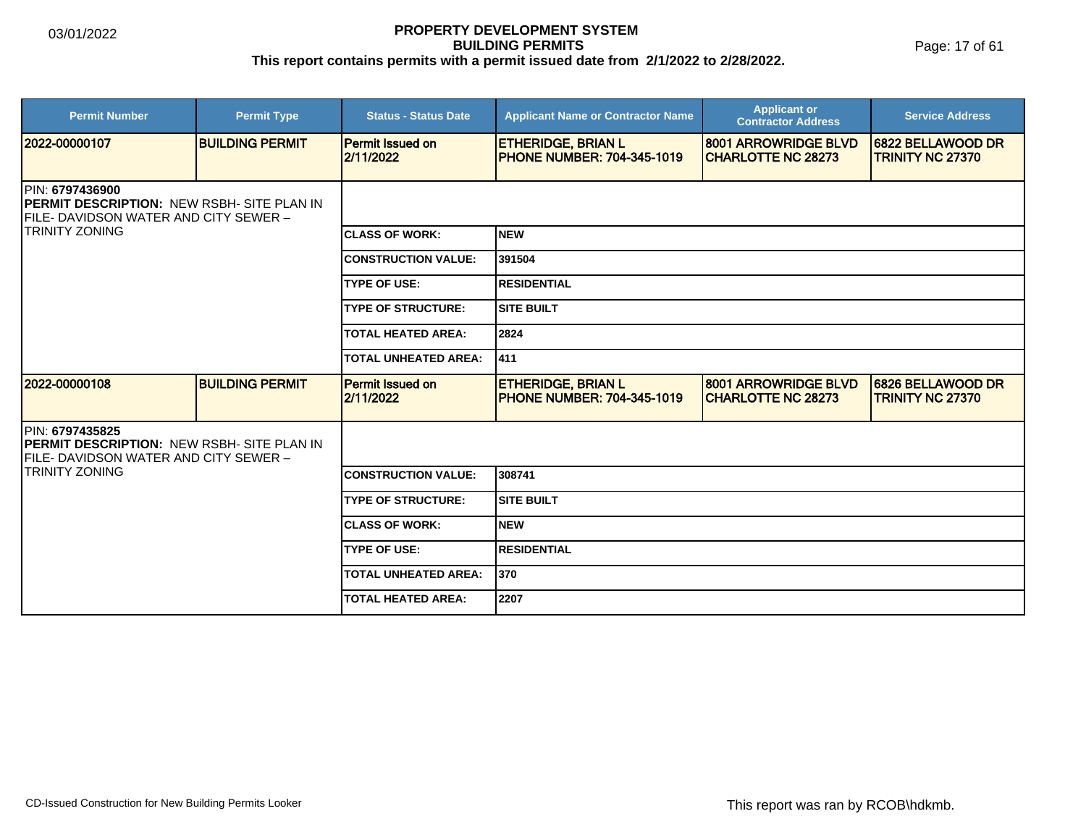Page: 17 of 61

| <b>Permit Number</b>                                                                                                           | <b>Permit Type</b>     | <b>Status - Status Date</b>          | <b>Applicant Name or Contractor Name</b>                        | <b>Applicant or</b><br><b>Contractor Address</b>   | <b>Service Address</b>                       |  |
|--------------------------------------------------------------------------------------------------------------------------------|------------------------|--------------------------------------|-----------------------------------------------------------------|----------------------------------------------------|----------------------------------------------|--|
| 2022-00000107                                                                                                                  | <b>BUILDING PERMIT</b> | <b>Permit Issued on</b><br>2/11/2022 | <b>ETHERIDGE, BRIAN L</b><br><b>PHONE NUMBER: 704-345-1019</b>  | 8001 ARROWRIDGE BLVD<br><b>ICHARLOTTE NC 28273</b> | 6822 BELLAWOOD DR<br><b>TRINITY NC 27370</b> |  |
| <b>IPIN: 6797436900</b><br><b>IPERMIT DESCRIPTION: NEW RSBH- SITE PLAN IN</b><br><b>IFILE- DAVIDSON WATER AND CITY SEWER -</b> |                        |                                      |                                                                 |                                                    |                                              |  |
| <b>ITRINITY ZONING</b>                                                                                                         |                        | <b>CLASS OF WORK:</b>                | Inew                                                            |                                                    |                                              |  |
|                                                                                                                                |                        | <b>CONSTRUCTION VALUE:</b>           | 391504                                                          |                                                    |                                              |  |
|                                                                                                                                |                        | <b>TYPE OF USE:</b>                  | <b>RESIDENTIAL</b>                                              |                                                    |                                              |  |
|                                                                                                                                |                        | <b>TYPE OF STRUCTURE:</b>            | <b>SITE BUILT</b>                                               |                                                    |                                              |  |
|                                                                                                                                |                        | <b>TOTAL HEATED AREA:</b>            | 2824                                                            |                                                    |                                              |  |
|                                                                                                                                |                        | <b>TOTAL UNHEATED AREA:</b>          | 1411                                                            |                                                    |                                              |  |
| 12022-00000108                                                                                                                 | <b>BUILDING PERMIT</b> | <b>Permit Issued on</b><br>2/11/2022 | <b>ETHERIDGE, BRIAN L</b><br><b>IPHONE NUMBER: 704-345-1019</b> | 8001 ARROWRIDGE BLVD<br><b>ICHARLOTTE NC 28273</b> | 6826 BELLAWOOD DR<br><b>TRINITY NC 27370</b> |  |
| PIN: 6797435825<br><b>PERMIT DESCRIPTION: NEW RSBH- SITE PLAN IN</b><br><b>FILE- DAVIDSON WATER AND CITY SEWER -</b>           |                        |                                      |                                                                 |                                                    |                                              |  |
| <b>TRINITY ZONING</b>                                                                                                          |                        | <b>CONSTRUCTION VALUE:</b>           | 308741                                                          |                                                    |                                              |  |
|                                                                                                                                |                        | <b>TYPE OF STRUCTURE:</b>            | Isite built                                                     |                                                    |                                              |  |
|                                                                                                                                |                        | <b>CLASS OF WORK:</b>                | Inew                                                            |                                                    |                                              |  |
|                                                                                                                                |                        | <b>TYPE OF USE:</b>                  | <b>RESIDENTIAL</b>                                              |                                                    |                                              |  |
|                                                                                                                                |                        | <b>TOTAL UNHEATED AREA:</b>          | 1370                                                            |                                                    |                                              |  |
|                                                                                                                                |                        | <b>TOTAL HEATED AREA:</b>            | 2207                                                            |                                                    |                                              |  |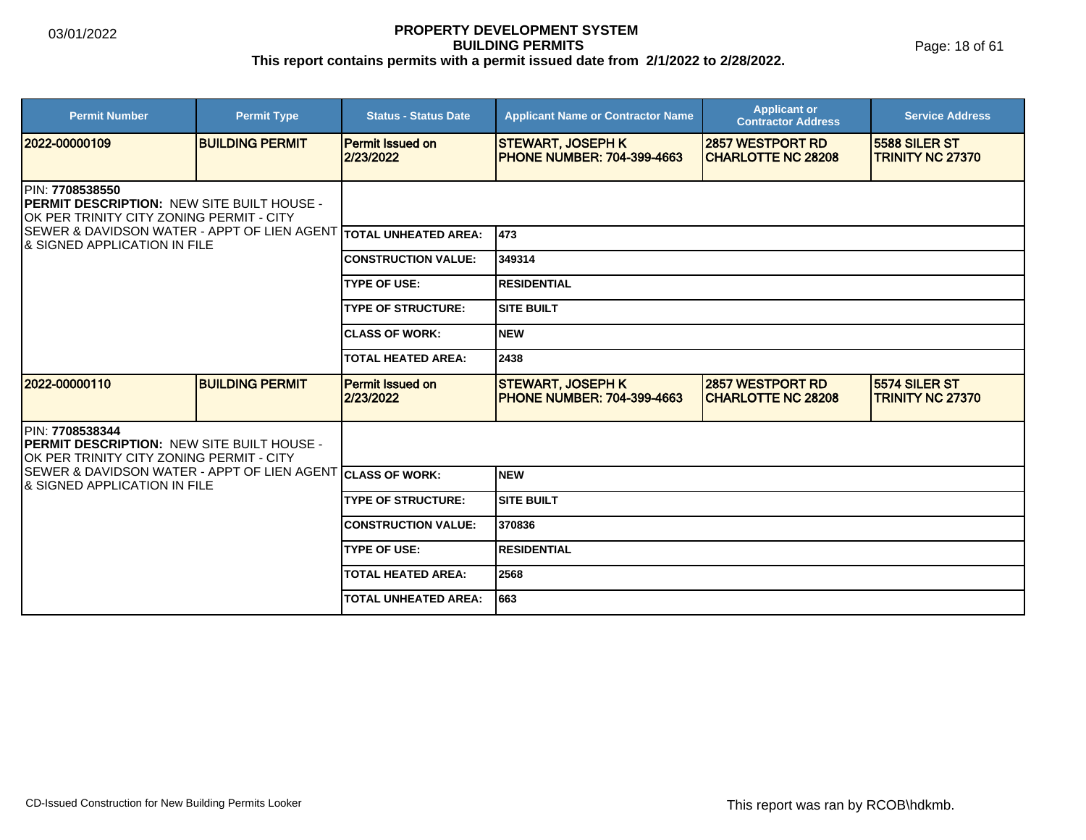Page: 18 of 61

| <b>Permit Number</b>                                                                                                                                                                                                 | <b>Permit Type</b>     | <b>Status - Status Date</b>          | <b>Applicant Name or Contractor Name</b>                       | <b>Applicant or</b><br><b>Contractor Address</b>      | <b>Service Address</b>                          |  |  |
|----------------------------------------------------------------------------------------------------------------------------------------------------------------------------------------------------------------------|------------------------|--------------------------------------|----------------------------------------------------------------|-------------------------------------------------------|-------------------------------------------------|--|--|
| 2022-00000109                                                                                                                                                                                                        | <b>BUILDING PERMIT</b> | <b>Permit Issued on</b><br>2/23/2022 | <b>STEWART, JOSEPH K</b><br><b>IPHONE NUMBER: 704-399-4663</b> | <b>2857 WESTPORT RD</b><br><b>CHARLOTTE NC 28208</b>  | 5588 SILER ST<br><b>TRINITY NC 27370</b>        |  |  |
| PIN: 7708538550<br>PERMIT DESCRIPTION: NEW SITE BUILT HOUSE -<br>OK PER TRINITY CITY ZONING PERMIT - CITY<br>SEWER & DAVIDSON WATER - APPT OF LIEN AGENT TOTAL UNHEATED AREA:<br><b>8 SIGNED APPLICATION IN FILE</b> |                        |                                      |                                                                |                                                       |                                                 |  |  |
|                                                                                                                                                                                                                      |                        |                                      | 1473                                                           |                                                       |                                                 |  |  |
|                                                                                                                                                                                                                      |                        | <b>CONSTRUCTION VALUE:</b>           | 349314                                                         |                                                       |                                                 |  |  |
|                                                                                                                                                                                                                      |                        | <b>TYPE OF USE:</b>                  | <b>RESIDENTIAL</b>                                             |                                                       |                                                 |  |  |
|                                                                                                                                                                                                                      |                        | <b>TYPE OF STRUCTURE:</b>            | <b>SITE BUILT</b>                                              |                                                       |                                                 |  |  |
|                                                                                                                                                                                                                      |                        | <b>CLASS OF WORK:</b>                | <b>NEW</b>                                                     |                                                       |                                                 |  |  |
|                                                                                                                                                                                                                      |                        | <b>TOTAL HEATED AREA:</b>            | 2438                                                           |                                                       |                                                 |  |  |
| 12022-00000110                                                                                                                                                                                                       | <b>BUILDING PERMIT</b> | <b>Permit Issued on</b><br>2/23/2022 | <b>STEWART, JOSEPH K</b><br><b>IPHONE NUMBER: 704-399-4663</b> | <b>2857 WESTPORT RD</b><br><b>ICHARLOTTE NC 28208</b> | <b>5574 SILER ST</b><br><b>TRINITY NC 27370</b> |  |  |
| PIN: 7708538344<br>PERMIT DESCRIPTION: NEW SITE BUILT HOUSE -<br>IOK PER TRINITY CITY ZONING PERMIT - CITY                                                                                                           |                        |                                      |                                                                |                                                       |                                                 |  |  |
| SEWER & DAVIDSON WATER - APPT OF LIEN AGENT CLASS OF WORK:<br>I& SIGNED APPLICATION IN FILE                                                                                                                          |                        |                                      | <b>NEW</b>                                                     |                                                       |                                                 |  |  |
|                                                                                                                                                                                                                      |                        | <b>TYPE OF STRUCTURE:</b>            | <b>SITE BUILT</b>                                              |                                                       |                                                 |  |  |
|                                                                                                                                                                                                                      |                        | <b>CONSTRUCTION VALUE:</b>           | 370836                                                         |                                                       |                                                 |  |  |
|                                                                                                                                                                                                                      |                        | <b>TYPE OF USE:</b>                  | <b>RESIDENTIAL</b>                                             |                                                       |                                                 |  |  |
|                                                                                                                                                                                                                      |                        | <b>TOTAL HEATED AREA:</b>            | 2568                                                           |                                                       |                                                 |  |  |
|                                                                                                                                                                                                                      |                        | <b>TOTAL UNHEATED AREA:</b>          | 1663                                                           |                                                       |                                                 |  |  |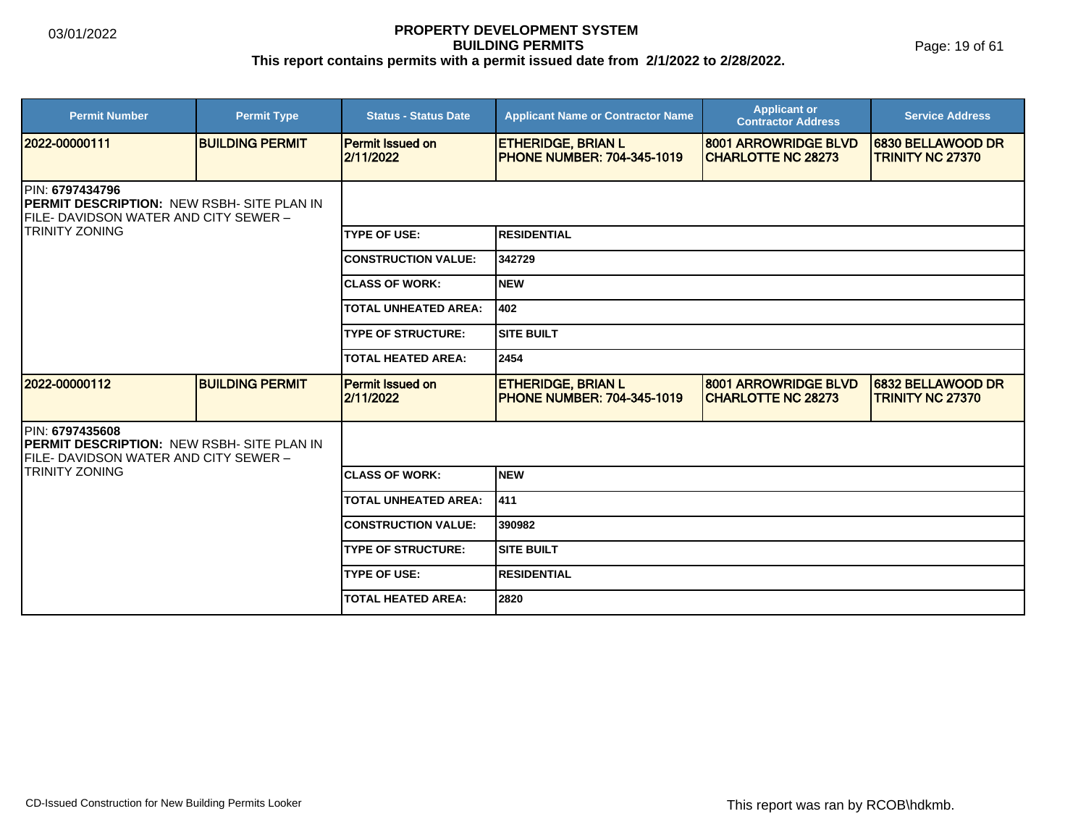Page: 19 of 61

| <b>Permit Number</b>                                                                                                                             | <b>Permit Type</b>     | <b>Status - Status Date</b>          | <b>Applicant Name or Contractor Name</b>                        | <b>Applicant or</b><br><b>Contractor Address</b>  | <b>Service Address</b>                       |  |
|--------------------------------------------------------------------------------------------------------------------------------------------------|------------------------|--------------------------------------|-----------------------------------------------------------------|---------------------------------------------------|----------------------------------------------|--|
| 12022-00000111                                                                                                                                   | <b>BUILDING PERMIT</b> | <b>Permit Issued on</b><br>2/11/2022 | <b>ETHERIDGE, BRIAN L</b><br><b>IPHONE NUMBER: 704-345-1019</b> | 8001 ARROWRIDGE BLVD<br><b>CHARLOTTE NC 28273</b> | 6830 BELLAWOOD DR<br><b>TRINITY NC 27370</b> |  |
| <b>IPIN: 6797434796</b><br><b>IPERMIT DESCRIPTION: NEW RSBH- SITE PLAN IN</b><br>FILE- DAVIDSON WATER AND CITY SEWER -<br><b>ITRINITY ZONING</b> |                        |                                      |                                                                 |                                                   |                                              |  |
|                                                                                                                                                  |                        | <b>TYPE OF USE:</b>                  | <b>RESIDENTIAL</b>                                              |                                                   |                                              |  |
|                                                                                                                                                  |                        | <b>CONSTRUCTION VALUE:</b>           | 342729                                                          |                                                   |                                              |  |
|                                                                                                                                                  |                        | <b>CLASS OF WORK:</b>                | Inew                                                            |                                                   |                                              |  |
|                                                                                                                                                  |                        | <b>TOTAL UNHEATED AREA:</b>          | 402                                                             |                                                   |                                              |  |
|                                                                                                                                                  |                        | <b>TYPE OF STRUCTURE:</b>            | <b>ISITE BUILT</b>                                              |                                                   |                                              |  |
|                                                                                                                                                  |                        | <b>TOTAL HEATED AREA:</b>            | 2454                                                            |                                                   |                                              |  |
| 12022-00000112                                                                                                                                   | <b>BUILDING PERMIT</b> | <b>Permit Issued on</b><br>2/11/2022 | <b>ETHERIDGE, BRIAN L</b><br><b>PHONE NUMBER: 704-345-1019</b>  | 8001 ARROWRIDGE BLVD<br><b>CHARLOTTE NC 28273</b> | 6832 BELLAWOOD DR<br><b>TRINITY NC 27370</b> |  |
| <b>PIN: 6797435608</b><br><b>PERMIT DESCRIPTION: NEW RSBH- SITE PLAN IN</b><br>FILE- DAVIDSON WATER AND CITY SEWER -                             |                        |                                      |                                                                 |                                                   |                                              |  |
| <b>TRINITY ZONING</b>                                                                                                                            |                        | <b>CLASS OF WORK:</b>                | <b>NEW</b>                                                      |                                                   |                                              |  |
|                                                                                                                                                  |                        | <b>TOTAL UNHEATED AREA:</b>          | 411                                                             |                                                   |                                              |  |
|                                                                                                                                                  |                        | <b>CONSTRUCTION VALUE:</b>           | 390982                                                          |                                                   |                                              |  |
|                                                                                                                                                  |                        | <b>TYPE OF STRUCTURE:</b>            | <b>SITE BUILT</b>                                               |                                                   |                                              |  |
|                                                                                                                                                  |                        | <b>TYPE OF USE:</b>                  | <b>RESIDENTIAL</b>                                              |                                                   |                                              |  |
|                                                                                                                                                  |                        | <b>TOTAL HEATED AREA:</b>            | 2820                                                            |                                                   |                                              |  |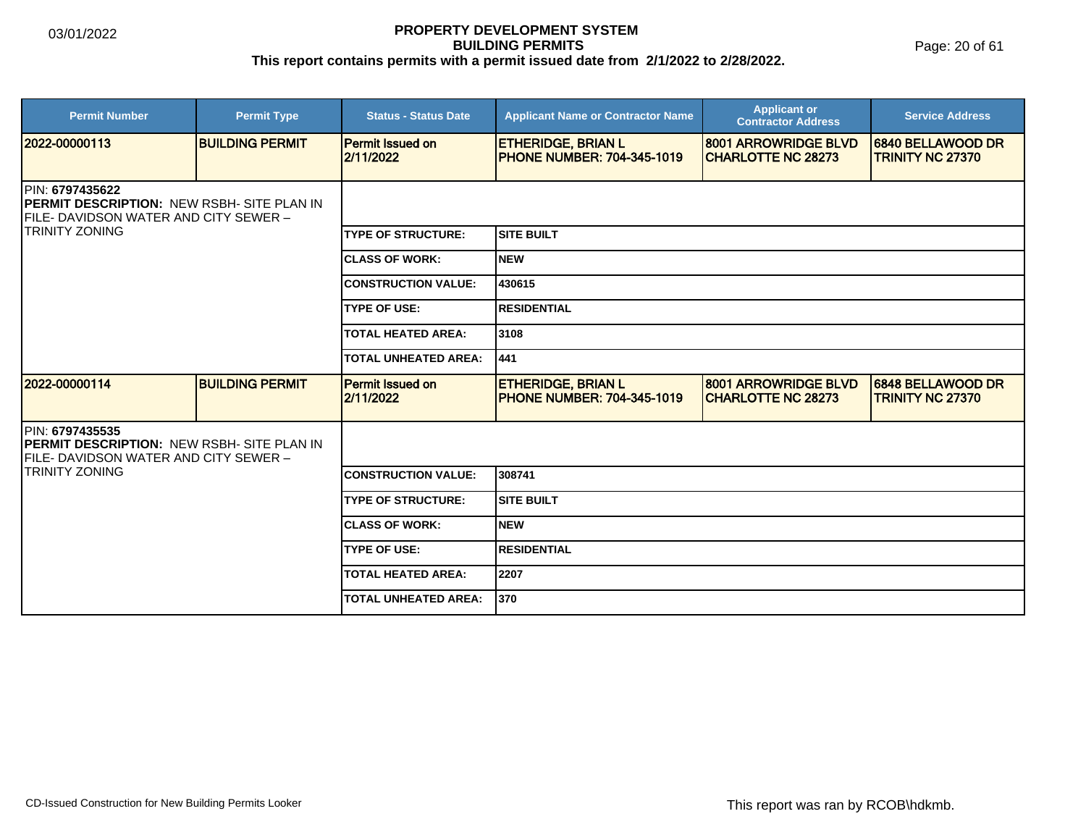Page: 20 of 61

| <b>Permit Number</b>                                                                                                                           | <b>Permit Type</b>     | <b>Status - Status Date</b>          | <b>Applicant Name or Contractor Name</b>                       | <b>Applicant or</b><br><b>Contractor Address</b>  | <b>Service Address</b>                       |  |
|------------------------------------------------------------------------------------------------------------------------------------------------|------------------------|--------------------------------------|----------------------------------------------------------------|---------------------------------------------------|----------------------------------------------|--|
| 2022-00000113                                                                                                                                  | <b>BUILDING PERMIT</b> | <b>Permit Issued on</b><br>2/11/2022 | <b>ETHERIDGE, BRIAN L</b><br><b>PHONE NUMBER: 704-345-1019</b> | 8001 ARROWRIDGE BLVD<br><b>CHARLOTTE NC 28273</b> | 6840 BELLAWOOD DR<br><b>TRINITY NC 27370</b> |  |
| <b>IPIN: 6797435622</b><br><b>PERMIT DESCRIPTION: NEW RSBH- SITE PLAN IN</b><br>FILE- DAVIDSON WATER AND CITY SEWER -<br><b>TRINITY ZONING</b> |                        |                                      |                                                                |                                                   |                                              |  |
|                                                                                                                                                |                        | <b>TYPE OF STRUCTURE:</b>            | <b>SITE BUILT</b>                                              |                                                   |                                              |  |
|                                                                                                                                                |                        | <b>CLASS OF WORK:</b>                | <b>NEW</b>                                                     |                                                   |                                              |  |
|                                                                                                                                                |                        | <b>CONSTRUCTION VALUE:</b>           | 430615                                                         |                                                   |                                              |  |
|                                                                                                                                                |                        | <b>TYPE OF USE:</b>                  | <b>RESIDENTIAL</b>                                             |                                                   |                                              |  |
|                                                                                                                                                |                        | <b>TOTAL HEATED AREA:</b>            | 3108                                                           |                                                   |                                              |  |
|                                                                                                                                                |                        | <b>TOTAL UNHEATED AREA:</b>          | 441                                                            |                                                   |                                              |  |
| 2022-00000114                                                                                                                                  | <b>BUILDING PERMIT</b> | <b>Permit Issued on</b><br>2/11/2022 | <b>ETHERIDGE, BRIAN L</b><br><b>PHONE NUMBER: 704-345-1019</b> | 8001 ARROWRIDGE BLVD<br><b>CHARLOTTE NC 28273</b> | 6848 BELLAWOOD DR<br><b>TRINITY NC 27370</b> |  |
| <b>IPIN: 6797435535</b><br>PERMIT DESCRIPTION: NEW RSBH- SITE PLAN IN<br>FILE- DAVIDSON WATER AND CITY SEWER -                                 |                        |                                      |                                                                |                                                   |                                              |  |
| <b>TRINITY ZONING</b>                                                                                                                          |                        | <b>CONSTRUCTION VALUE:</b>           | 308741                                                         |                                                   |                                              |  |
|                                                                                                                                                |                        | <b>TYPE OF STRUCTURE:</b>            | <b>SITE BUILT</b>                                              |                                                   |                                              |  |
|                                                                                                                                                |                        | <b>CLASS OF WORK:</b>                | <b>NEW</b>                                                     |                                                   |                                              |  |
|                                                                                                                                                |                        | <b>TYPE OF USE:</b>                  | <b>RESIDENTIAL</b>                                             |                                                   |                                              |  |
|                                                                                                                                                |                        | <b>TOTAL HEATED AREA:</b>            | 2207                                                           |                                                   |                                              |  |
|                                                                                                                                                |                        | <b>TOTAL UNHEATED AREA:</b>          | 370                                                            |                                                   |                                              |  |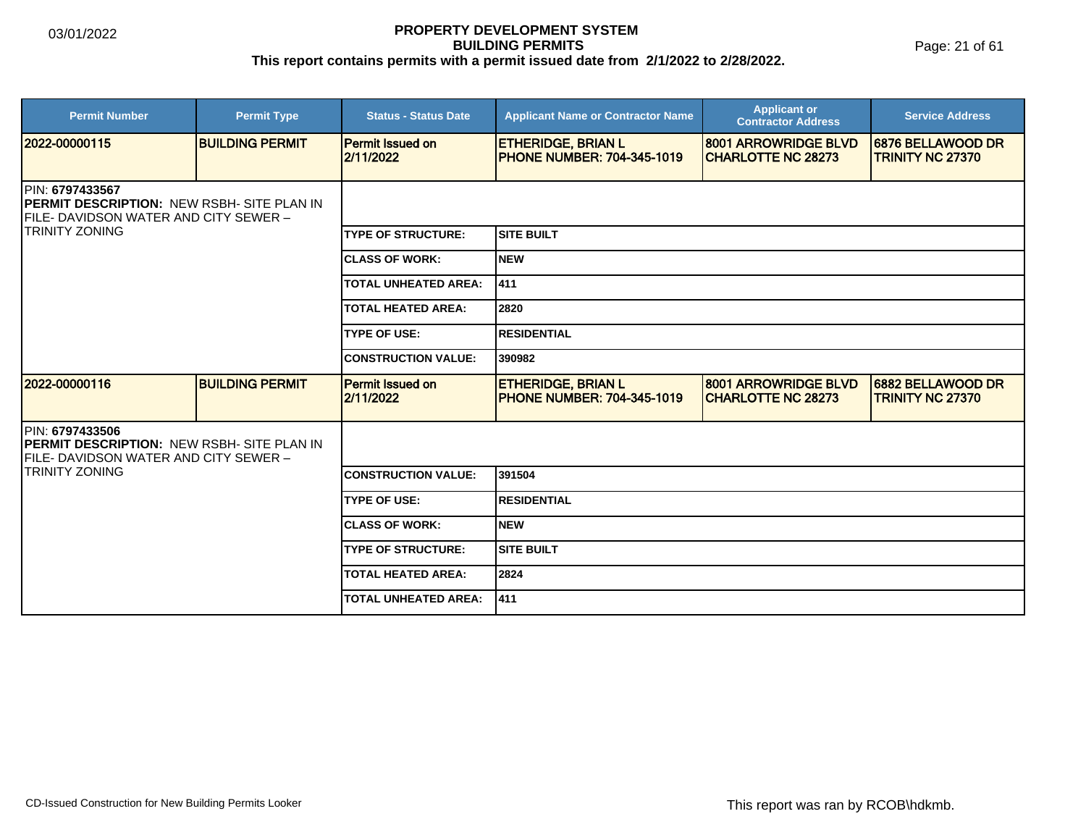Page: 21 of 61

| <b>Permit Number</b>                                                                                                                                   | <b>Permit Type</b>     | <b>Status - Status Date</b>          | <b>Applicant Name or Contractor Name</b>                       | <b>Applicant or</b><br><b>Contractor Address</b>  | <b>Service Address</b>                       |  |
|--------------------------------------------------------------------------------------------------------------------------------------------------------|------------------------|--------------------------------------|----------------------------------------------------------------|---------------------------------------------------|----------------------------------------------|--|
| 12022-00000115                                                                                                                                         | <b>BUILDING PERMIT</b> | <b>Permit Issued on</b><br>2/11/2022 | <b>ETHERIDGE, BRIAN L</b><br><b>PHONE NUMBER: 704-345-1019</b> | 8001 ARROWRIDGE BLVD<br><b>CHARLOTTE NC 28273</b> | 6876 BELLAWOOD DR<br><b>TRINITY NC 27370</b> |  |
| <b>PIN: 6797433567</b><br><b>PERMIT DESCRIPTION: NEW RSBH- SITE PLAN IN</b><br><b>IFILE- DAVIDSON WATER AND CITY SEWER -</b><br><b>ITRINITY ZONING</b> |                        |                                      |                                                                |                                                   |                                              |  |
|                                                                                                                                                        |                        | <b>TYPE OF STRUCTURE:</b>            | ISITE BUILT                                                    |                                                   |                                              |  |
|                                                                                                                                                        |                        | <b>CLASS OF WORK:</b>                | Inew                                                           |                                                   |                                              |  |
|                                                                                                                                                        |                        | <b>TOTAL UNHEATED AREA:</b>          | 411                                                            |                                                   |                                              |  |
|                                                                                                                                                        |                        | <b>TOTAL HEATED AREA:</b>            | 2820                                                           |                                                   |                                              |  |
|                                                                                                                                                        |                        | <b>TYPE OF USE:</b>                  | <b>IRESIDENTIAL</b>                                            |                                                   |                                              |  |
|                                                                                                                                                        |                        | <b>CONSTRUCTION VALUE:</b>           | 390982                                                         |                                                   |                                              |  |
| 2022-00000116                                                                                                                                          | <b>BUILDING PERMIT</b> | <b>Permit Issued on</b><br>2/11/2022 | <b>ETHERIDGE, BRIAN L</b><br><b>PHONE NUMBER: 704-345-1019</b> | 8001 ARROWRIDGE BLVD<br><b>CHARLOTTE NC 28273</b> | 6882 BELLAWOOD DR<br><b>TRINITY NC 27370</b> |  |
| PIN: 6797433506<br><b>PERMIT DESCRIPTION: NEW RSBH- SITE PLAN IN</b><br>FILE- DAVIDSON WATER AND CITY SEWER -                                          |                        |                                      |                                                                |                                                   |                                              |  |
| <b>TRINITY ZONING</b>                                                                                                                                  |                        | <b>CONSTRUCTION VALUE:</b>           | 391504                                                         |                                                   |                                              |  |
|                                                                                                                                                        |                        | <b>TYPE OF USE:</b>                  | <b>RESIDENTIAL</b>                                             |                                                   |                                              |  |
|                                                                                                                                                        |                        | <b>CLASS OF WORK:</b>                | Inew                                                           |                                                   |                                              |  |
|                                                                                                                                                        |                        | <b>TYPE OF STRUCTURE:</b>            | <b>SITE BUILT</b>                                              |                                                   |                                              |  |
|                                                                                                                                                        |                        | <b>TOTAL HEATED AREA:</b>            | 2824                                                           |                                                   |                                              |  |
|                                                                                                                                                        |                        | <b>TOTAL UNHEATED AREA:</b>          | 411                                                            |                                                   |                                              |  |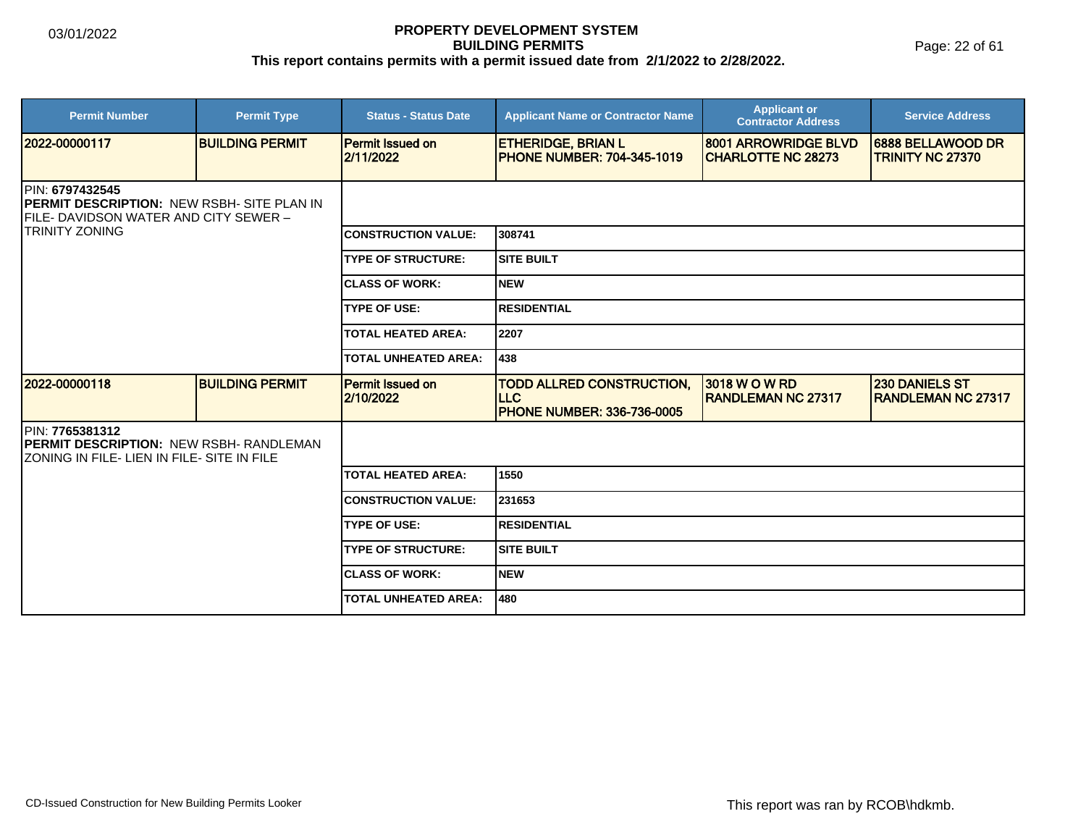Page: 22 of 61

| <b>Permit Number</b>                                                                                                                   | <b>Permit Type</b>     | <b>Status - Status Date</b>          | <b>Applicant Name or Contractor Name</b>                                             | <b>Applicant or</b><br><b>Contractor Address</b>   | <b>Service Address</b>                             |  |  |
|----------------------------------------------------------------------------------------------------------------------------------------|------------------------|--------------------------------------|--------------------------------------------------------------------------------------|----------------------------------------------------|----------------------------------------------------|--|--|
| 2022-00000117                                                                                                                          | <b>BUILDING PERMIT</b> | <b>Permit Issued on</b><br>2/11/2022 | <b>ETHERIDGE, BRIAN L</b><br><b>PHONE NUMBER: 704-345-1019</b>                       | 8001 ARROWRIDGE BLVD<br><b>ICHARLOTTE NC 28273</b> | 6888 BELLAWOOD DR<br><b>TRINITY NC 27370</b>       |  |  |
| PIN: 6797432545<br><b>PERMIT DESCRIPTION: NEW RSBH- SITE PLAN IN</b><br>FILE- DAVIDSON WATER AND CITY SEWER -<br><b>TRINITY ZONING</b> |                        |                                      |                                                                                      |                                                    |                                                    |  |  |
|                                                                                                                                        |                        | <b>CONSTRUCTION VALUE:</b>           | 308741                                                                               |                                                    |                                                    |  |  |
|                                                                                                                                        |                        | <b>TYPE OF STRUCTURE:</b>            | <b>SITE BUILT</b>                                                                    |                                                    |                                                    |  |  |
|                                                                                                                                        |                        | <b>CLASS OF WORK:</b>                | <b>NEW</b>                                                                           |                                                    |                                                    |  |  |
|                                                                                                                                        |                        | <b>TYPE OF USE:</b>                  | <b>RESIDENTIAL</b>                                                                   |                                                    |                                                    |  |  |
|                                                                                                                                        |                        | <b>TOTAL HEATED AREA:</b>            | 2207                                                                                 |                                                    |                                                    |  |  |
|                                                                                                                                        |                        | <b>TOTAL UNHEATED AREA:</b>          | 1438                                                                                 |                                                    |                                                    |  |  |
| 2022-00000118                                                                                                                          | <b>BUILDING PERMIT</b> | <b>Permit Issued on</b><br>2/10/2022 | <b>TODD ALLRED CONSTRUCTION,</b><br><b>ILLC</b><br><b>PHONE NUMBER: 336-736-0005</b> | 3018 W O W RD<br><b>RANDLEMAN NC 27317</b>         | <b>230 DANIELS ST</b><br><b>RANDLEMAN NC 27317</b> |  |  |
| PIN: 7765381312<br><b>PERMIT DESCRIPTION: NEW RSBH- RANDLEMAN</b><br>ZONING IN FILE- LIEN IN FILE- SITE IN FILE                        |                        |                                      |                                                                                      |                                                    |                                                    |  |  |
|                                                                                                                                        |                        | <b>TOTAL HEATED AREA:</b>            | 1550                                                                                 |                                                    |                                                    |  |  |
|                                                                                                                                        |                        | <b>CONSTRUCTION VALUE:</b>           | 231653                                                                               |                                                    |                                                    |  |  |
|                                                                                                                                        |                        | <b>TYPE OF USE:</b>                  | <b>RESIDENTIAL</b>                                                                   |                                                    |                                                    |  |  |
|                                                                                                                                        |                        | <b>TYPE OF STRUCTURE:</b>            | <b>SITE BUILT</b>                                                                    |                                                    |                                                    |  |  |
|                                                                                                                                        |                        | <b>CLASS OF WORK:</b>                | NEW                                                                                  |                                                    |                                                    |  |  |
|                                                                                                                                        |                        | <b>TOTAL UNHEATED AREA:</b>          | 480                                                                                  |                                                    |                                                    |  |  |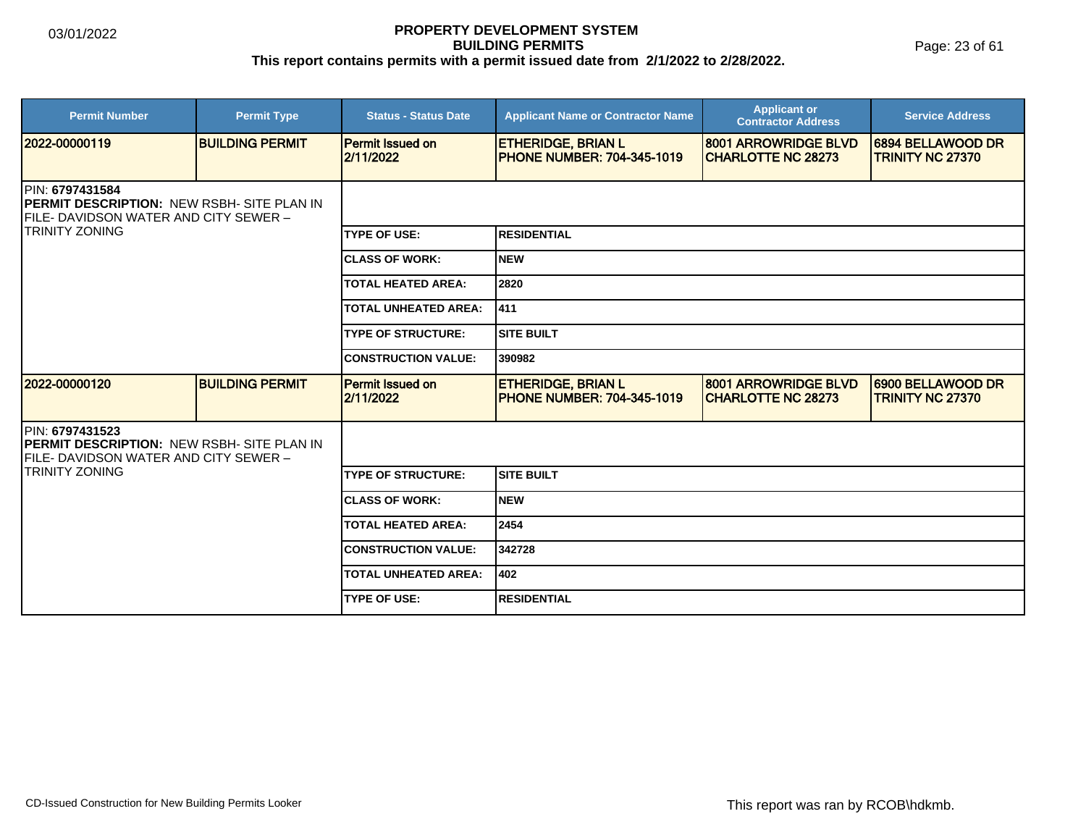Page: 23 of 61

| <b>Permit Number</b>                                                                                                                    | <b>Permit Type</b>     | <b>Status - Status Date</b>          | <b>Applicant Name or Contractor Name</b>                       | <b>Applicant or</b><br><b>Contractor Address</b>          | <b>Service Address</b>                       |  |
|-----------------------------------------------------------------------------------------------------------------------------------------|------------------------|--------------------------------------|----------------------------------------------------------------|-----------------------------------------------------------|----------------------------------------------|--|
| 12022-00000119                                                                                                                          | <b>BUILDING PERMIT</b> | <b>Permit Issued on</b><br>2/11/2022 | <b>ETHERIDGE, BRIAN L</b><br><b>PHONE NUMBER: 704-345-1019</b> | <b>8001 ARROWRIDGE BLVD</b><br><b>ICHARLOTTE NC 28273</b> | 6894 BELLAWOOD DR<br><b>TRINITY NC 27370</b> |  |
| PIN: 6797431584<br><b>PERMIT DESCRIPTION: NEW RSBH- SITE PLAN IN</b><br>FILE- DAVIDSON WATER AND CITY SEWER -<br><b>ITRINITY ZONING</b> |                        |                                      |                                                                |                                                           |                                              |  |
|                                                                                                                                         |                        | <b>TYPE OF USE:</b>                  | <b>RESIDENTIAL</b>                                             |                                                           |                                              |  |
|                                                                                                                                         |                        | <b>ICLASS OF WORK:</b>               | <b>NEW</b>                                                     |                                                           |                                              |  |
|                                                                                                                                         |                        | <b>TOTAL HEATED AREA:</b>            | 2820                                                           |                                                           |                                              |  |
|                                                                                                                                         |                        | <b>TOTAL UNHEATED AREA:</b>          | 411                                                            |                                                           |                                              |  |
|                                                                                                                                         |                        | <b>TYPE OF STRUCTURE:</b>            | <b>SITE BUILT</b>                                              |                                                           |                                              |  |
|                                                                                                                                         |                        | <b>CONSTRUCTION VALUE:</b>           | 390982                                                         |                                                           |                                              |  |
| 2022-00000120                                                                                                                           | <b>BUILDING PERMIT</b> | Permit Issued on<br>2/11/2022        | <b>ETHERIDGE, BRIAN L</b><br><b>PHONE NUMBER: 704-345-1019</b> | 8001 ARROWRIDGE BLVD<br><b>CHARLOTTE NC 28273</b>         | 6900 BELLAWOOD DR<br><b>TRINITY NC 27370</b> |  |
| <b>IPIN: 6797431523</b><br><b>IPERMIT DESCRIPTION: NEW RSBH- SITE PLAN IN</b><br>FILE- DAVIDSON WATER AND CITY SEWER -                  |                        |                                      |                                                                |                                                           |                                              |  |
| <b>TRINITY ZONING</b>                                                                                                                   |                        | <b>TYPE OF STRUCTURE:</b>            | <b>SITE BUILT</b>                                              |                                                           |                                              |  |
|                                                                                                                                         |                        | <b>ICLASS OF WORK:</b>               | <b>NEW</b>                                                     |                                                           |                                              |  |
|                                                                                                                                         |                        | <b>TOTAL HEATED AREA:</b>            | 2454                                                           |                                                           |                                              |  |
|                                                                                                                                         |                        | <b>CONSTRUCTION VALUE:</b>           | 342728                                                         |                                                           |                                              |  |
|                                                                                                                                         |                        | <b>TOTAL UNHEATED AREA:</b>          | 402                                                            |                                                           |                                              |  |
|                                                                                                                                         |                        | <b>TYPE OF USE:</b>                  | <b>RESIDENTIAL</b>                                             |                                                           |                                              |  |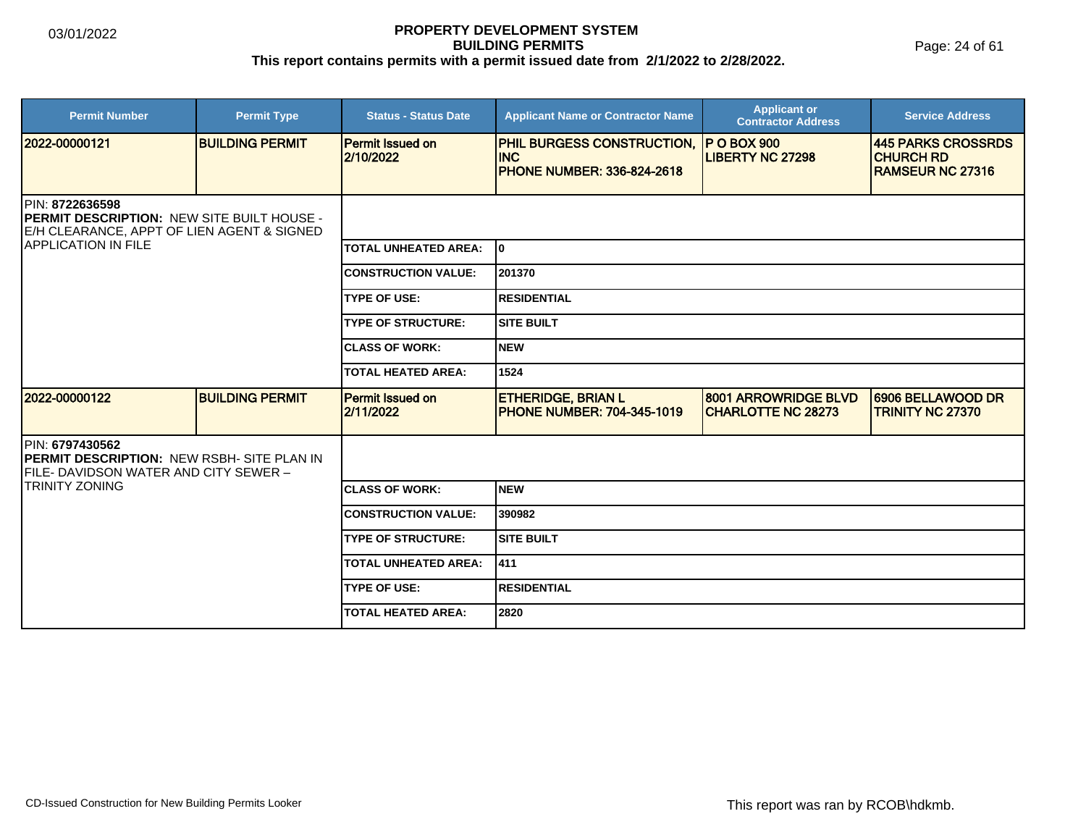Page: 24 of 61

| <b>Permit Number</b>                                                                                                                       | <b>Permit Type</b>     | <b>Status - Status Date</b>   | <b>Applicant Name or Contractor Name</b>                                             | <b>Applicant or</b><br><b>Contractor Address</b>         | <b>Service Address</b>                                             |  |
|--------------------------------------------------------------------------------------------------------------------------------------------|------------------------|-------------------------------|--------------------------------------------------------------------------------------|----------------------------------------------------------|--------------------------------------------------------------------|--|
| 2022-00000121                                                                                                                              | <b>BUILDING PERMIT</b> | Permit Issued on<br>2/10/2022 | <b>PHIL BURGESS CONSTRUCTION,</b><br><b>INC</b><br><b>PHONE NUMBER: 336-824-2618</b> | <b>P O BOX 900</b><br><b>LIBERTY NC 27298</b>            | 445 PARKS CROSSRDS<br><b>CHURCH RD</b><br><b>IRAMSEUR NC 27316</b> |  |
| PIN: 8722636598<br><b>PERMIT DESCRIPTION: NEW SITE BUILT HOUSE -</b><br>E/H CLEARANCE, APPT OF LIEN AGENT & SIGNED<br>IAPPLICATION IN FILE |                        |                               |                                                                                      |                                                          |                                                                    |  |
|                                                                                                                                            |                        | <b>TOTAL UNHEATED AREA:</b>   | lo.                                                                                  |                                                          |                                                                    |  |
|                                                                                                                                            |                        | <b>CONSTRUCTION VALUE:</b>    | 201370                                                                               |                                                          |                                                                    |  |
|                                                                                                                                            |                        | <b>TYPE OF USE:</b>           | <b>IRESIDENTIAL</b>                                                                  |                                                          |                                                                    |  |
|                                                                                                                                            |                        | <b>TYPE OF STRUCTURE:</b>     | <b>SITE BUILT</b>                                                                    |                                                          |                                                                    |  |
|                                                                                                                                            |                        | <b>ICLASS OF WORK:</b>        | <b>NEW</b>                                                                           |                                                          |                                                                    |  |
|                                                                                                                                            |                        | TOTAL HEATED AREA:            | 1524                                                                                 |                                                          |                                                                    |  |
| 2022-00000122                                                                                                                              | <b>BUILDING PERMIT</b> | Permit Issued on<br>2/11/2022 | <b>ETHERIDGE, BRIAN L</b><br><b>PHONE NUMBER: 704-345-1019</b>                       | <b>8001 ARROWRIDGE BLVD</b><br><b>CHARLOTTE NC 28273</b> | 6906 BELLAWOOD DR<br><b>TRINITY NC 27370</b>                       |  |
| PIN: 6797430562<br><b>PERMIT DESCRIPTION: NEW RSBH- SITE PLAN IN</b><br>FILE- DAVIDSON WATER AND CITY SEWER -                              |                        |                               |                                                                                      |                                                          |                                                                    |  |
| <b>TRINITY ZONING</b>                                                                                                                      |                        | <b>ICLASS OF WORK:</b>        | Inew                                                                                 |                                                          |                                                                    |  |
|                                                                                                                                            |                        | <b>CONSTRUCTION VALUE:</b>    | 390982                                                                               |                                                          |                                                                    |  |
|                                                                                                                                            |                        | <b>TYPE OF STRUCTURE:</b>     | <b>SITE BUILT</b>                                                                    |                                                          |                                                                    |  |
|                                                                                                                                            |                        | <b>TOTAL UNHEATED AREA:</b>   | 1411                                                                                 |                                                          |                                                                    |  |
|                                                                                                                                            |                        | <b>ITYPE OF USE:</b>          | <b>IRESIDENTIAL</b>                                                                  |                                                          |                                                                    |  |
|                                                                                                                                            |                        | <b>ITOTAL HEATED AREA:</b>    | 2820                                                                                 |                                                          |                                                                    |  |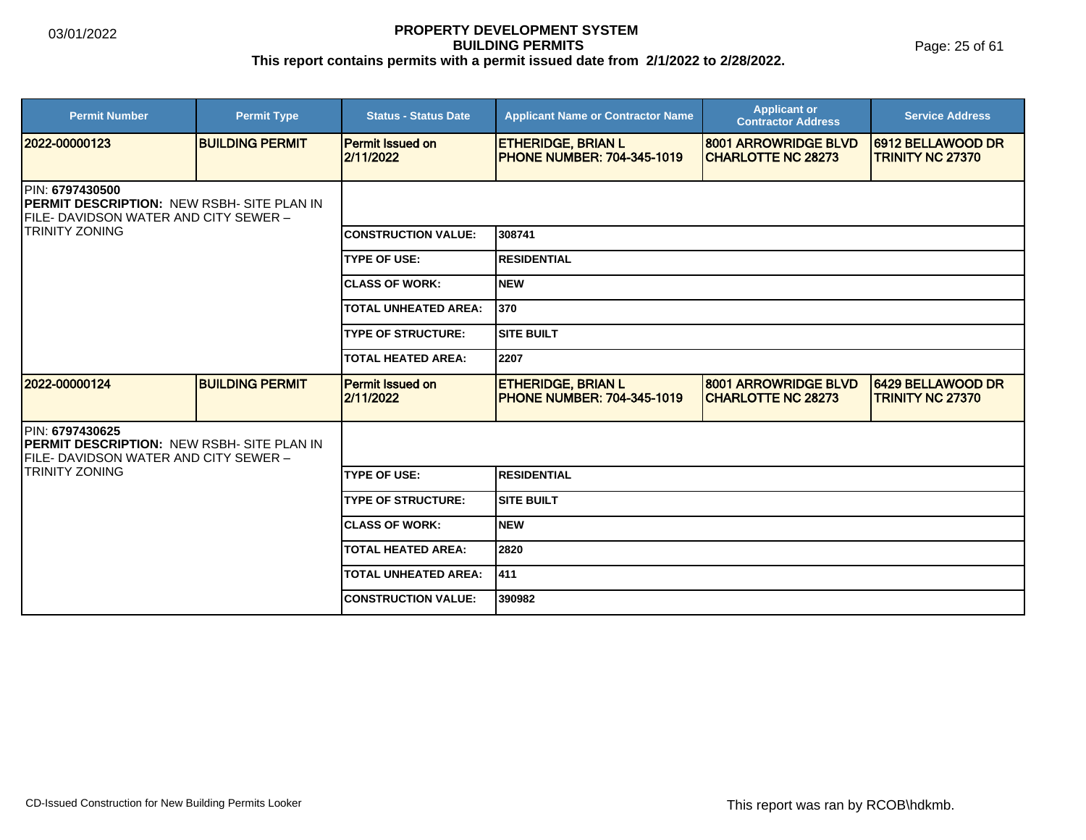Page: 25 of 61

| <b>Permit Number</b>                                                                                                                            | <b>Permit Type</b>     | <b>Status - Status Date</b>          | <b>Applicant Name or Contractor Name</b>                       | <b>Applicant or</b><br><b>Contractor Address</b>  | <b>Service Address</b>                       |  |
|-------------------------------------------------------------------------------------------------------------------------------------------------|------------------------|--------------------------------------|----------------------------------------------------------------|---------------------------------------------------|----------------------------------------------|--|
| 2022-00000123                                                                                                                                   | <b>BUILDING PERMIT</b> | <b>Permit Issued on</b><br>2/11/2022 | <b>ETHERIDGE, BRIAN L</b><br><b>PHONE NUMBER: 704-345-1019</b> | 8001 ARROWRIDGE BLVD<br><b>CHARLOTTE NC 28273</b> | 6912 BELLAWOOD DR<br><b>TRINITY NC 27370</b> |  |
| <b>IPIN: 6797430500</b><br><b>IPERMIT DESCRIPTION: NEW RSBH- SITE PLAN IN</b><br>FILE- DAVIDSON WATER AND CITY SEWER -<br><b>TRINITY ZONING</b> |                        |                                      |                                                                |                                                   |                                              |  |
|                                                                                                                                                 |                        | <b>CONSTRUCTION VALUE:</b>           | 308741                                                         |                                                   |                                              |  |
|                                                                                                                                                 |                        | <b>TYPE OF USE:</b>                  | <b>RESIDENTIAL</b>                                             |                                                   |                                              |  |
|                                                                                                                                                 |                        | <b>CLASS OF WORK:</b>                | <b>NEW</b>                                                     |                                                   |                                              |  |
|                                                                                                                                                 |                        | <b>TOTAL UNHEATED AREA:</b>          | 370                                                            |                                                   |                                              |  |
|                                                                                                                                                 |                        | <b>TYPE OF STRUCTURE:</b>            | <b>SITE BUILT</b>                                              |                                                   |                                              |  |
|                                                                                                                                                 |                        | <b>TOTAL HEATED AREA:</b>            | 2207                                                           |                                                   |                                              |  |
| 2022-00000124                                                                                                                                   | <b>BUILDING PERMIT</b> | <b>Permit Issued on</b><br>2/11/2022 | <b>ETHERIDGE, BRIAN L</b><br><b>PHONE NUMBER: 704-345-1019</b> | 8001 ARROWRIDGE BLVD<br><b>CHARLOTTE NC 28273</b> | 6429 BELLAWOOD DR<br><b>TRINITY NC 27370</b> |  |
| PIN: 6797430625<br><b>PERMIT DESCRIPTION: NEW RSBH- SITE PLAN IN</b><br>FILE- DAVIDSON WATER AND CITY SEWER –                                   |                        |                                      |                                                                |                                                   |                                              |  |
| TRINITY ZONING                                                                                                                                  |                        | <b>TYPE OF USE:</b>                  | <b>RESIDENTIAL</b>                                             |                                                   |                                              |  |
|                                                                                                                                                 |                        | <b>TYPE OF STRUCTURE:</b>            | <b>SITE BUILT</b>                                              |                                                   |                                              |  |
|                                                                                                                                                 |                        | <b>CLASS OF WORK:</b>                | <b>NEW</b>                                                     |                                                   |                                              |  |
|                                                                                                                                                 |                        | <b>TOTAL HEATED AREA:</b>            | 2820                                                           |                                                   |                                              |  |
|                                                                                                                                                 |                        | <b>TOTAL UNHEATED AREA:</b>          | 411]                                                           |                                                   |                                              |  |
|                                                                                                                                                 |                        | <b>CONSTRUCTION VALUE:</b>           | 390982                                                         |                                                   |                                              |  |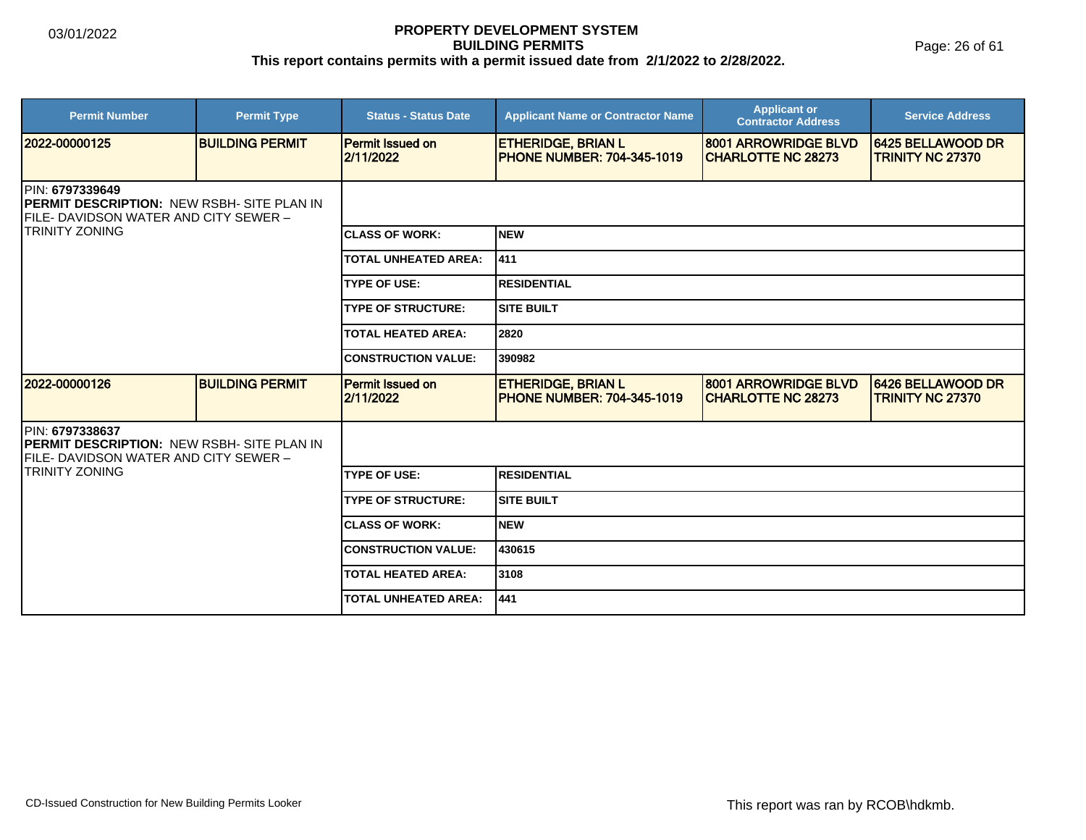Page: 26 of 61

| <b>Permit Number</b>                                                                                           | <b>Permit Type</b>     | <b>Status - Status Date</b>          | <b>Applicant Name or Contractor Name</b>                       | <b>Applicant or</b><br><b>Contractor Address</b>  | <b>Service Address</b>                       |  |
|----------------------------------------------------------------------------------------------------------------|------------------------|--------------------------------------|----------------------------------------------------------------|---------------------------------------------------|----------------------------------------------|--|
| 2022-00000125                                                                                                  | <b>BUILDING PERMIT</b> | <b>Permit Issued on</b><br>2/11/2022 | <b>ETHERIDGE, BRIAN L</b><br><b>PHONE NUMBER: 704-345-1019</b> | 8001 ARROWRIDGE BLVD<br><b>CHARLOTTE NC 28273</b> | 6425 BELLAWOOD DR<br><b>TRINITY NC 27370</b> |  |
| PIN: 6797339649<br><b>IPERMIT DESCRIPTION: NEW RSBH- SITE PLAN IN</b><br>FILE- DAVIDSON WATER AND CITY SEWER - |                        |                                      |                                                                |                                                   |                                              |  |
| <b>TRINITY ZONING</b>                                                                                          |                        | <b>CLASS OF WORK:</b>                | <b>NEW</b>                                                     |                                                   |                                              |  |
|                                                                                                                |                        | <b>TOTAL UNHEATED AREA:</b>          | 411                                                            |                                                   |                                              |  |
|                                                                                                                |                        | <b>TYPE OF USE:</b>                  | <b>RESIDENTIAL</b>                                             |                                                   |                                              |  |
|                                                                                                                |                        | <b>TYPE OF STRUCTURE:</b>            | <b>SITE BUILT</b>                                              |                                                   |                                              |  |
|                                                                                                                |                        | <b>TOTAL HEATED AREA:</b>            | 2820                                                           |                                                   |                                              |  |
|                                                                                                                |                        | <b>CONSTRUCTION VALUE:</b>           | 390982                                                         |                                                   |                                              |  |
| 2022-00000126                                                                                                  | <b>BUILDING PERMIT</b> | <b>Permit Issued on</b><br>2/11/2022 | <b>ETHERIDGE, BRIAN L</b><br><b>PHONE NUMBER: 704-345-1019</b> | 8001 ARROWRIDGE BLVD<br><b>CHARLOTTE NC 28273</b> | 6426 BELLAWOOD DR<br><b>TRINITY NC 27370</b> |  |
| PIN: 6797338637<br><b>PERMIT DESCRIPTION: NEW RSBH- SITE PLAN IN</b><br>FILE- DAVIDSON WATER AND CITY SEWER –  |                        |                                      |                                                                |                                                   |                                              |  |
| TRINITY ZONING                                                                                                 |                        | <b>TYPE OF USE:</b>                  | <b>RESIDENTIAL</b>                                             |                                                   |                                              |  |
|                                                                                                                |                        | <b>TYPE OF STRUCTURE:</b>            | <b>SITE BUILT</b>                                              |                                                   |                                              |  |
|                                                                                                                |                        | <b>CLASS OF WORK:</b>                | <b>NEW</b>                                                     |                                                   |                                              |  |
|                                                                                                                |                        | <b>CONSTRUCTION VALUE:</b>           | 430615                                                         |                                                   |                                              |  |
|                                                                                                                |                        | <b>TOTAL HEATED AREA:</b>            | 3108                                                           |                                                   |                                              |  |
|                                                                                                                |                        | <b>TOTAL UNHEATED AREA:</b>          | 441                                                            |                                                   |                                              |  |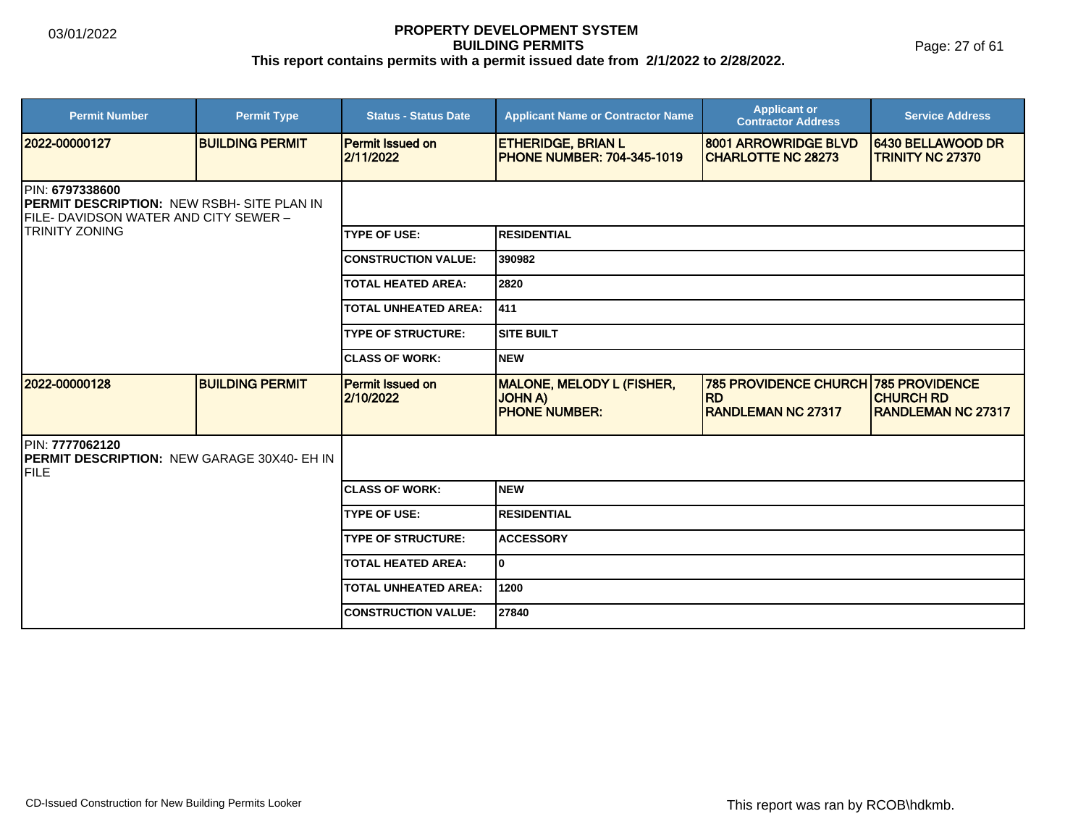Page: 27 of 61

| <b>Permit Number</b>                                                                                                | <b>Permit Type</b>     | <b>Status - Status Date</b>          | <b>Applicant Name or Contractor Name</b>                                 | <b>Applicant or</b><br><b>Contractor Address</b>                       | <b>Service Address</b>                                                 |  |
|---------------------------------------------------------------------------------------------------------------------|------------------------|--------------------------------------|--------------------------------------------------------------------------|------------------------------------------------------------------------|------------------------------------------------------------------------|--|
| 2022-00000127                                                                                                       | <b>BUILDING PERMIT</b> | <b>Permit Issued on</b><br>2/11/2022 | <b>ETHERIDGE, BRIAN L</b><br><b>PHONE NUMBER: 704-345-1019</b>           | 8001 ARROWRIDGE BLVD<br><b>CHARLOTTE NC 28273</b>                      | 6430 BELLAWOOD DR<br><b>TRINITY NC 27370</b>                           |  |
| <b>PIN: 6797338600</b><br><b>PERMIT DESCRIPTION: NEW RSBH- SITE PLAN IN</b><br>FILE-DAVIDSON WATER AND CITY SEWER - |                        |                                      |                                                                          |                                                                        |                                                                        |  |
| <b>ITRINITY ZONING</b>                                                                                              |                        | <b>TYPE OF USE:</b>                  | <b>RESIDENTIAL</b>                                                       |                                                                        |                                                                        |  |
|                                                                                                                     |                        | <b>CONSTRUCTION VALUE:</b>           | 390982                                                                   |                                                                        |                                                                        |  |
|                                                                                                                     |                        | <b>TOTAL HEATED AREA:</b>            | 2820                                                                     |                                                                        |                                                                        |  |
|                                                                                                                     |                        | <b>TOTAL UNHEATED AREA:</b>          | 1411                                                                     |                                                                        |                                                                        |  |
|                                                                                                                     |                        | <b>TYPE OF STRUCTURE:</b>            | ISITE BUILT                                                              |                                                                        |                                                                        |  |
|                                                                                                                     |                        | <b>CLASS OF WORK:</b>                | Inew                                                                     |                                                                        |                                                                        |  |
| 2022-00000128                                                                                                       | <b>BUILDING PERMIT</b> | <b>Permit Issued on</b><br>2/10/2022 | <b>MALONE, MELODY L (FISHER,</b><br><b>JOHNA</b><br><b>PHONE NUMBER:</b> | <b>785 PROVIDENCE CHURCH</b><br><b>RD</b><br><b>RANDLEMAN NC 27317</b> | <b>785 PROVIDENCE</b><br><b>CHURCH RD</b><br><b>RANDLEMAN NC 27317</b> |  |
| PIN: 7777062120<br><b>PERMIT DESCRIPTION: NEW GARAGE 30X40- EH IN</b><br>FILE                                       |                        |                                      |                                                                          |                                                                        |                                                                        |  |
|                                                                                                                     |                        | <b>CLASS OF WORK:</b>                | Inew                                                                     |                                                                        |                                                                        |  |
|                                                                                                                     |                        | <b>TYPE OF USE:</b>                  | <b>RESIDENTIAL</b>                                                       |                                                                        |                                                                        |  |
|                                                                                                                     |                        | <b>TYPE OF STRUCTURE:</b>            | <b>ACCESSORY</b>                                                         |                                                                        |                                                                        |  |
|                                                                                                                     |                        | <b>TOTAL HEATED AREA:</b>            | lo.                                                                      |                                                                        |                                                                        |  |
|                                                                                                                     |                        | <b>TOTAL UNHEATED AREA:</b>          | 1200                                                                     |                                                                        |                                                                        |  |
|                                                                                                                     |                        | <b>CONSTRUCTION VALUE:</b>           | 27840                                                                    |                                                                        |                                                                        |  |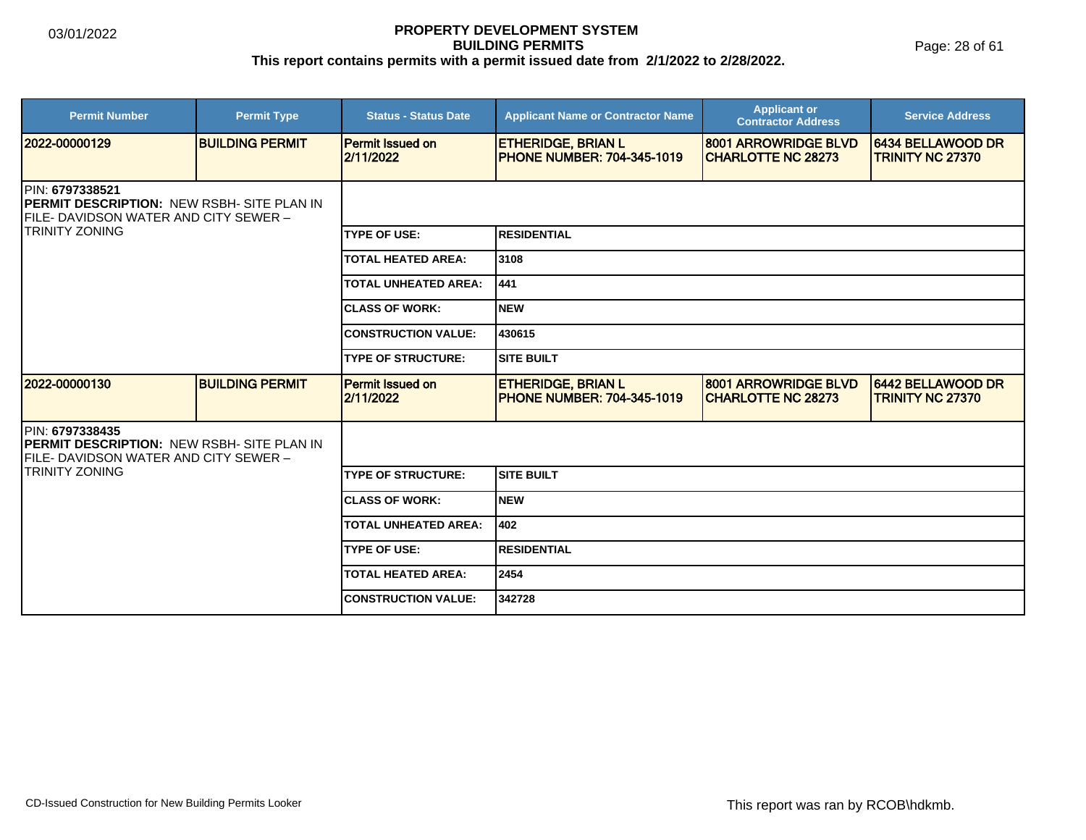Page: 28 of 61

| <b>Permit Number</b>                                                                                                                            | <b>Permit Type</b>     | <b>Status - Status Date</b>          | <b>Applicant Name or Contractor Name</b>                       | <b>Applicant or</b><br><b>Contractor Address</b>  | <b>Service Address</b>                              |  |
|-------------------------------------------------------------------------------------------------------------------------------------------------|------------------------|--------------------------------------|----------------------------------------------------------------|---------------------------------------------------|-----------------------------------------------------|--|
| 2022-00000129                                                                                                                                   | <b>BUILDING PERMIT</b> | <b>Permit Issued on</b><br>2/11/2022 | <b>ETHERIDGE, BRIAN L</b><br><b>PHONE NUMBER: 704-345-1019</b> | 8001 ARROWRIDGE BLVD<br><b>CHARLOTTE NC 28273</b> | <b>6434 BELLAWOOD DR</b><br><b>TRINITY NC 27370</b> |  |
| <b>IPIN: 6797338521</b><br><b>IPERMIT DESCRIPTION: NEW RSBH- SITE PLAN IN</b><br>FILE- DAVIDSON WATER AND CITY SEWER -<br><b>TRINITY ZONING</b> |                        |                                      |                                                                |                                                   |                                                     |  |
|                                                                                                                                                 |                        | <b>TYPE OF USE:</b>                  | <b>RESIDENTIAL</b>                                             |                                                   |                                                     |  |
|                                                                                                                                                 |                        | <b>TOTAL HEATED AREA:</b>            | 3108                                                           |                                                   |                                                     |  |
|                                                                                                                                                 |                        | <b>TOTAL UNHEATED AREA:</b>          | 441                                                            |                                                   |                                                     |  |
|                                                                                                                                                 |                        | <b>CLASS OF WORK:</b>                | <b>NEW</b>                                                     |                                                   |                                                     |  |
|                                                                                                                                                 |                        | <b>CONSTRUCTION VALUE:</b>           | 430615                                                         |                                                   |                                                     |  |
|                                                                                                                                                 |                        | <b>TYPE OF STRUCTURE:</b>            | <b>SITE BUILT</b>                                              |                                                   |                                                     |  |
| 2022-00000130                                                                                                                                   | <b>BUILDING PERMIT</b> | <b>Permit Issued on</b><br>2/11/2022 | <b>ETHERIDGE, BRIAN L</b><br><b>PHONE NUMBER: 704-345-1019</b> | 8001 ARROWRIDGE BLVD<br><b>CHARLOTTE NC 28273</b> | 6442 BELLAWOOD DR<br><b>TRINITY NC 27370</b>        |  |
| PIN: 6797338435<br><b>PERMIT DESCRIPTION: NEW RSBH- SITE PLAN IN</b><br>FILE- DAVIDSON WATER AND CITY SEWER –                                   |                        |                                      |                                                                |                                                   |                                                     |  |
| TRINITY ZONING                                                                                                                                  |                        | <b>TYPE OF STRUCTURE:</b>            | <b>SITE BUILT</b>                                              |                                                   |                                                     |  |
|                                                                                                                                                 |                        | <b>CLASS OF WORK:</b>                | <b>NEW</b>                                                     |                                                   |                                                     |  |
|                                                                                                                                                 |                        | <b>TOTAL UNHEATED AREA:</b>          | 402                                                            |                                                   |                                                     |  |
|                                                                                                                                                 |                        | <b>TYPE OF USE:</b>                  | <b>RESIDENTIAL</b>                                             |                                                   |                                                     |  |
|                                                                                                                                                 |                        | <b>TOTAL HEATED AREA:</b>            | 2454                                                           |                                                   |                                                     |  |
|                                                                                                                                                 |                        | <b>CONSTRUCTION VALUE:</b>           | 342728                                                         |                                                   |                                                     |  |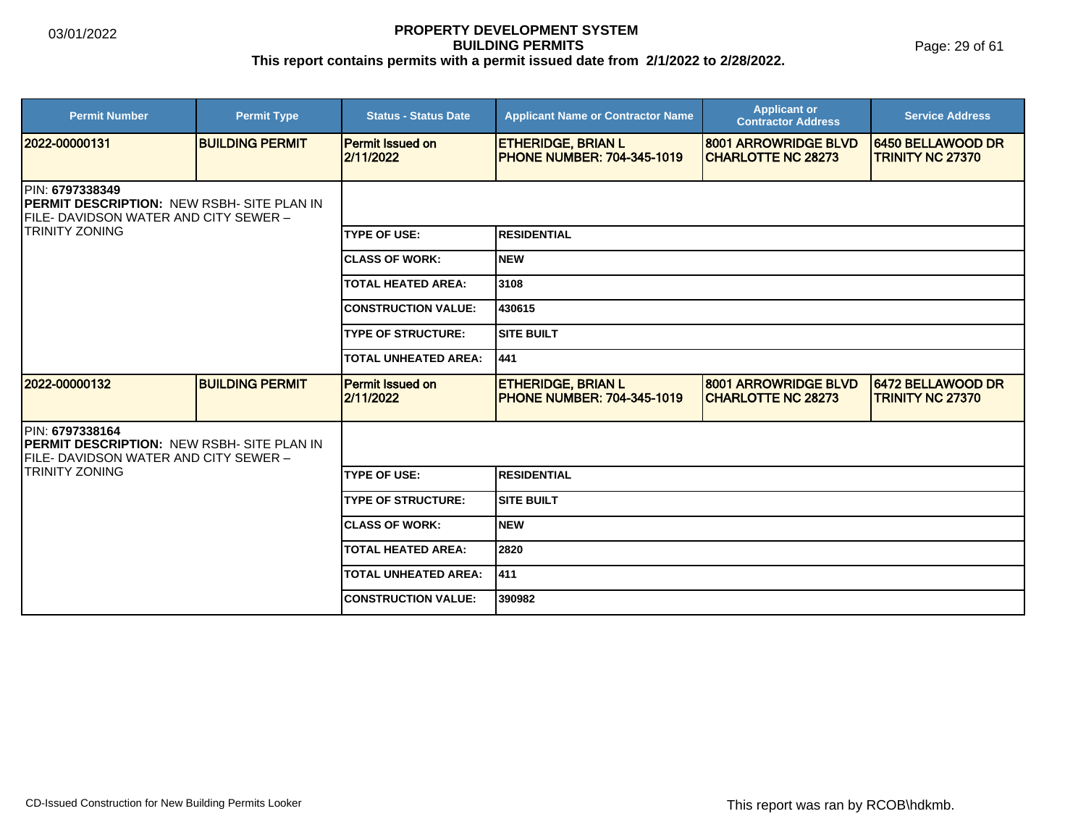Page: 29 of 61

| <b>Permit Number</b>                                                                                                                    | <b>Permit Type</b>     | <b>Status - Status Date</b>          | <b>Applicant Name or Contractor Name</b>                       | <b>Applicant or</b><br><b>Contractor Address</b>  | <b>Service Address</b>                       |  |
|-----------------------------------------------------------------------------------------------------------------------------------------|------------------------|--------------------------------------|----------------------------------------------------------------|---------------------------------------------------|----------------------------------------------|--|
| 2022-00000131                                                                                                                           | <b>BUILDING PERMIT</b> | <b>Permit Issued on</b><br>2/11/2022 | <b>ETHERIDGE, BRIAN L</b><br><b>PHONE NUMBER: 704-345-1019</b> | 8001 ARROWRIDGE BLVD<br><b>CHARLOTTE NC 28273</b> | 6450 BELLAWOOD DR<br><b>TRINITY NC 27370</b> |  |
| PIN: 6797338349<br><b>IPERMIT DESCRIPTION: NEW RSBH- SITE PLAN IN</b><br>FILE- DAVIDSON WATER AND CITY SEWER -<br><b>TRINITY ZONING</b> |                        |                                      |                                                                |                                                   |                                              |  |
|                                                                                                                                         |                        | <b>TYPE OF USE:</b>                  | <b>RESIDENTIAL</b>                                             |                                                   |                                              |  |
|                                                                                                                                         |                        | <b>CLASS OF WORK:</b>                | <b>NEW</b>                                                     |                                                   |                                              |  |
|                                                                                                                                         |                        | <b>TOTAL HEATED AREA:</b>            | 3108                                                           |                                                   |                                              |  |
|                                                                                                                                         |                        | <b>CONSTRUCTION VALUE:</b>           | 430615                                                         |                                                   |                                              |  |
|                                                                                                                                         |                        | <b>TYPE OF STRUCTURE:</b>            | <b>SITE BUILT</b>                                              |                                                   |                                              |  |
|                                                                                                                                         |                        | <b>TOTAL UNHEATED AREA:</b>          | 441                                                            |                                                   |                                              |  |
| 2022-00000132                                                                                                                           | <b>BUILDING PERMIT</b> | <b>Permit Issued on</b><br>2/11/2022 | <b>ETHERIDGE, BRIAN L</b><br><b>PHONE NUMBER: 704-345-1019</b> | 8001 ARROWRIDGE BLVD<br><b>CHARLOTTE NC 28273</b> | 6472 BELLAWOOD DR<br><b>TRINITY NC 27370</b> |  |
| PIN: 6797338164<br><b>PERMIT DESCRIPTION: NEW RSBH- SITE PLAN IN</b><br>FILE- DAVIDSON WATER AND CITY SEWER –                           |                        |                                      |                                                                |                                                   |                                              |  |
| TRINITY ZONING                                                                                                                          |                        | <b>TYPE OF USE:</b>                  | <b>RESIDENTIAL</b>                                             |                                                   |                                              |  |
|                                                                                                                                         |                        | <b>TYPE OF STRUCTURE:</b>            | <b>SITE BUILT</b>                                              |                                                   |                                              |  |
|                                                                                                                                         |                        | <b>CLASS OF WORK:</b>                | <b>NEW</b>                                                     |                                                   |                                              |  |
|                                                                                                                                         |                        | <b>TOTAL HEATED AREA:</b>            | 2820                                                           |                                                   |                                              |  |
|                                                                                                                                         |                        | <b>TOTAL UNHEATED AREA:</b>          | 411]                                                           |                                                   |                                              |  |
|                                                                                                                                         |                        | <b>CONSTRUCTION VALUE:</b>           | 390982                                                         |                                                   |                                              |  |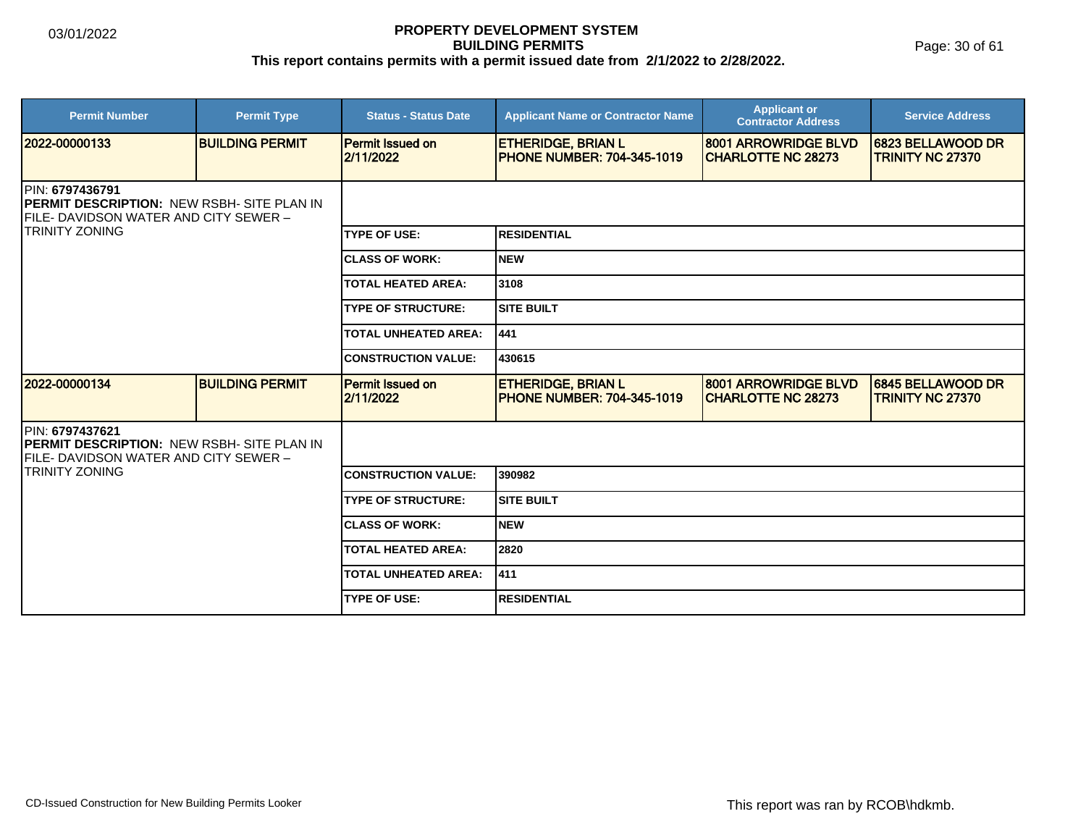Page: 30 of 61

| <b>Permit Number</b>                                                                                                                   | <b>Permit Type</b>     | <b>Status - Status Date</b>          | <b>Applicant Name or Contractor Name</b>                       | <b>Applicant or</b><br><b>Contractor Address</b>  | <b>Service Address</b>                              |  |  |
|----------------------------------------------------------------------------------------------------------------------------------------|------------------------|--------------------------------------|----------------------------------------------------------------|---------------------------------------------------|-----------------------------------------------------|--|--|
| 2022-00000133                                                                                                                          | <b>BUILDING PERMIT</b> | <b>Permit Issued on</b><br>2/11/2022 | <b>ETHERIDGE, BRIAN L</b><br><b>PHONE NUMBER: 704-345-1019</b> | 8001 ARROWRIDGE BLVD<br><b>CHARLOTTE NC 28273</b> | <b>6823 BELLAWOOD DR</b><br><b>TRINITY NC 27370</b> |  |  |
| PIN: 6797436791<br><b>PERMIT DESCRIPTION: NEW RSBH- SITE PLAN IN</b><br>FILE- DAVIDSON WATER AND CITY SEWER -<br><b>TRINITY ZONING</b> |                        |                                      |                                                                |                                                   |                                                     |  |  |
|                                                                                                                                        |                        | <b>TYPE OF USE:</b>                  | <b>RESIDENTIAL</b>                                             |                                                   |                                                     |  |  |
|                                                                                                                                        |                        | <b>CLASS OF WORK:</b>                | <b>NEW</b>                                                     |                                                   |                                                     |  |  |
|                                                                                                                                        |                        | <b>TOTAL HEATED AREA:</b>            | 3108                                                           |                                                   |                                                     |  |  |
|                                                                                                                                        |                        | <b>TYPE OF STRUCTURE:</b>            | <b>SITE BUILT</b>                                              |                                                   |                                                     |  |  |
|                                                                                                                                        |                        | <b>TOTAL UNHEATED AREA:</b>          | 441                                                            |                                                   |                                                     |  |  |
|                                                                                                                                        |                        | <b>CONSTRUCTION VALUE:</b>           | 430615                                                         |                                                   |                                                     |  |  |
| 2022-00000134                                                                                                                          | <b>BUILDING PERMIT</b> | <b>Permit Issued on</b><br>2/11/2022 | <b>ETHERIDGE, BRIAN L</b><br><b>PHONE NUMBER: 704-345-1019</b> | 8001 ARROWRIDGE BLVD<br><b>CHARLOTTE NC 28273</b> | 6845 BELLAWOOD DR<br><b>TRINITY NC 27370</b>        |  |  |
| PIN: 6797437621<br><b>PERMIT DESCRIPTION: NEW RSBH- SITE PLAN IN</b><br>FILE- DAVIDSON WATER AND CITY SEWER –                          |                        |                                      |                                                                |                                                   |                                                     |  |  |
| <b>TRINITY ZONING</b>                                                                                                                  |                        | <b>CONSTRUCTION VALUE:</b>           | 390982                                                         |                                                   |                                                     |  |  |
|                                                                                                                                        |                        | <b>TYPE OF STRUCTURE:</b>            | <b>SITE BUILT</b>                                              |                                                   |                                                     |  |  |
|                                                                                                                                        |                        | <b>CLASS OF WORK:</b>                | <b>NEW</b>                                                     |                                                   |                                                     |  |  |
|                                                                                                                                        |                        | <b>TOTAL HEATED AREA:</b>            | 2820                                                           |                                                   |                                                     |  |  |
|                                                                                                                                        |                        | <b>TOTAL UNHEATED AREA:</b>          | 411                                                            |                                                   |                                                     |  |  |
|                                                                                                                                        |                        | <b>TYPE OF USE:</b>                  | <b>RESIDENTIAL</b>                                             |                                                   |                                                     |  |  |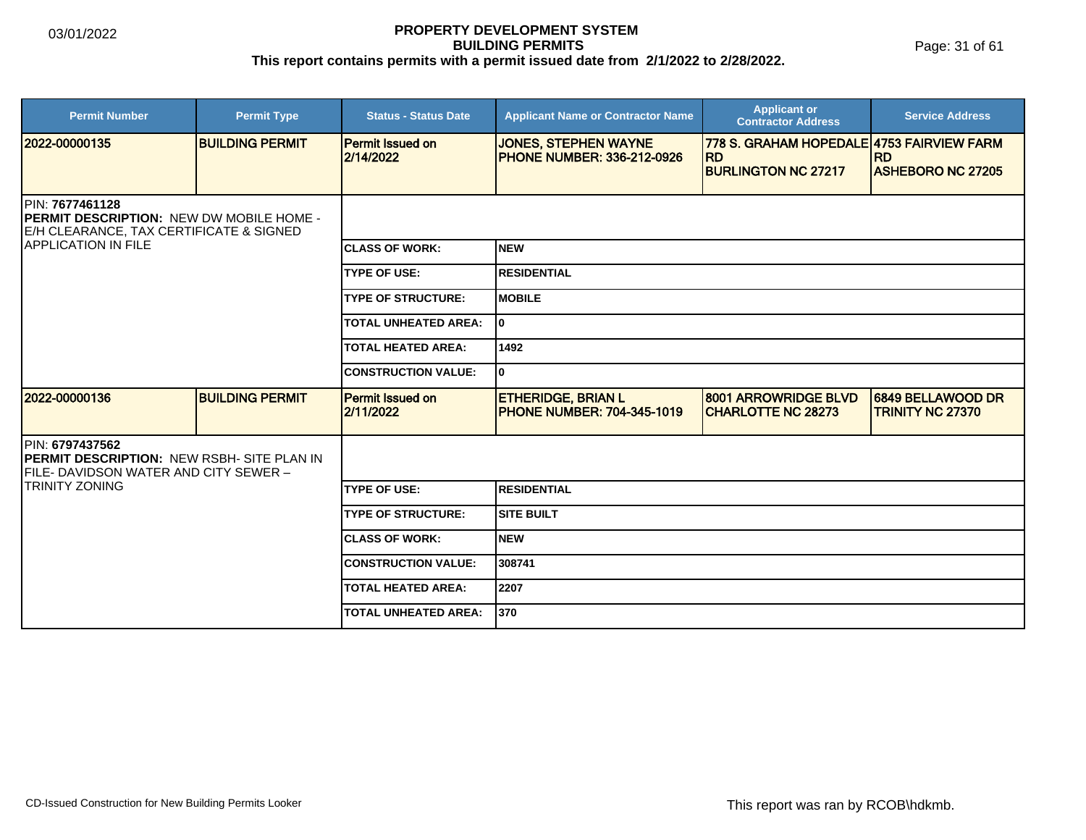Page: 31 of 61

| <b>Permit Number</b>                                                                                                                         | <b>Permit Type</b>     | <b>Status - Status Date</b>          | <b>Applicant Name or Contractor Name</b>                         | <b>Applicant or</b><br><b>Contractor Address</b>       | <b>Service Address</b>                       |  |
|----------------------------------------------------------------------------------------------------------------------------------------------|------------------------|--------------------------------------|------------------------------------------------------------------|--------------------------------------------------------|----------------------------------------------|--|
| 2022-00000135                                                                                                                                | <b>BUILDING PERMIT</b> | <b>Permit Issued on</b><br>2/14/2022 | <b>JONES, STEPHEN WAYNE</b><br><b>PHONE NUMBER: 336-212-0926</b> | 778 S. GRAHAM HOPEDALE 4753 FAIRVIEW FARM<br><b>RD</b> | <b>RD</b>                                    |  |
|                                                                                                                                              |                        |                                      |                                                                  | <b>BURLINGTON NC 27217</b>                             | <b>ASHEBORO NC 27205</b>                     |  |
| PIN: 7677461128<br><b>PERMIT DESCRIPTION: NEW DW MOBILE HOME -</b><br>E/H CLEARANCE, TAX CERTIFICATE & SIGNED<br><b>IAPPLICATION IN FILE</b> |                        |                                      |                                                                  |                                                        |                                              |  |
|                                                                                                                                              |                        | <b>ICLASS OF WORK:</b>               | <b>NEW</b>                                                       |                                                        |                                              |  |
|                                                                                                                                              |                        | <b>TYPE OF USE:</b>                  | <b>RESIDENTIAL</b>                                               |                                                        |                                              |  |
|                                                                                                                                              |                        | <b>TYPE OF STRUCTURE:</b>            | <b>MOBILE</b>                                                    |                                                        |                                              |  |
|                                                                                                                                              |                        | <b>TOTAL UNHEATED AREA:</b>          | I٥                                                               |                                                        |                                              |  |
|                                                                                                                                              |                        | <b>TOTAL HEATED AREA:</b>            | 1492                                                             |                                                        |                                              |  |
|                                                                                                                                              |                        | <b>CONSTRUCTION VALUE:</b>           | 0                                                                |                                                        |                                              |  |
| 2022-00000136                                                                                                                                | <b>BUILDING PERMIT</b> | <b>Permit Issued on</b><br>2/11/2022 | <b>ETHERIDGE, BRIAN L</b><br><b>PHONE NUMBER: 704-345-1019</b>   | 8001 ARROWRIDGE BLVD<br><b>CHARLOTTE NC 28273</b>      | 6849 BELLAWOOD DR<br><b>TRINITY NC 27370</b> |  |
| <b>IPIN: 6797437562</b><br><b>PERMIT DESCRIPTION: NEW RSBH- SITE PLAN IN</b><br>FILE-DAVIDSON WATER AND CITY SEWER -                         |                        |                                      |                                                                  |                                                        |                                              |  |
| <b>TRINITY ZONING</b>                                                                                                                        |                        | <b>TYPE OF USE:</b>                  | <b>RESIDENTIAL</b>                                               |                                                        |                                              |  |
|                                                                                                                                              |                        | <b>TYPE OF STRUCTURE:</b>            | <b>SITE BUILT</b>                                                |                                                        |                                              |  |
|                                                                                                                                              |                        | <b>CLASS OF WORK:</b>                | <b>NEW</b>                                                       |                                                        |                                              |  |
|                                                                                                                                              |                        | <b>CONSTRUCTION VALUE:</b>           | 308741                                                           |                                                        |                                              |  |
|                                                                                                                                              |                        | <b>TOTAL HEATED AREA:</b>            | 2207                                                             |                                                        |                                              |  |
|                                                                                                                                              |                        | <b>TOTAL UNHEATED AREA:</b>          | 370                                                              |                                                        |                                              |  |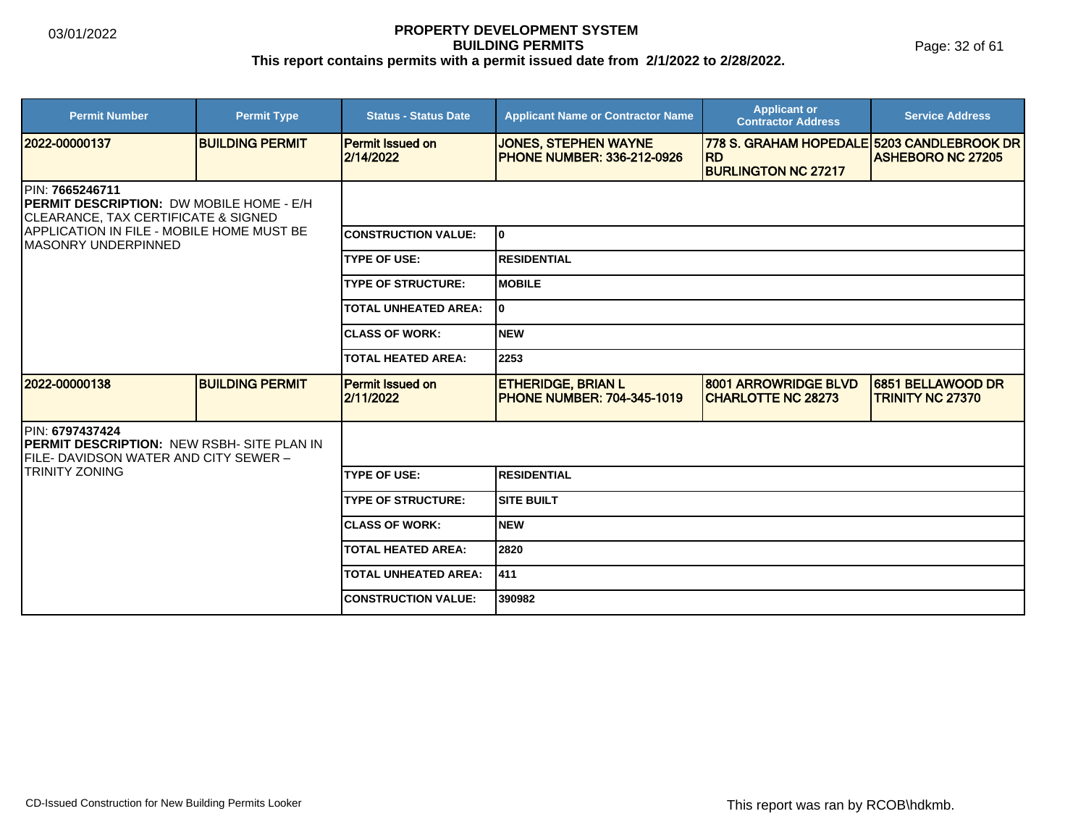Page: 32 of 61

| <b>Permit Number</b>                                                                                                                                                                                      | <b>Permit Type</b>     | <b>Status - Status Date</b>          | <b>Applicant Name or Contractor Name</b>                         | <b>Applicant or</b><br><b>Contractor Address</b>                                      | <b>Service Address</b>                       |  |
|-----------------------------------------------------------------------------------------------------------------------------------------------------------------------------------------------------------|------------------------|--------------------------------------|------------------------------------------------------------------|---------------------------------------------------------------------------------------|----------------------------------------------|--|
| 2022-00000137                                                                                                                                                                                             | <b>BUILDING PERMIT</b> | <b>Permit Issued on</b><br>2/14/2022 | <b>JONES, STEPHEN WAYNE</b><br><b>PHONE NUMBER: 336-212-0926</b> | 778 S. GRAHAM HOPEDALE 5203 CANDLEBROOK DR<br><b>RD</b><br><b>BURLINGTON NC 27217</b> | <b>ASHEBORO NC 27205</b>                     |  |
| IPIN: 7665246711<br><b>IPERMIT DESCRIPTION: DW MOBILE HOME - E/H</b><br><b>CLEARANCE, TAX CERTIFICATE &amp; SIGNED</b><br><b>APPLICATION IN FILE - MOBILE HOME MUST BE</b><br><b>IMASONRY UNDERPINNED</b> |                        |                                      |                                                                  |                                                                                       |                                              |  |
|                                                                                                                                                                                                           |                        | <b>CONSTRUCTION VALUE:</b>           | lo.                                                              |                                                                                       |                                              |  |
|                                                                                                                                                                                                           |                        | <b>TYPE OF USE:</b>                  | <b>RESIDENTIAL</b>                                               |                                                                                       |                                              |  |
|                                                                                                                                                                                                           |                        | <b>TYPE OF STRUCTURE:</b>            | IMOBILE                                                          |                                                                                       |                                              |  |
|                                                                                                                                                                                                           |                        | <b>TOTAL UNHEATED AREA:</b>          | I٥                                                               |                                                                                       |                                              |  |
|                                                                                                                                                                                                           |                        | <b>CLASS OF WORK:</b>                | Inew                                                             |                                                                                       |                                              |  |
|                                                                                                                                                                                                           |                        | <b>TOTAL HEATED AREA:</b>            | 2253                                                             |                                                                                       |                                              |  |
| 2022-00000138                                                                                                                                                                                             | <b>BUILDING PERMIT</b> | <b>Permit Issued on</b><br>2/11/2022 | <b>ETHERIDGE, BRIAN L</b><br><b>PHONE NUMBER: 704-345-1019</b>   | 8001 ARROWRIDGE BLVD<br><b>CHARLOTTE NC 28273</b>                                     | 6851 BELLAWOOD DR<br><b>TRINITY NC 27370</b> |  |
| PIN: 6797437424<br><b>PERMIT DESCRIPTION: NEW RSBH- SITE PLAN IN</b><br>FILE- DAVIDSON WATER AND CITY SEWER –                                                                                             |                        |                                      |                                                                  |                                                                                       |                                              |  |
| TRINITY ZONING                                                                                                                                                                                            |                        | <b>TYPE OF USE:</b>                  | <b>RESIDENTIAL</b>                                               |                                                                                       |                                              |  |
|                                                                                                                                                                                                           |                        | <b>TYPE OF STRUCTURE:</b>            | <b>SITE BUILT</b>                                                |                                                                                       |                                              |  |
|                                                                                                                                                                                                           |                        | <b>CLASS OF WORK:</b>                | INEW                                                             |                                                                                       |                                              |  |
|                                                                                                                                                                                                           |                        | <b>TOTAL HEATED AREA:</b>            | 2820                                                             |                                                                                       |                                              |  |
|                                                                                                                                                                                                           |                        | <b>TOTAL UNHEATED AREA:</b>          | 411                                                              |                                                                                       |                                              |  |
|                                                                                                                                                                                                           |                        | <b>CONSTRUCTION VALUE:</b>           | 390982                                                           |                                                                                       |                                              |  |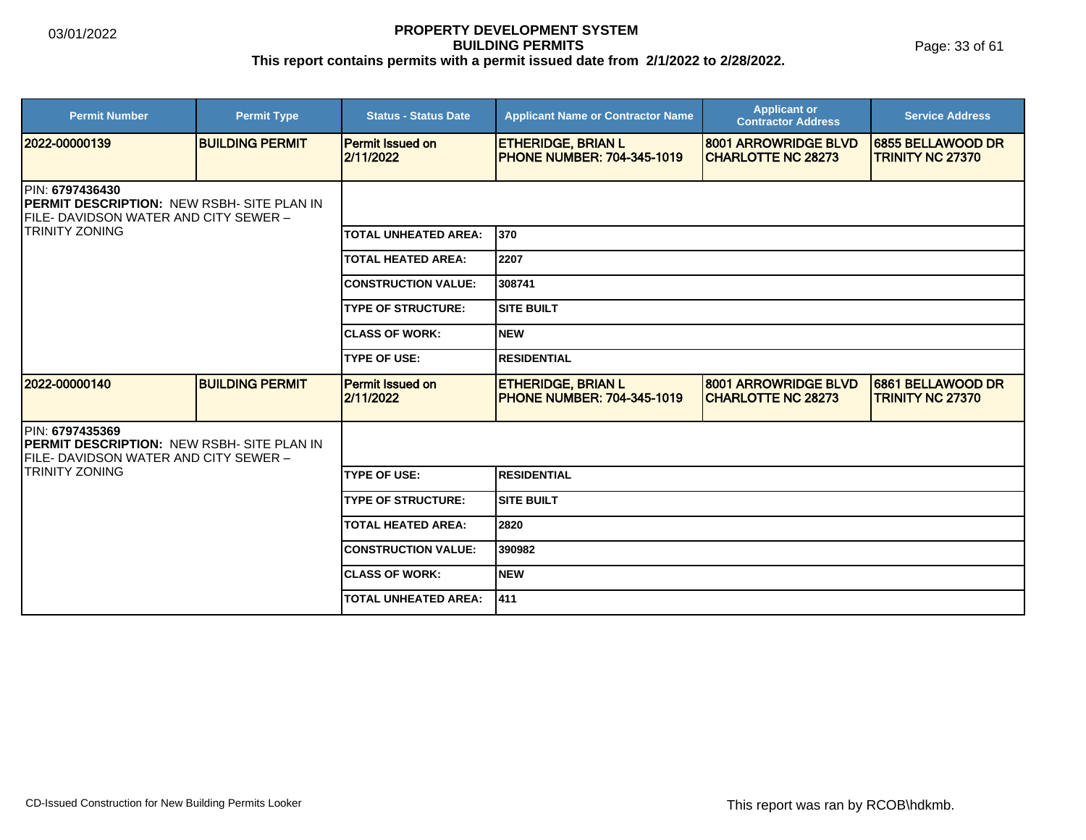Page: 33 of 61

| <b>Permit Number</b>                                                                                                   | <b>Permit Type</b>     | <b>Status - Status Date</b>          | <b>Applicant Name or Contractor Name</b>                       | <b>Applicant or</b><br><b>Contractor Address</b>   | <b>Service Address</b>                       |  |
|------------------------------------------------------------------------------------------------------------------------|------------------------|--------------------------------------|----------------------------------------------------------------|----------------------------------------------------|----------------------------------------------|--|
| 2022-00000139                                                                                                          | <b>BUILDING PERMIT</b> | <b>Permit Issued on</b><br>2/11/2022 | <b>ETHERIDGE, BRIAN L</b><br><b>PHONE NUMBER: 704-345-1019</b> | 8001 ARROWRIDGE BLVD<br><b>ICHARLOTTE NC 28273</b> | 6855 BELLAWOOD DR<br><b>TRINITY NC 27370</b> |  |
| <b>IPIN: 6797436430</b><br><b>IPERMIT DESCRIPTION: NEW RSBH- SITE PLAN IN</b><br>FILE- DAVIDSON WATER AND CITY SEWER - |                        |                                      |                                                                |                                                    |                                              |  |
| <b>TRINITY ZONING</b>                                                                                                  |                        | <b>TOTAL UNHEATED AREA:</b>          | 1370                                                           |                                                    |                                              |  |
|                                                                                                                        |                        | <b>TOTAL HEATED AREA:</b>            | 2207                                                           |                                                    |                                              |  |
|                                                                                                                        |                        | <b>CONSTRUCTION VALUE:</b>           | 308741                                                         |                                                    |                                              |  |
|                                                                                                                        |                        | <b>TYPE OF STRUCTURE:</b>            | <b>SITE BUILT</b>                                              |                                                    |                                              |  |
|                                                                                                                        |                        | <b>CLASS OF WORK:</b>                | INEW                                                           |                                                    |                                              |  |
|                                                                                                                        |                        | <b>TYPE OF USE:</b>                  | <b>RESIDENTIAL</b>                                             |                                                    |                                              |  |
| 2022-00000140                                                                                                          | <b>BUILDING PERMIT</b> | <b>Permit Issued on</b><br>2/11/2022 | <b>ETHERIDGE, BRIAN L</b><br><b>PHONE NUMBER: 704-345-1019</b> | 8001 ARROWRIDGE BLVD<br><b>ICHARLOTTE NC 28273</b> | 6861 BELLAWOOD DR<br><b>TRINITY NC 27370</b> |  |
| PIN: 6797435369<br>PERMIT DESCRIPTION: NEW RSBH- SITE PLAN IN<br>FILE- DAVIDSON WATER AND CITY SEWER –                 |                        |                                      |                                                                |                                                    |                                              |  |
| <b>TRINITY ZONING</b>                                                                                                  |                        | <b>TYPE OF USE:</b>                  | IRESIDENTIAL                                                   |                                                    |                                              |  |
|                                                                                                                        |                        | <b>TYPE OF STRUCTURE:</b>            | ISITE BUILT                                                    |                                                    |                                              |  |
|                                                                                                                        |                        | <b>TOTAL HEATED AREA:</b>            | 2820                                                           |                                                    |                                              |  |
|                                                                                                                        |                        | <b>CONSTRUCTION VALUE:</b>           | 390982                                                         |                                                    |                                              |  |
|                                                                                                                        |                        | <b>ICLASS OF WORK:</b>               | NEW                                                            |                                                    |                                              |  |
|                                                                                                                        |                        | <b>TOTAL UNHEATED AREA:</b>          | 1411                                                           |                                                    |                                              |  |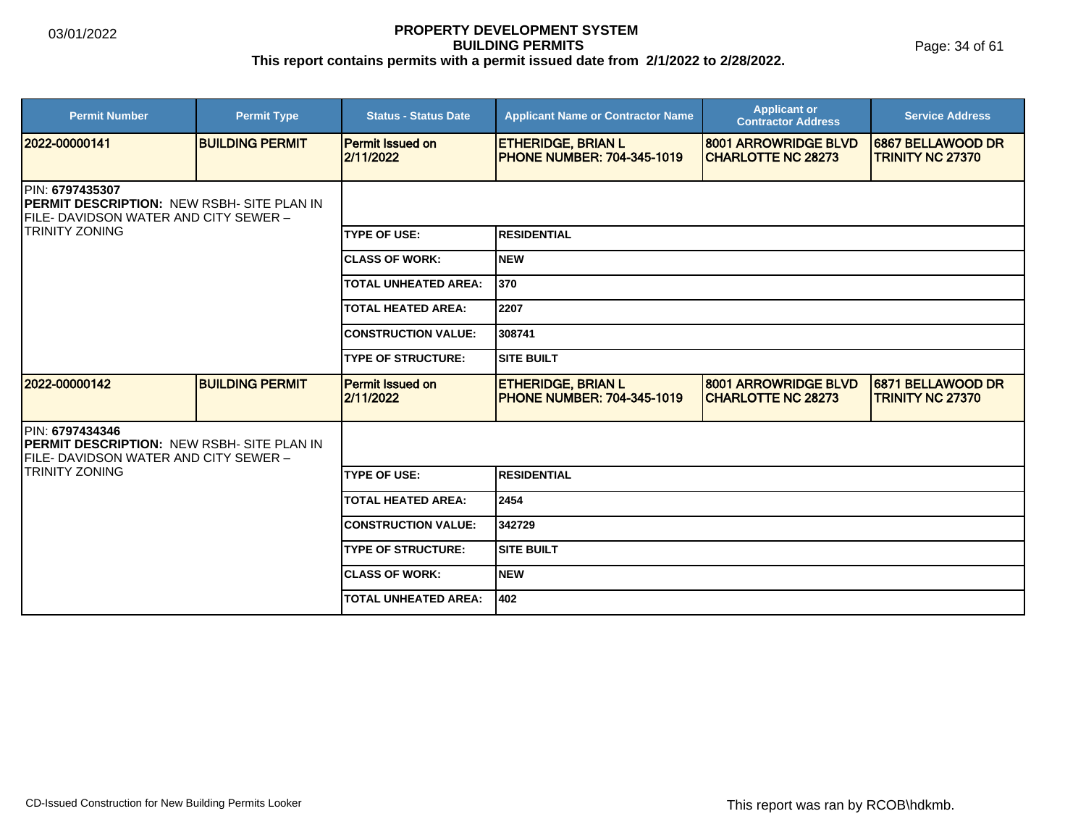Page: 34 of 61

| <b>Permit Number</b>                                                                                                                            | <b>Permit Type</b>     | <b>Status - Status Date</b>          | <b>Applicant Name or Contractor Name</b>                       | <b>Applicant or</b><br><b>Contractor Address</b>  | <b>Service Address</b>                       |  |
|-------------------------------------------------------------------------------------------------------------------------------------------------|------------------------|--------------------------------------|----------------------------------------------------------------|---------------------------------------------------|----------------------------------------------|--|
| 2022-00000141                                                                                                                                   | <b>BUILDING PERMIT</b> | <b>Permit Issued on</b><br>2/11/2022 | <b>ETHERIDGE, BRIAN L</b><br><b>PHONE NUMBER: 704-345-1019</b> | 8001 ARROWRIDGE BLVD<br><b>CHARLOTTE NC 28273</b> | 6867 BELLAWOOD DR<br><b>TRINITY NC 27370</b> |  |
| <b>IPIN: 6797435307</b><br><b>IPERMIT DESCRIPTION: NEW RSBH- SITE PLAN IN</b><br>FILE- DAVIDSON WATER AND CITY SEWER -<br><b>TRINITY ZONING</b> |                        |                                      |                                                                |                                                   |                                              |  |
|                                                                                                                                                 |                        | <b>TYPE OF USE:</b>                  | <b>RESIDENTIAL</b>                                             |                                                   |                                              |  |
|                                                                                                                                                 |                        | <b>CLASS OF WORK:</b>                | <b>NEW</b>                                                     |                                                   |                                              |  |
|                                                                                                                                                 |                        | <b>TOTAL UNHEATED AREA:</b>          | 370                                                            |                                                   |                                              |  |
|                                                                                                                                                 |                        | <b>TOTAL HEATED AREA:</b>            | 2207                                                           |                                                   |                                              |  |
|                                                                                                                                                 |                        | <b>CONSTRUCTION VALUE:</b>           | 308741                                                         |                                                   |                                              |  |
|                                                                                                                                                 |                        | <b>TYPE OF STRUCTURE:</b>            | <b>SITE BUILT</b>                                              |                                                   |                                              |  |
| 2022-00000142                                                                                                                                   | <b>BUILDING PERMIT</b> | <b>Permit Issued on</b><br>2/11/2022 | <b>ETHERIDGE, BRIAN L</b><br><b>PHONE NUMBER: 704-345-1019</b> | 8001 ARROWRIDGE BLVD<br><b>CHARLOTTE NC 28273</b> | 6871 BELLAWOOD DR<br><b>TRINITY NC 27370</b> |  |
| PIN: 6797434346<br><b>PERMIT DESCRIPTION: NEW RSBH- SITE PLAN IN</b><br>FILE- DAVIDSON WATER AND CITY SEWER –                                   |                        |                                      |                                                                |                                                   |                                              |  |
| TRINITY ZONING                                                                                                                                  |                        | <b>TYPE OF USE:</b>                  | <b>RESIDENTIAL</b>                                             |                                                   |                                              |  |
|                                                                                                                                                 |                        | <b>TOTAL HEATED AREA:</b>            | 2454                                                           |                                                   |                                              |  |
|                                                                                                                                                 |                        | <b>CONSTRUCTION VALUE:</b>           | 342729                                                         |                                                   |                                              |  |
|                                                                                                                                                 |                        | <b>TYPE OF STRUCTURE:</b>            | <b>SITE BUILT</b>                                              |                                                   |                                              |  |
|                                                                                                                                                 |                        | <b>CLASS OF WORK:</b>                | <b>NEW</b>                                                     |                                                   |                                              |  |
|                                                                                                                                                 |                        | <b>TOTAL UNHEATED AREA:</b>          | 402                                                            |                                                   |                                              |  |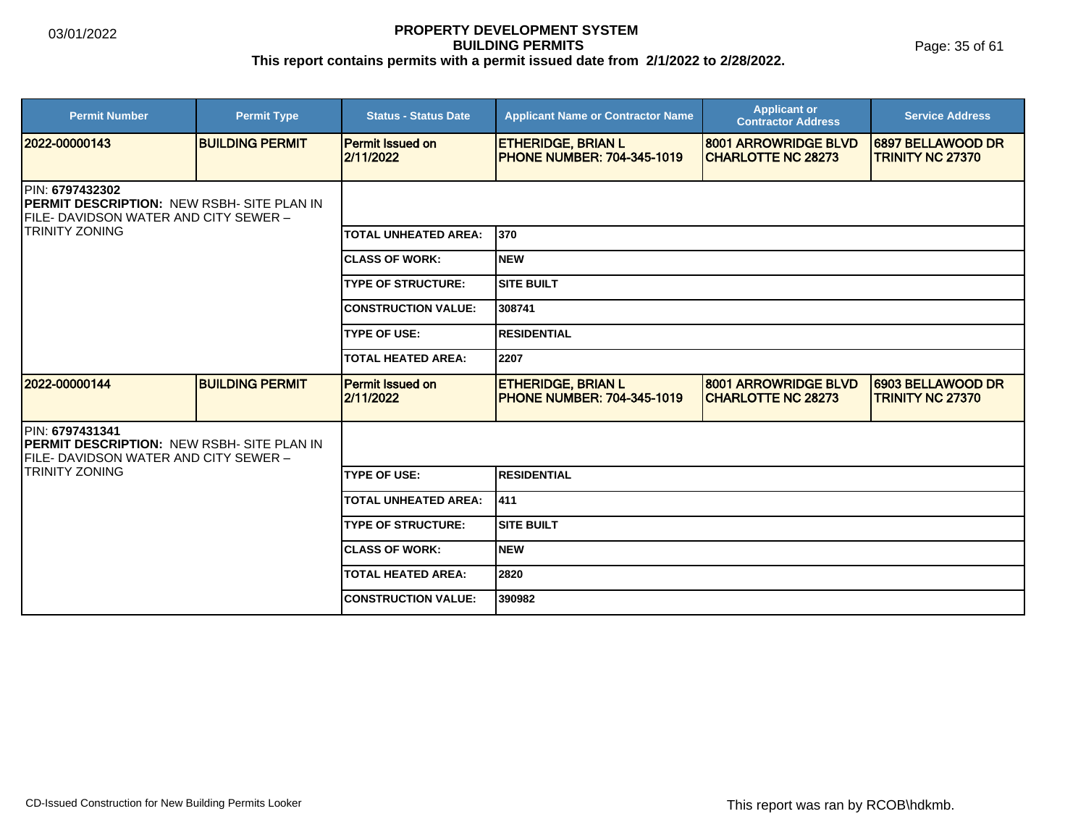Page: 35 of 61

| <b>Permit Number</b>                                                                                          | <b>Permit Type</b>     | <b>Status - Status Date</b>          | <b>Applicant Name or Contractor Name</b>                       | <b>Applicant or</b><br><b>Contractor Address</b>  | <b>Service Address</b>                       |  |  |
|---------------------------------------------------------------------------------------------------------------|------------------------|--------------------------------------|----------------------------------------------------------------|---------------------------------------------------|----------------------------------------------|--|--|
| 2022-00000143                                                                                                 | <b>BUILDING PERMIT</b> | <b>Permit Issued on</b><br>2/11/2022 | <b>ETHERIDGE, BRIAN L</b><br><b>PHONE NUMBER: 704-345-1019</b> | 8001 ARROWRIDGE BLVD<br><b>CHARLOTTE NC 28273</b> | 6897 BELLAWOOD DR<br><b>TRINITY NC 27370</b> |  |  |
| PIN: 6797432302<br><b>PERMIT DESCRIPTION: NEW RSBH- SITE PLAN IN</b><br>FILE- DAVIDSON WATER AND CITY SEWER - |                        |                                      |                                                                |                                                   |                                              |  |  |
| <b>TRINITY ZONING</b>                                                                                         |                        | <b>TOTAL UNHEATED AREA:</b>          | 1370                                                           |                                                   |                                              |  |  |
|                                                                                                               |                        | <b>CLASS OF WORK:</b>                | <b>NEW</b>                                                     |                                                   |                                              |  |  |
|                                                                                                               |                        | <b>TYPE OF STRUCTURE:</b>            | <b>SITE BUILT</b>                                              |                                                   |                                              |  |  |
|                                                                                                               |                        | <b>CONSTRUCTION VALUE:</b>           | 308741                                                         |                                                   |                                              |  |  |
|                                                                                                               |                        | <b>TYPE OF USE:</b>                  | <b>RESIDENTIAL</b>                                             |                                                   |                                              |  |  |
|                                                                                                               |                        | <b>TOTAL HEATED AREA:</b>            | 2207                                                           |                                                   |                                              |  |  |
| 2022-00000144                                                                                                 | <b>BUILDING PERMIT</b> | <b>Permit Issued on</b><br>2/11/2022 | <b>ETHERIDGE, BRIAN L</b><br><b>PHONE NUMBER: 704-345-1019</b> | 8001 ARROWRIDGE BLVD<br><b>CHARLOTTE NC 28273</b> | 6903 BELLAWOOD DR<br><b>TRINITY NC 27370</b> |  |  |
| PIN: 6797431341<br><b>PERMIT DESCRIPTION: NEW RSBH- SITE PLAN IN</b><br>FILE- DAVIDSON WATER AND CITY SEWER – |                        |                                      |                                                                |                                                   |                                              |  |  |
| <b>TRINITY ZONING</b>                                                                                         |                        | <b>TYPE OF USE:</b>                  | <b>RESIDENTIAL</b>                                             |                                                   |                                              |  |  |
|                                                                                                               |                        | <b>TOTAL UNHEATED AREA:</b>          | 411                                                            |                                                   |                                              |  |  |
|                                                                                                               |                        | <b>TYPE OF STRUCTURE:</b>            | <b>SITE BUILT</b>                                              |                                                   |                                              |  |  |
|                                                                                                               |                        | <b>CLASS OF WORK:</b>                | <b>NEW</b>                                                     |                                                   |                                              |  |  |
|                                                                                                               |                        | <b>TOTAL HEATED AREA:</b>            | 2820                                                           |                                                   |                                              |  |  |
|                                                                                                               |                        | <b>CONSTRUCTION VALUE:</b>           | 390982                                                         |                                                   |                                              |  |  |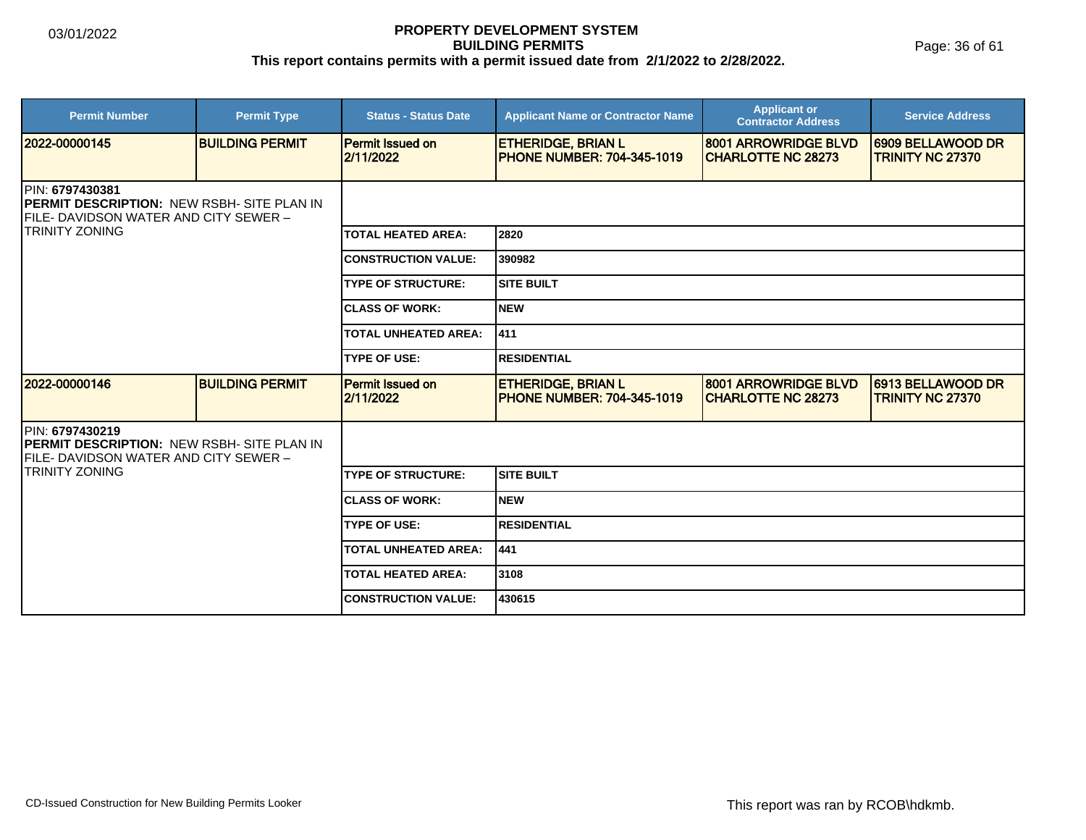Page: 36 of 61

| <b>Permit Number</b>                                                                                                                     | <b>Permit Type</b>     | <b>Status - Status Date</b>          | <b>Applicant Name or Contractor Name</b>                       | <b>Applicant or</b><br><b>Contractor Address</b>  | <b>Service Address</b>                       |  |  |
|------------------------------------------------------------------------------------------------------------------------------------------|------------------------|--------------------------------------|----------------------------------------------------------------|---------------------------------------------------|----------------------------------------------|--|--|
| 2022-00000145                                                                                                                            | <b>BUILDING PERMIT</b> | <b>Permit Issued on</b><br>2/11/2022 | <b>ETHERIDGE, BRIAN L</b><br><b>PHONE NUMBER: 704-345-1019</b> | 8001 ARROWRIDGE BLVD<br><b>CHARLOTTE NC 28273</b> | 6909 BELLAWOOD DR<br><b>TRINITY NC 27370</b> |  |  |
| IPIN: 6797430381<br><b>IPERMIT DESCRIPTION: NEW RSBH- SITE PLAN IN</b><br>FILE- DAVIDSON WATER AND CITY SEWER -<br><b>TRINITY ZONING</b> |                        |                                      |                                                                |                                                   |                                              |  |  |
|                                                                                                                                          |                        | <b>TOTAL HEATED AREA:</b>            | 2820                                                           |                                                   |                                              |  |  |
|                                                                                                                                          |                        | <b>CONSTRUCTION VALUE:</b>           | 390982                                                         |                                                   |                                              |  |  |
|                                                                                                                                          |                        | <b>TYPE OF STRUCTURE:</b>            | <b>SITE BUILT</b>                                              |                                                   |                                              |  |  |
|                                                                                                                                          |                        | <b>CLASS OF WORK:</b>                | <b>NEW</b>                                                     |                                                   |                                              |  |  |
|                                                                                                                                          |                        | <b>TOTAL UNHEATED AREA:</b>          | 411                                                            |                                                   |                                              |  |  |
|                                                                                                                                          |                        | <b>TYPE OF USE:</b>                  | <b>RESIDENTIAL</b>                                             |                                                   |                                              |  |  |
| 2022-00000146                                                                                                                            | <b>BUILDING PERMIT</b> | <b>Permit Issued on</b><br>2/11/2022 | <b>ETHERIDGE, BRIAN L</b><br><b>PHONE NUMBER: 704-345-1019</b> | 8001 ARROWRIDGE BLVD<br><b>CHARLOTTE NC 28273</b> | 6913 BELLAWOOD DR<br><b>TRINITY NC 27370</b> |  |  |
| PIN: 6797430219<br><b>PERMIT DESCRIPTION: NEW RSBH- SITE PLAN IN</b><br>FILE- DAVIDSON WATER AND CITY SEWER –                            |                        |                                      |                                                                |                                                   |                                              |  |  |
| TRINITY ZONING                                                                                                                           |                        | <b>TYPE OF STRUCTURE:</b>            | <b>SITE BUILT</b>                                              |                                                   |                                              |  |  |
|                                                                                                                                          |                        | <b>CLASS OF WORK:</b>                | <b>NEW</b>                                                     |                                                   |                                              |  |  |
|                                                                                                                                          |                        | <b>TYPE OF USE:</b>                  | <b>RESIDENTIAL</b>                                             |                                                   |                                              |  |  |
|                                                                                                                                          |                        | <b>TOTAL UNHEATED AREA:</b>          | 441                                                            |                                                   |                                              |  |  |
|                                                                                                                                          |                        | <b>TOTAL HEATED AREA:</b>            | 3108                                                           |                                                   |                                              |  |  |
|                                                                                                                                          |                        | <b>CONSTRUCTION VALUE:</b>           | 430615                                                         |                                                   |                                              |  |  |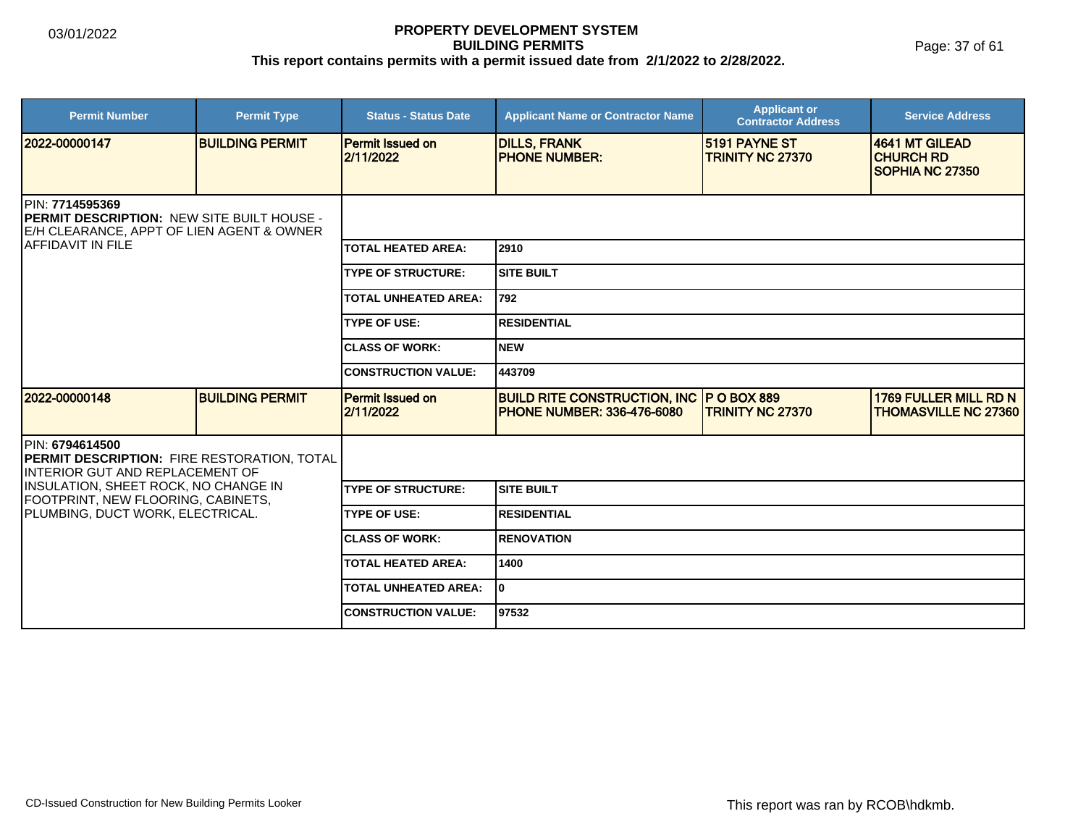| <b>Permit Number</b>                                                                                               | <b>Permit Type</b>     | <b>Status - Status Date</b>          | <b>Applicant Name or Contractor Name</b>                                             | <b>Applicant or</b><br><b>Contractor Address</b> | <b>Service Address</b>                                        |  |  |
|--------------------------------------------------------------------------------------------------------------------|------------------------|--------------------------------------|--------------------------------------------------------------------------------------|--------------------------------------------------|---------------------------------------------------------------|--|--|
| 12022-00000147                                                                                                     | <b>BUILDING PERMIT</b> | Permit Issued on<br>2/11/2022        | <b>DILLS, FRANK</b><br><b>PHONE NUMBER:</b>                                          | <b>15191 PAYNE ST</b><br><b>TRINITY NC 27370</b> | 4641 MT GILEAD<br><b>ICHURCH RD</b><br><b>SOPHIA NC 27350</b> |  |  |
| PIN: 7714595369<br><b>IPERMIT DESCRIPTION: NEW SITE BUILT HOUSE -</b><br>E/H CLEARANCE, APPT OF LIEN AGENT & OWNER |                        |                                      |                                                                                      |                                                  |                                                               |  |  |
| IAFFIDAVIT IN FILE                                                                                                 |                        | <b>TOTAL HEATED AREA:</b>            | 2910                                                                                 |                                                  |                                                               |  |  |
|                                                                                                                    |                        | <b>TYPE OF STRUCTURE:</b>            | <b>SITE BUILT</b>                                                                    |                                                  |                                                               |  |  |
|                                                                                                                    |                        | <b>TOTAL UNHEATED AREA:</b>          | 792                                                                                  |                                                  |                                                               |  |  |
|                                                                                                                    |                        | <b>TYPE OF USE:</b>                  | <b>RESIDENTIAL</b>                                                                   |                                                  |                                                               |  |  |
|                                                                                                                    |                        |                                      | <b>NEW</b>                                                                           |                                                  |                                                               |  |  |
|                                                                                                                    |                        | <b>CONSTRUCTION VALUE:</b>           | 443709                                                                               |                                                  |                                                               |  |  |
| 2022-00000148                                                                                                      | <b>BUILDING PERMIT</b> | <b>Permit Issued on</b><br>2/11/2022 | <b>BUILD RITE CONSTRUCTION, INC P O BOX 889</b><br><b>PHONE NUMBER: 336-476-6080</b> | <b>TRINITY NC 27370</b>                          | <b>1769 FULLER MILL RD N</b><br><b>THOMASVILLE NC 27360</b>   |  |  |
| PIN: 6794614500<br>PERMIT DESCRIPTION: FIRE RESTORATION, TOTAL<br>INTERIOR GUT AND REPLACEMENT OF                  |                        |                                      |                                                                                      |                                                  |                                                               |  |  |
| INSULATION, SHEET ROCK, NO CHANGE IN<br>FOOTPRINT, NEW FLOORING, CABINETS,                                         |                        | <b>TYPE OF STRUCTURE:</b>            | <b>SITE BUILT</b>                                                                    |                                                  |                                                               |  |  |
| PLUMBING, DUCT WORK, ELECTRICAL.                                                                                   |                        | <b>TYPE OF USE:</b>                  | <b>RESIDENTIAL</b>                                                                   |                                                  |                                                               |  |  |
|                                                                                                                    |                        | <b>CLASS OF WORK:</b>                | <b>RENOVATION</b>                                                                    |                                                  |                                                               |  |  |
|                                                                                                                    |                        | <b>TOTAL HEATED AREA:</b>            | 1400                                                                                 |                                                  |                                                               |  |  |
|                                                                                                                    |                        | <b>TOTAL UNHEATED AREA:</b>          | lo.                                                                                  |                                                  |                                                               |  |  |
|                                                                                                                    |                        | <b>CONSTRUCTION VALUE:</b>           | 97532                                                                                |                                                  |                                                               |  |  |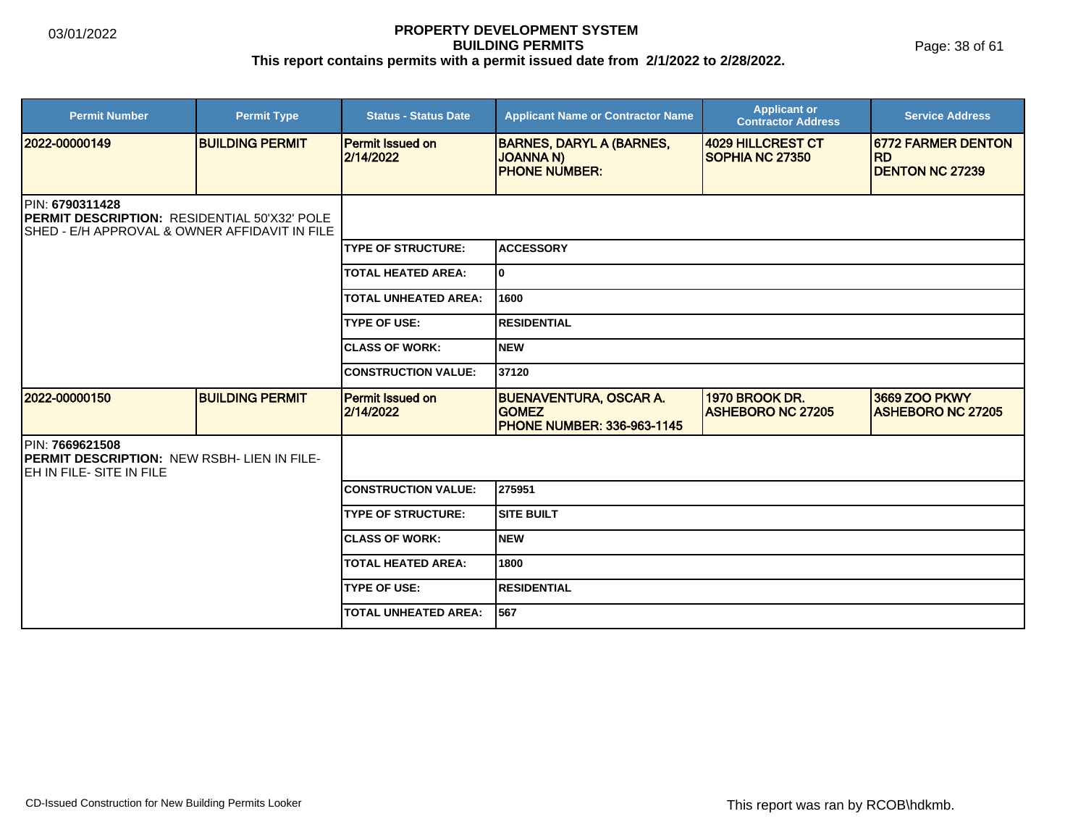Page: 38 of 61

| <b>Permit Number</b>                                                                                                             | <b>Permit Type</b>     | <b>Status - Status Date</b>          | <b>Applicant Name or Contractor Name</b>                                           | <b>Applicant or</b><br><b>Contractor Address</b> | <b>Service Address</b>                                            |  |  |
|----------------------------------------------------------------------------------------------------------------------------------|------------------------|--------------------------------------|------------------------------------------------------------------------------------|--------------------------------------------------|-------------------------------------------------------------------|--|--|
| 12022-00000149                                                                                                                   | <b>BUILDING PERMIT</b> | <b>Permit Issued on</b><br>2/14/2022 | <b>BARNES, DARYL A (BARNES,</b><br><b>JOANNA N)</b><br><b>PHONE NUMBER:</b>        | <b>4029 HILLCREST CT</b><br>SOPHIA NC 27350      | <b>16772 FARMER DENTON</b><br><b>RD</b><br><b>DENTON NC 27239</b> |  |  |
| <b>IPIN: 6790311428</b><br><b>IPERMIT DESCRIPTION: RESIDENTIAL 50'X32' POLE</b><br>SHED - E/H APPROVAL & OWNER AFFIDAVIT IN FILE |                        |                                      |                                                                                    |                                                  |                                                                   |  |  |
|                                                                                                                                  |                        | <b>TYPE OF STRUCTURE:</b>            | <b>ACCESSORY</b>                                                                   |                                                  |                                                                   |  |  |
|                                                                                                                                  |                        | <b>TOTAL HEATED AREA:</b>            | I٥                                                                                 |                                                  |                                                                   |  |  |
|                                                                                                                                  |                        | <b>TOTAL UNHEATED AREA:</b>          | 1600                                                                               |                                                  |                                                                   |  |  |
|                                                                                                                                  |                        | <b>TYPE OF USE:</b>                  | <b>RESIDENTIAL</b>                                                                 |                                                  |                                                                   |  |  |
|                                                                                                                                  |                        | <b>ICLASS OF WORK:</b>               | <b>NEW</b>                                                                         |                                                  |                                                                   |  |  |
|                                                                                                                                  |                        | <b>CONSTRUCTION VALUE:</b>           | 37120                                                                              |                                                  |                                                                   |  |  |
| 2022-00000150                                                                                                                    | <b>BUILDING PERMIT</b> | <b>Permit Issued on</b><br>2/14/2022 | <b>BUENAVENTURA, OSCAR A.</b><br><b>GOMEZ</b><br><b>PHONE NUMBER: 336-963-1145</b> | 1970 BROOK DR.<br><b>ASHEBORO NC 27205</b>       | 3669 ZOO PKWY<br><b>ASHEBORO NC 27205</b>                         |  |  |
| PIN: 7669621508<br><b>PERMIT DESCRIPTION: NEW RSBH- LIEN IN FILE-</b><br><b>JEH IN FILE- SITE IN FILE</b>                        |                        |                                      |                                                                                    |                                                  |                                                                   |  |  |
|                                                                                                                                  |                        | <b>CONSTRUCTION VALUE:</b>           | 275951                                                                             |                                                  |                                                                   |  |  |
|                                                                                                                                  |                        | <b>TYPE OF STRUCTURE:</b>            | <b>SITE BUILT</b>                                                                  |                                                  |                                                                   |  |  |
|                                                                                                                                  |                        | <b>ICLASS OF WORK:</b>               | <b>NEW</b>                                                                         |                                                  |                                                                   |  |  |
|                                                                                                                                  |                        | <b>TOTAL HEATED AREA:</b>            | 1800                                                                               |                                                  |                                                                   |  |  |
|                                                                                                                                  |                        | <b>TYPE OF USE:</b>                  | <b>RESIDENTIAL</b>                                                                 |                                                  |                                                                   |  |  |
|                                                                                                                                  |                        | TOTAL UNHEATED AREA:                 | 567                                                                                |                                                  |                                                                   |  |  |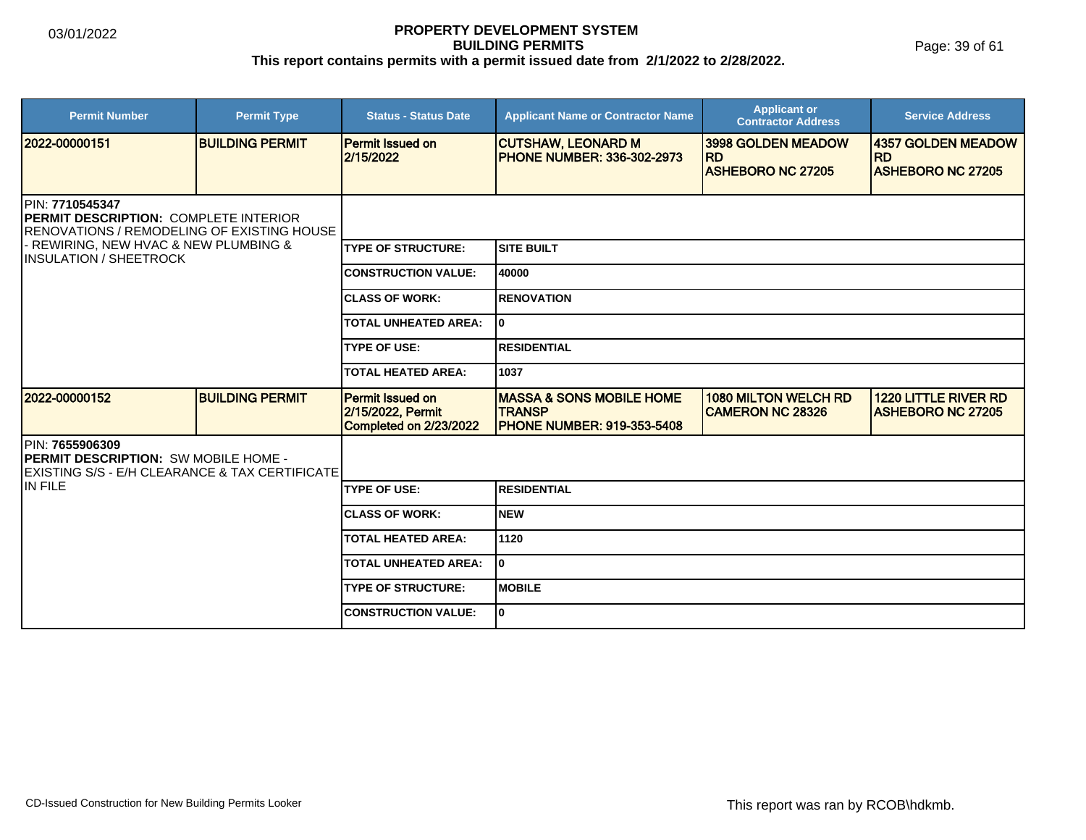Page: 39 of 61

| <b>Permit Number</b>                                                                                                                                                                             | <b>Permit Type</b>     | <b>Status - Status Date</b>                                     | <b>Applicant Name or Contractor Name</b>                                                  | <b>Applicant or</b><br><b>Contractor Address</b>       | <b>Service Address</b>                                  |  |
|--------------------------------------------------------------------------------------------------------------------------------------------------------------------------------------------------|------------------------|-----------------------------------------------------------------|-------------------------------------------------------------------------------------------|--------------------------------------------------------|---------------------------------------------------------|--|
| 12022-00000151                                                                                                                                                                                   | <b>BUILDING PERMIT</b> | <b>Permit Issued on</b><br>2/15/2022                            | <b>CUTSHAW, LEONARD M</b><br><b>PHONE NUMBER: 336-302-2973</b>                            | 3998 GOLDEN MEADOW<br><b>RD</b>                        | 4357 GOLDEN MEADOW<br><b>RD</b>                         |  |
|                                                                                                                                                                                                  |                        |                                                                 |                                                                                           | <b>ASHEBORO NC 27205</b>                               | <b>ASHEBORO NC 27205</b>                                |  |
| PIN: 7710545347<br><b>IPERMIT DESCRIPTION: COMPLETE INTERIOR</b><br><b>RENOVATIONS / REMODELING OF EXISTING HOUSE</b><br>- REWIRING, NEW HVAC & NEW PLUMBING &<br><b>IINSULATION / SHEETROCK</b> |                        |                                                                 |                                                                                           |                                                        |                                                         |  |
|                                                                                                                                                                                                  |                        | <b>TYPE OF STRUCTURE:</b>                                       | Isite built                                                                               |                                                        |                                                         |  |
|                                                                                                                                                                                                  |                        | <b>CONSTRUCTION VALUE:</b>                                      | 40000                                                                                     |                                                        |                                                         |  |
|                                                                                                                                                                                                  |                        | <b>CLASS OF WORK:</b>                                           | <b>RENOVATION</b>                                                                         |                                                        |                                                         |  |
|                                                                                                                                                                                                  |                        | <b>TOTAL UNHEATED AREA:</b>                                     | I٥                                                                                        |                                                        |                                                         |  |
|                                                                                                                                                                                                  |                        | <b>TYPE OF USE:</b>                                             | <b>RESIDENTIAL</b>                                                                        |                                                        |                                                         |  |
|                                                                                                                                                                                                  |                        | <b>TOTAL HEATED AREA:</b>                                       | 1037                                                                                      |                                                        |                                                         |  |
| 2022-00000152                                                                                                                                                                                    | <b>BUILDING PERMIT</b> | Permit Issued on<br>2/15/2022, Permit<br>Completed on 2/23/2022 | <b>MASSA &amp; SONS MOBILE HOME</b><br><b>TRANSP</b><br><b>PHONE NUMBER: 919-353-5408</b> | <b>1080 MILTON WELCH RD</b><br><b>CAMERON NC 28326</b> | <b>1220 LITTLE RIVER RD</b><br><b>ASHEBORO NC 27205</b> |  |
| PIN: 7655906309<br><b>PERMIT DESCRIPTION: SW MOBILE HOME -</b><br><b>IEXISTING S/S - E/H CLEARANCE &amp; TAX CERTIFICATE</b>                                                                     |                        |                                                                 |                                                                                           |                                                        |                                                         |  |
| IN FILE                                                                                                                                                                                          |                        | <b>TYPE OF USE:</b>                                             | <b>RESIDENTIAL</b>                                                                        |                                                        |                                                         |  |
|                                                                                                                                                                                                  |                        | <b>CLASS OF WORK:</b>                                           | <b>NEW</b>                                                                                |                                                        |                                                         |  |
|                                                                                                                                                                                                  |                        | <b>TOTAL HEATED AREA:</b>                                       | 1120                                                                                      |                                                        |                                                         |  |
|                                                                                                                                                                                                  |                        | <b>TOTAL UNHEATED AREA:</b>                                     | I٥                                                                                        |                                                        |                                                         |  |
|                                                                                                                                                                                                  |                        | <b>TYPE OF STRUCTURE:</b>                                       | <b>MOBILE</b>                                                                             |                                                        |                                                         |  |
|                                                                                                                                                                                                  |                        | <b>CONSTRUCTION VALUE:</b>                                      | lo.                                                                                       |                                                        |                                                         |  |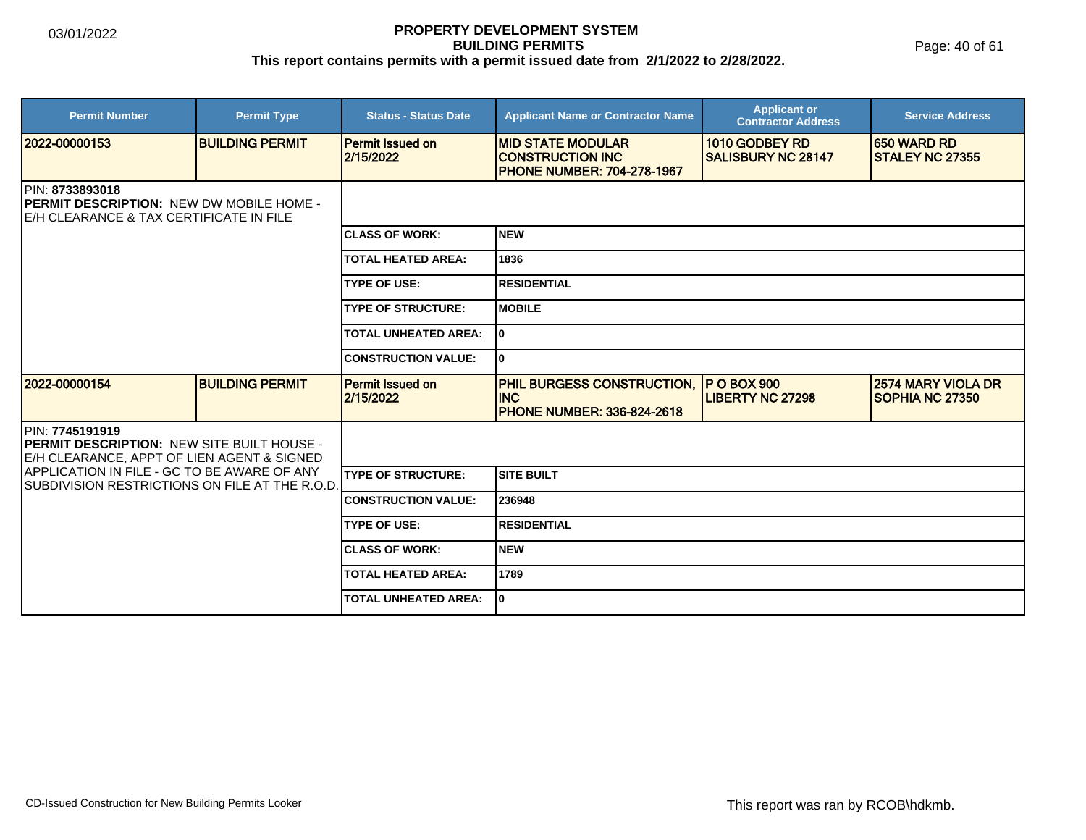Page: 40 of 61

| <b>Permit Number</b>                                                                                                              | <b>Permit Type</b>     | <b>Status - Status Date</b>          | <b>Applicant Name or Contractor Name</b>                                                 | <b>Applicant or</b><br><b>Contractor Address</b> | <b>Service Address</b>                        |  |
|-----------------------------------------------------------------------------------------------------------------------------------|------------------------|--------------------------------------|------------------------------------------------------------------------------------------|--------------------------------------------------|-----------------------------------------------|--|
| 2022-00000153                                                                                                                     | <b>BUILDING PERMIT</b> | <b>Permit Issued on</b><br>2/15/2022 | <b>MID STATE MODULAR</b><br><b>CONSTRUCTION INC</b><br><b>PHONE NUMBER: 704-278-1967</b> | 1010 GODBEY RD<br><b>SALISBURY NC 28147</b>      | <b>650 WARD RD</b><br><b>ISTALEY NC 27355</b> |  |
| <b>IPIN: 8733893018</b><br><b>PERMIT DESCRIPTION: NEW DW MOBILE HOME -</b><br><b>IE/H CLEARANCE &amp; TAX CERTIFICATE IN FILE</b> |                        |                                      |                                                                                          |                                                  |                                               |  |
|                                                                                                                                   |                        | <b>CLASS OF WORK:</b>                | <b>INEW</b>                                                                              |                                                  |                                               |  |
|                                                                                                                                   |                        | <b>TOTAL HEATED AREA:</b>            | 1836                                                                                     |                                                  |                                               |  |
|                                                                                                                                   |                        | <b>TYPE OF USE:</b>                  | <b>RESIDENTIAL</b>                                                                       |                                                  |                                               |  |
|                                                                                                                                   |                        | <b>TYPE OF STRUCTURE:</b>            | <b>MOBILE</b>                                                                            |                                                  |                                               |  |
|                                                                                                                                   |                        | <b>TOTAL UNHEATED AREA:</b>          | I٥                                                                                       |                                                  |                                               |  |
|                                                                                                                                   |                        | <b>CONSTRUCTION VALUE:</b>           | I٥                                                                                       |                                                  |                                               |  |
| 2022-00000154                                                                                                                     | <b>BUILDING PERMIT</b> | <b>Permit Issued on</b><br>2/15/2022 | <b>PHIL BURGESS CONSTRUCTION,</b><br><b>INC</b><br><b>PHONE NUMBER: 336-824-2618</b>     | <b>P O BOX 900</b><br><b>LIBERTY NC 27298</b>    | <b>2574 MARY VIOLA DR</b><br>SOPHIA NC 27350  |  |
| PIN: 7745191919<br><b>PERMIT DESCRIPTION: NEW SITE BUILT HOUSE -</b><br>E/H CLEARANCE, APPT OF LIEN AGENT & SIGNED                |                        |                                      |                                                                                          |                                                  |                                               |  |
| APPLICATION IN FILE - GC TO BE AWARE OF ANY<br><b>SUBDIVISION RESTRICTIONS ON FILE AT THE R.O.D.</b>                              |                        | <b>TYPE OF STRUCTURE:</b>            | Isite built                                                                              |                                                  |                                               |  |
|                                                                                                                                   |                        | <b>CONSTRUCTION VALUE:</b>           | 236948                                                                                   |                                                  |                                               |  |
|                                                                                                                                   |                        | <b>TYPE OF USE:</b>                  | <b>RESIDENTIAL</b>                                                                       |                                                  |                                               |  |
|                                                                                                                                   |                        | <b>CLASS OF WORK:</b>                | Inew                                                                                     |                                                  |                                               |  |
|                                                                                                                                   |                        | <b>TOTAL HEATED AREA:</b>            | 1789                                                                                     |                                                  |                                               |  |
|                                                                                                                                   |                        | <b>TOTAL UNHEATED AREA:</b>          | I٥                                                                                       |                                                  |                                               |  |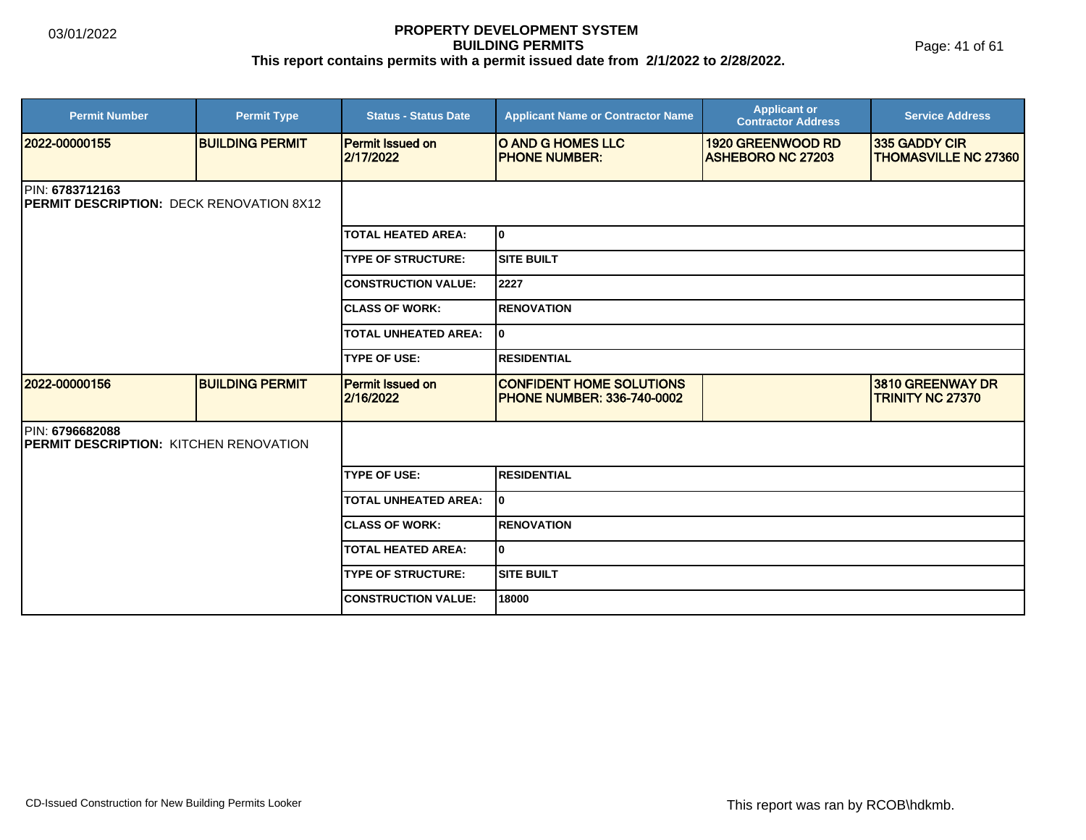| <b>Permit Number</b>                                               | <b>Permit Type</b>     | <b>Status - Status Date</b>          | <b>Applicant Name or Contractor Name</b>                             | <b>Applicant or</b><br><b>Contractor Address</b> | <b>Service Address</b>                       |
|--------------------------------------------------------------------|------------------------|--------------------------------------|----------------------------------------------------------------------|--------------------------------------------------|----------------------------------------------|
| 2022-00000155                                                      | <b>BUILDING PERMIT</b> | <b>Permit Issued on</b><br>2/17/2022 | O AND G HOMES LLC<br><b>PHONE NUMBER:</b>                            | 1920 GREENWOOD RD<br><b>ASHEBORO NC 27203</b>    | 335 GADDY CIR<br><b>THOMASVILLE NC 27360</b> |
| PIN: 6783712163<br><b>PERMIT DESCRIPTION: DECK RENOVATION 8X12</b> |                        |                                      |                                                                      |                                                  |                                              |
|                                                                    |                        | <b>TOTAL HEATED AREA:</b>            | I٥                                                                   |                                                  |                                              |
|                                                                    |                        | <b>TYPE OF STRUCTURE:</b>            | <b>SITE BUILT</b>                                                    |                                                  |                                              |
|                                                                    |                        | <b>CONSTRUCTION VALUE:</b>           | 2227                                                                 |                                                  |                                              |
|                                                                    |                        | <b>CLASS OF WORK:</b>                | <b>RENOVATION</b>                                                    |                                                  |                                              |
|                                                                    |                        | <b>TOTAL UNHEATED AREA:</b>          | I٥                                                                   |                                                  |                                              |
|                                                                    |                        | <b>TYPE OF USE:</b>                  | <b>RESIDENTIAL</b>                                                   |                                                  |                                              |
| 12022-00000156                                                     | <b>BUILDING PERMIT</b> | <b>Permit Issued on</b><br>2/16/2022 | <b>CONFIDENT HOME SOLUTIONS</b><br><b>PHONE NUMBER: 336-740-0002</b> |                                                  | 3810 GREENWAY DR<br><b>TRINITY NC 27370</b>  |
| PIN: 6796682088<br><b>PERMIT DESCRIPTION: KITCHEN RENOVATION</b>   |                        |                                      |                                                                      |                                                  |                                              |
|                                                                    |                        | <b>TYPE OF USE:</b>                  | <b>RESIDENTIAL</b>                                                   |                                                  |                                              |
|                                                                    |                        | <b>TOTAL UNHEATED AREA:</b>          | I٥                                                                   |                                                  |                                              |
|                                                                    |                        | <b>ICLASS OF WORK:</b>               | <b>RENOVATION</b>                                                    |                                                  |                                              |
|                                                                    |                        | <b>TOTAL HEATED AREA:</b>            | lo.                                                                  |                                                  |                                              |
|                                                                    |                        | <b>TYPE OF STRUCTURE:</b>            | <b>SITE BUILT</b>                                                    |                                                  |                                              |
|                                                                    |                        | <b>CONSTRUCTION VALUE:</b>           | 18000                                                                |                                                  |                                              |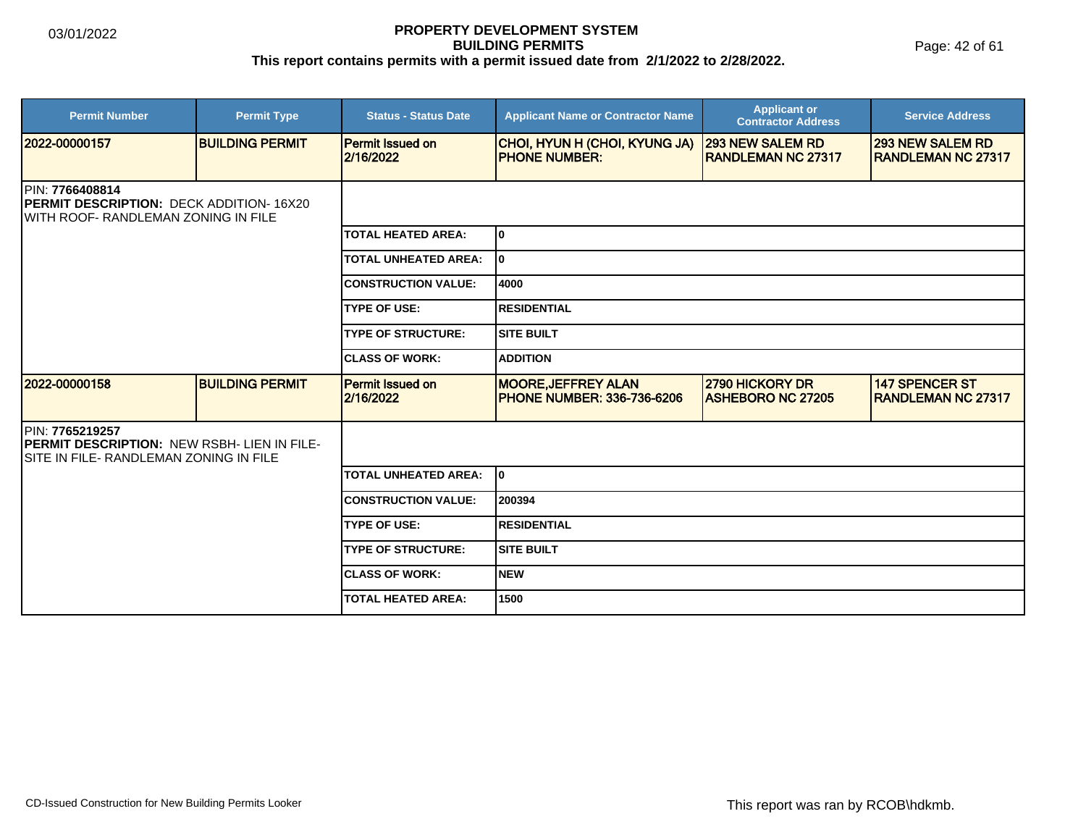Page: 42 of 61

| <b>Permit Number</b>                                                                                       | <b>Permit Type</b>     | <b>Status - Status Date</b>          | <b>Applicant Name or Contractor Name</b>                         | <b>Applicant or</b><br><b>Contractor Address</b>      | <b>Service Address</b>                                |  |  |
|------------------------------------------------------------------------------------------------------------|------------------------|--------------------------------------|------------------------------------------------------------------|-------------------------------------------------------|-------------------------------------------------------|--|--|
| 2022-00000157                                                                                              | <b>BUILDING PERMIT</b> | <b>Permit Issued on</b><br>2/16/2022 | CHOI, HYUN H (CHOI, KYUNG JA)<br><b>PHONE NUMBER:</b>            | <b>293 NEW SALEM RD</b><br><b>IRANDLEMAN NC 27317</b> | <b>293 NEW SALEM RD</b><br><b>IRANDLEMAN NC 27317</b> |  |  |
| PIN: 7766408814<br><b>IPERMIT DESCRIPTION: DECK ADDITION-16X20</b><br>IWITH ROOF- RANDLEMAN ZONING IN FILE |                        |                                      |                                                                  |                                                       |                                                       |  |  |
|                                                                                                            |                        | <b>TOTAL HEATED AREA:</b>            | lo.                                                              |                                                       |                                                       |  |  |
|                                                                                                            |                        | <b>TOTAL UNHEATED AREA:</b>          | I٥                                                               |                                                       |                                                       |  |  |
|                                                                                                            |                        | <b>CONSTRUCTION VALUE:</b>           | 4000                                                             |                                                       |                                                       |  |  |
|                                                                                                            |                        | <b>TYPE OF USE:</b>                  | <b>RESIDENTIAL</b>                                               |                                                       |                                                       |  |  |
|                                                                                                            |                        | <b>TYPE OF STRUCTURE:</b>            | <b>SITE BUILT</b>                                                |                                                       |                                                       |  |  |
|                                                                                                            |                        | <b>CLASS OF WORK:</b>                | <b>ADDITION</b>                                                  |                                                       |                                                       |  |  |
| 2022-00000158                                                                                              | <b>BUILDING PERMIT</b> | <b>Permit Issued on</b><br>2/16/2022 | <b>MOORE, JEFFREY ALAN</b><br><b>IPHONE NUMBER: 336-736-6206</b> | <b>2790 HICKORY DR</b><br><b>ASHEBORO NC 27205</b>    | <b>147 SPENCER ST</b><br><b>RANDLEMAN NC 27317</b>    |  |  |
| IPIN: 7765219257<br>PERMIT DESCRIPTION: NEW RSBH- LIEN IN FILE-<br>ISITE IN FILE- RANDLEMAN ZONING IN FILE |                        |                                      |                                                                  |                                                       |                                                       |  |  |
|                                                                                                            |                        | <b>TOTAL UNHEATED AREA:</b>          | lo.                                                              |                                                       |                                                       |  |  |
|                                                                                                            |                        | <b>CONSTRUCTION VALUE:</b>           | 200394                                                           |                                                       |                                                       |  |  |
|                                                                                                            |                        | <b>TYPE OF USE:</b>                  | <b>RESIDENTIAL</b>                                               |                                                       |                                                       |  |  |
|                                                                                                            |                        | <b>TYPE OF STRUCTURE:</b>            | <b>SITE BUILT</b>                                                |                                                       |                                                       |  |  |
|                                                                                                            |                        | <b>CLASS OF WORK:</b>                | INEW                                                             |                                                       |                                                       |  |  |
|                                                                                                            |                        | <b>TOTAL HEATED AREA:</b>            | 1500                                                             |                                                       |                                                       |  |  |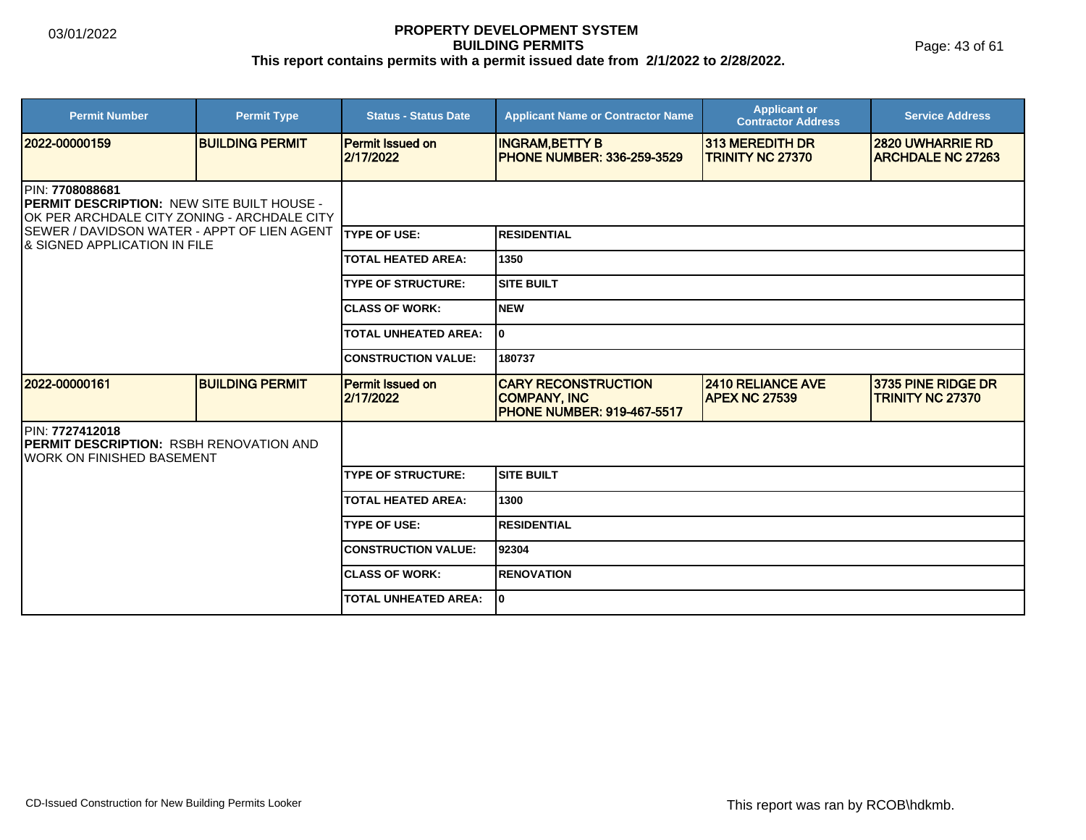Page: 43 of 61

| <b>Permit Number</b>                                                                                                 | <b>Permit Type</b>     | <b>Status - Status Date</b>          | <b>Applicant Name or Contractor Name</b>                                               | <b>Applicant or</b><br><b>Contractor Address</b> | <b>Service Address</b>                              |  |
|----------------------------------------------------------------------------------------------------------------------|------------------------|--------------------------------------|----------------------------------------------------------------------------------------|--------------------------------------------------|-----------------------------------------------------|--|
| 2022-00000159                                                                                                        | <b>BUILDING PERMIT</b> | <b>Permit Issued on</b><br>2/17/2022 | <b>INGRAM, BETTY B</b><br><b>PHONE NUMBER: 336-259-3529</b>                            | 313 MEREDITH DR<br><b>TRINITY NC 27370</b>       | <b>2820 UWHARRIE RD</b><br><b>ARCHDALE NC 27263</b> |  |
| PIN: 7708088681<br><b>IPERMIT DESCRIPTION: NEW SITE BUILT HOUSE -</b><br>OK PER ARCHDALE CITY ZONING - ARCHDALE CITY |                        |                                      |                                                                                        |                                                  |                                                     |  |
| SEWER / DAVIDSON WATER - APPT OF LIEN AGENT<br><b>8 SIGNED APPLICATION IN FILE</b>                                   |                        | <b>ITYPE OF USE:</b>                 | <b>RESIDENTIAL</b>                                                                     |                                                  |                                                     |  |
|                                                                                                                      |                        | <b>TOTAL HEATED AREA:</b>            | 1350                                                                                   |                                                  |                                                     |  |
|                                                                                                                      |                        | <b>TYPE OF STRUCTURE:</b>            | <b>SITE BUILT</b>                                                                      |                                                  |                                                     |  |
|                                                                                                                      |                        | <b>CLASS OF WORK:</b>                | <b>NEW</b>                                                                             |                                                  |                                                     |  |
|                                                                                                                      |                        | <b>TOTAL UNHEATED AREA:</b>          | I٥                                                                                     |                                                  |                                                     |  |
|                                                                                                                      |                        | <b>CONSTRUCTION VALUE:</b>           | 180737                                                                                 |                                                  |                                                     |  |
| 2022-00000161                                                                                                        | <b>BUILDING PERMIT</b> | <b>Permit Issued on</b><br>2/17/2022 | <b>CARY RECONSTRUCTION</b><br><b>COMPANY, INC</b><br><b>PHONE NUMBER: 919-467-5517</b> | <b>2410 RELIANCE AVE</b><br><b>APEX NC 27539</b> | 3735 PINE RIDGE DR<br><b>TRINITY NC 27370</b>       |  |
| PIN: 7727412018<br><b>IPERMIT DESCRIPTION: RSBH RENOVATION AND</b><br>IWORK ON FINISHED BASEMENT                     |                        |                                      |                                                                                        |                                                  |                                                     |  |
|                                                                                                                      |                        | <b>TYPE OF STRUCTURE:</b>            | <b>SITE BUILT</b>                                                                      |                                                  |                                                     |  |
|                                                                                                                      |                        | <b>TOTAL HEATED AREA:</b>            | 1300                                                                                   |                                                  |                                                     |  |
|                                                                                                                      |                        | <b>TYPE OF USE:</b>                  | <b>RESIDENTIAL</b>                                                                     |                                                  |                                                     |  |
|                                                                                                                      |                        | <b>CONSTRUCTION VALUE:</b>           | 92304                                                                                  |                                                  |                                                     |  |
|                                                                                                                      |                        | <b>CLASS OF WORK:</b>                | <b>RENOVATION</b>                                                                      |                                                  |                                                     |  |
|                                                                                                                      |                        | <b>TOTAL UNHEATED AREA:</b>          | I٥                                                                                     |                                                  |                                                     |  |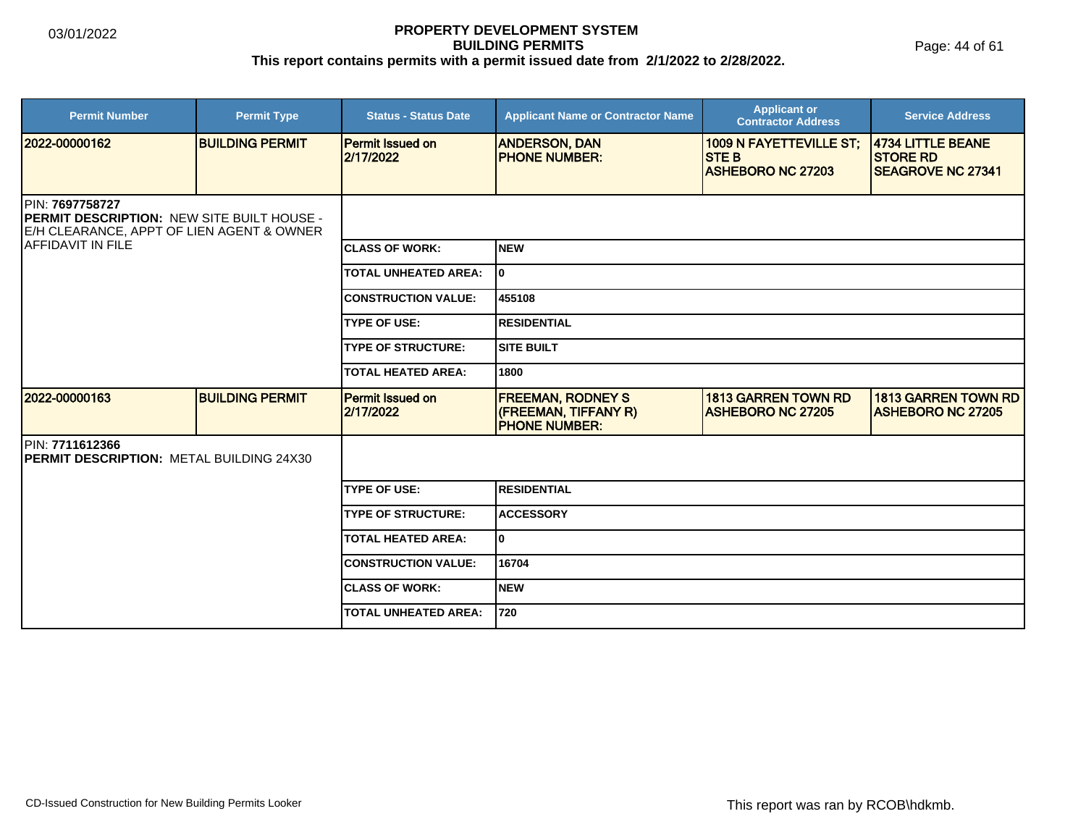Page: 44 of 61

| <b>Permit Number</b>                                                                                              | <b>Permit Type</b>     | <b>Status - Status Date</b>          | <b>Applicant Name or Contractor Name</b>                                 | <b>Applicant or</b><br><b>Contractor Address</b>                          | <b>Service Address</b>                                           |
|-------------------------------------------------------------------------------------------------------------------|------------------------|--------------------------------------|--------------------------------------------------------------------------|---------------------------------------------------------------------------|------------------------------------------------------------------|
| 2022-00000162                                                                                                     | <b>BUILDING PERMIT</b> | <b>Permit Issued on</b><br>2/17/2022 | <b>ANDERSON, DAN</b><br><b>IPHONE NUMBER:</b>                            | <b>1009 N FAYETTEVILLE ST;</b><br><b>STEB</b><br><b>ASHEBORO NC 27203</b> | 4734 LITTLE BEANE<br><b>STORE RD</b><br><b>SEAGROVE NC 27341</b> |
|                                                                                                                   |                        |                                      |                                                                          |                                                                           |                                                                  |
| PIN: 7697758727<br><b>PERMIT DESCRIPTION: NEW SITE BUILT HOUSE -</b><br>E/H CLEARANCE, APPT OF LIEN AGENT & OWNER |                        |                                      |                                                                          |                                                                           |                                                                  |
| <b>IAFFIDAVIT IN FILE</b>                                                                                         |                        | <b>ICLASS OF WORK:</b>               | <b>INEW</b>                                                              |                                                                           |                                                                  |
|                                                                                                                   |                        | <b>TOTAL UNHEATED AREA:</b>          | I٥                                                                       |                                                                           |                                                                  |
|                                                                                                                   |                        | <b>CONSTRUCTION VALUE:</b>           | 455108                                                                   |                                                                           |                                                                  |
|                                                                                                                   |                        | <b>TYPE OF USE:</b>                  | <b>IRESIDENTIAL</b>                                                      |                                                                           |                                                                  |
|                                                                                                                   |                        | <b>TYPE OF STRUCTURE:</b>            | <b>SITE BUILT</b>                                                        |                                                                           |                                                                  |
|                                                                                                                   |                        | <b>TOTAL HEATED AREA:</b>            | 1800                                                                     |                                                                           |                                                                  |
| 2022-00000163                                                                                                     | <b>BUILDING PERMIT</b> | <b>Permit Issued on</b><br>2/17/2022 | <b>FREEMAN, RODNEY S</b><br>(FREEMAN, TIFFANY R)<br><b>PHONE NUMBER:</b> | <b>1813 GARREN TOWN RD</b><br><b>ASHEBORO NC 27205</b>                    | <b>1813 GARREN TOWN RD</b><br><b>ASHEBORO NC 27205</b>           |
| PIN: 7711612366<br><b>IPERMIT DESCRIPTION: METAL BUILDING 24X30</b>                                               |                        |                                      |                                                                          |                                                                           |                                                                  |
|                                                                                                                   |                        | <b>TYPE OF USE:</b>                  | <b>RESIDENTIAL</b>                                                       |                                                                           |                                                                  |
|                                                                                                                   |                        | <b>TYPE OF STRUCTURE:</b>            | <b>ACCESSORY</b>                                                         |                                                                           |                                                                  |
|                                                                                                                   |                        | <b>TOTAL HEATED AREA:</b>            | I٥                                                                       |                                                                           |                                                                  |
|                                                                                                                   |                        | <b>CONSTRUCTION VALUE:</b>           | 16704                                                                    |                                                                           |                                                                  |
|                                                                                                                   |                        | <b>CLASS OF WORK:</b>                | <b>INEW</b>                                                              |                                                                           |                                                                  |
|                                                                                                                   |                        | <b>TOTAL UNHEATED AREA:</b>          | 1720                                                                     |                                                                           |                                                                  |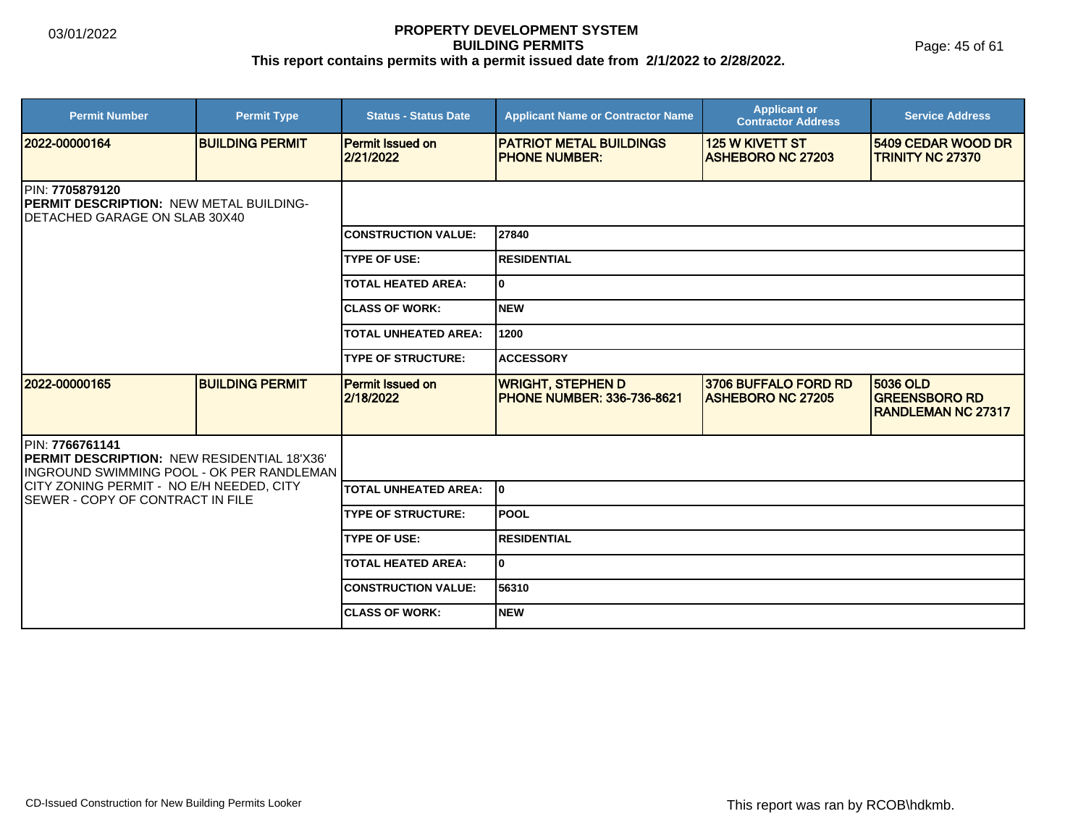Page: 45 of 61

| <b>Permit Number</b>                                                                                               | <b>Permit Type</b>     | <b>Status - Status Date</b>          | <b>Applicant Name or Contractor Name</b>                      | <b>Applicant or</b><br><b>Contractor Address</b>   | <b>Service Address</b>                                        |  |
|--------------------------------------------------------------------------------------------------------------------|------------------------|--------------------------------------|---------------------------------------------------------------|----------------------------------------------------|---------------------------------------------------------------|--|
| 2022-00000164                                                                                                      | <b>BUILDING PERMIT</b> | <b>Permit Issued on</b><br>2/21/2022 | <b>PATRIOT METAL BUILDINGS</b><br><b>PHONE NUMBER:</b>        | <b>125 W KIVETT ST</b><br><b>ASHEBORO NC 27203</b> | 5409 CEDAR WOOD DR<br><b>TRINITY NC 27370</b>                 |  |
| <b>IPIN: 7705879120</b><br>PERMIT DESCRIPTION: NEW METAL BUILDING-<br>IDETACHED GARAGE ON SLAB 30X40               |                        |                                      |                                                               |                                                    |                                                               |  |
|                                                                                                                    |                        | <b>CONSTRUCTION VALUE:</b>           | 27840                                                         |                                                    |                                                               |  |
|                                                                                                                    |                        | <b>TYPE OF USE:</b>                  | <b>RESIDENTIAL</b>                                            |                                                    |                                                               |  |
|                                                                                                                    |                        | <b>TOTAL HEATED AREA:</b>            | 0                                                             |                                                    |                                                               |  |
|                                                                                                                    |                        | <b>ICLASS OF WORK:</b>               | <b>NEW</b>                                                    |                                                    |                                                               |  |
|                                                                                                                    |                        | <b>TOTAL UNHEATED AREA:</b>          | 1200                                                          |                                                    |                                                               |  |
|                                                                                                                    |                        | <b>TYPE OF STRUCTURE:</b>            | <b>ACCESSORY</b>                                              |                                                    |                                                               |  |
| 2022-00000165                                                                                                      | <b>BUILDING PERMIT</b> | <b>Permit Issued on</b><br>2/18/2022 | <b>WRIGHT, STEPHEN D</b><br><b>PHONE NUMBER: 336-736-8621</b> | 3706 BUFFALO FORD RD<br><b>ASHEBORO NC 27205</b>   | 5036 OLD<br><b>GREENSBORO RD</b><br><b>RANDLEMAN NC 27317</b> |  |
| PIN: 7766761141<br><b>PERMIT DESCRIPTION: NEW RESIDENTIAL 18'X36'</b><br>INGROUND SWIMMING POOL - OK PER RANDLEMAN |                        |                                      |                                                               |                                                    |                                                               |  |
| CITY ZONING PERMIT - NO E/H NEEDED, CITY<br><b>ISEWER - COPY OF CONTRACT IN FILE</b>                               |                        | <b>TOTAL UNHEATED AREA:</b>          | lo.                                                           |                                                    |                                                               |  |
|                                                                                                                    |                        | <b>TYPE OF STRUCTURE:</b>            | <b>POOL</b>                                                   |                                                    |                                                               |  |
|                                                                                                                    |                        | <b>TYPE OF USE:</b>                  | <b>RESIDENTIAL</b>                                            |                                                    |                                                               |  |
|                                                                                                                    |                        | <b>TOTAL HEATED AREA:</b>            | 0                                                             |                                                    |                                                               |  |
|                                                                                                                    |                        | <b>CONSTRUCTION VALUE:</b>           | 56310                                                         |                                                    |                                                               |  |
|                                                                                                                    |                        | <b>ICLASS OF WORK:</b>               | <b>NEW</b>                                                    |                                                    |                                                               |  |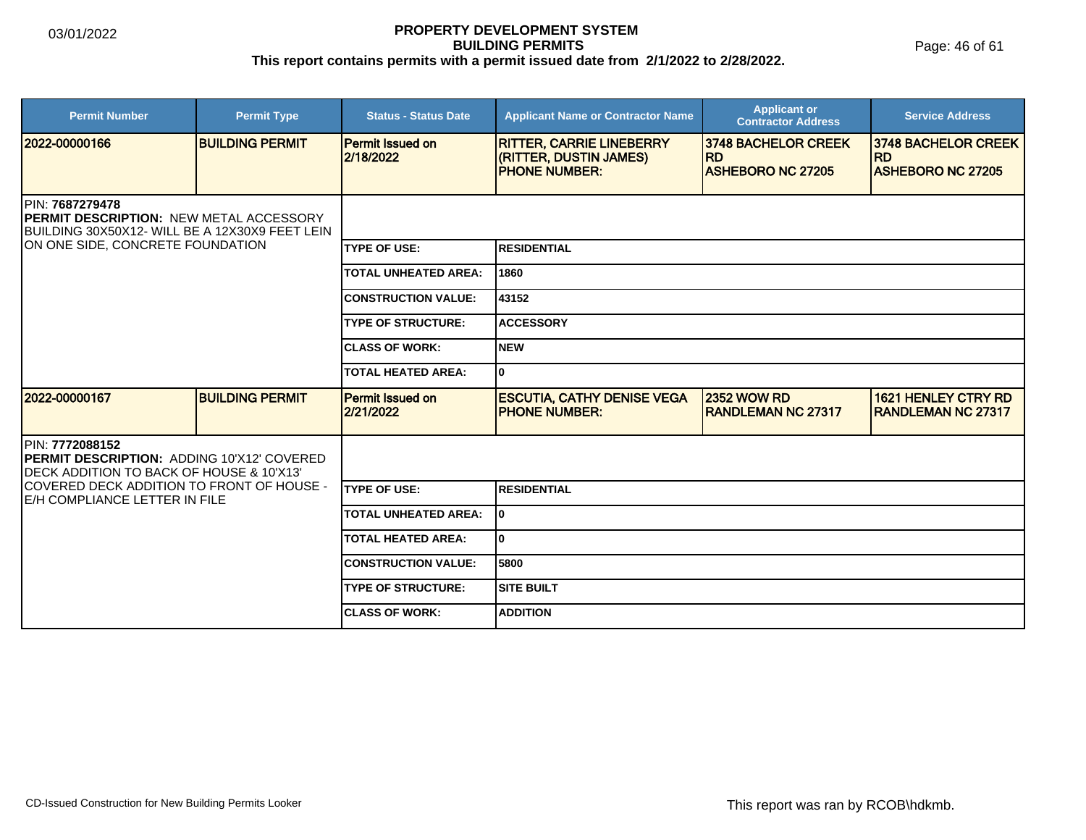Page: 46 of 61

| <b>Permit Number</b>                                                                                                                                    | <b>Permit Type</b>     | <b>Status - Status Date</b>          | <b>Applicant Name or Contractor Name</b>                                           | <b>Applicant or</b><br><b>Contractor Address</b>                    | <b>Service Address</b>                                              |  |
|---------------------------------------------------------------------------------------------------------------------------------------------------------|------------------------|--------------------------------------|------------------------------------------------------------------------------------|---------------------------------------------------------------------|---------------------------------------------------------------------|--|
| 12022-00000166                                                                                                                                          | <b>BUILDING PERMIT</b> | <b>Permit Issued on</b><br>2/18/2022 | <b>RITTER, CARRIE LINEBERRY</b><br>(RITTER, DUSTIN JAMES)<br><b>IPHONE NUMBER:</b> | <b>3748 BACHELOR CREEK</b><br><b>RD</b><br><b>ASHEBORO NC 27205</b> | <b>3748 BACHELOR CREEK</b><br><b>RD</b><br><b>ASHEBORO NC 27205</b> |  |
| PIN: 7687279478<br><b>PERMIT DESCRIPTION: NEW METAL ACCESSORY</b><br>BUILDING 30X50X12- WILL BE A 12X30X9 FEET LEIN<br>ON ONE SIDE, CONCRETE FOUNDATION |                        |                                      |                                                                                    |                                                                     |                                                                     |  |
|                                                                                                                                                         |                        | <b>TYPE OF USE:</b>                  | IRESIDENTIAL                                                                       |                                                                     |                                                                     |  |
|                                                                                                                                                         |                        | <b>TOTAL UNHEATED AREA:</b>          | 1860                                                                               |                                                                     |                                                                     |  |
|                                                                                                                                                         |                        | <b>CONSTRUCTION VALUE:</b>           | 43152                                                                              |                                                                     |                                                                     |  |
|                                                                                                                                                         |                        | <b>TYPE OF STRUCTURE:</b>            | <b>ACCESSORY</b>                                                                   |                                                                     |                                                                     |  |
|                                                                                                                                                         |                        | <b>ICLASS OF WORK:</b>               | Inew                                                                               |                                                                     |                                                                     |  |
|                                                                                                                                                         |                        | <b>TOTAL HEATED AREA:</b>            | lo                                                                                 |                                                                     |                                                                     |  |
| 12022-00000167                                                                                                                                          | <b>BUILDING PERMIT</b> | <b>Permit Issued on</b><br>2/21/2022 | <b>ESCUTIA, CATHY DENISE VEGA</b><br><b>IPHONE NUMBER:</b>                         | <b>2352 WOW RD</b><br><b>RANDLEMAN NC 27317</b>                     | <b>1621 HENLEY CTRY RD</b><br><b>RANDLEMAN NC 27317</b>             |  |
| <b>IPIN: 7772088152</b><br><b>PERMIT DESCRIPTION: ADDING 10'X12' COVERED</b><br><b>IDECK ADDITION TO BACK OF HOUSE &amp; 10'X13'</b>                    |                        |                                      |                                                                                    |                                                                     |                                                                     |  |
| COVERED DECK ADDITION TO FRONT OF HOUSE -<br>E/H COMPLIANCE LETTER IN FILE                                                                              |                        | <b>TYPE OF USE:</b>                  | IRESIDENTIAL                                                                       |                                                                     |                                                                     |  |
|                                                                                                                                                         |                        | <b>TOTAL UNHEATED AREA:</b>          | lo                                                                                 |                                                                     |                                                                     |  |
|                                                                                                                                                         |                        | TOTAL HEATED AREA:                   | ١o                                                                                 |                                                                     |                                                                     |  |
|                                                                                                                                                         |                        | <b>CONSTRUCTION VALUE:</b>           | 5800                                                                               |                                                                     |                                                                     |  |
|                                                                                                                                                         |                        | <b>TYPE OF STRUCTURE:</b>            | Isite built                                                                        |                                                                     |                                                                     |  |
|                                                                                                                                                         |                        | <b>ICLASS OF WORK:</b>               | <b>ADDITION</b>                                                                    |                                                                     |                                                                     |  |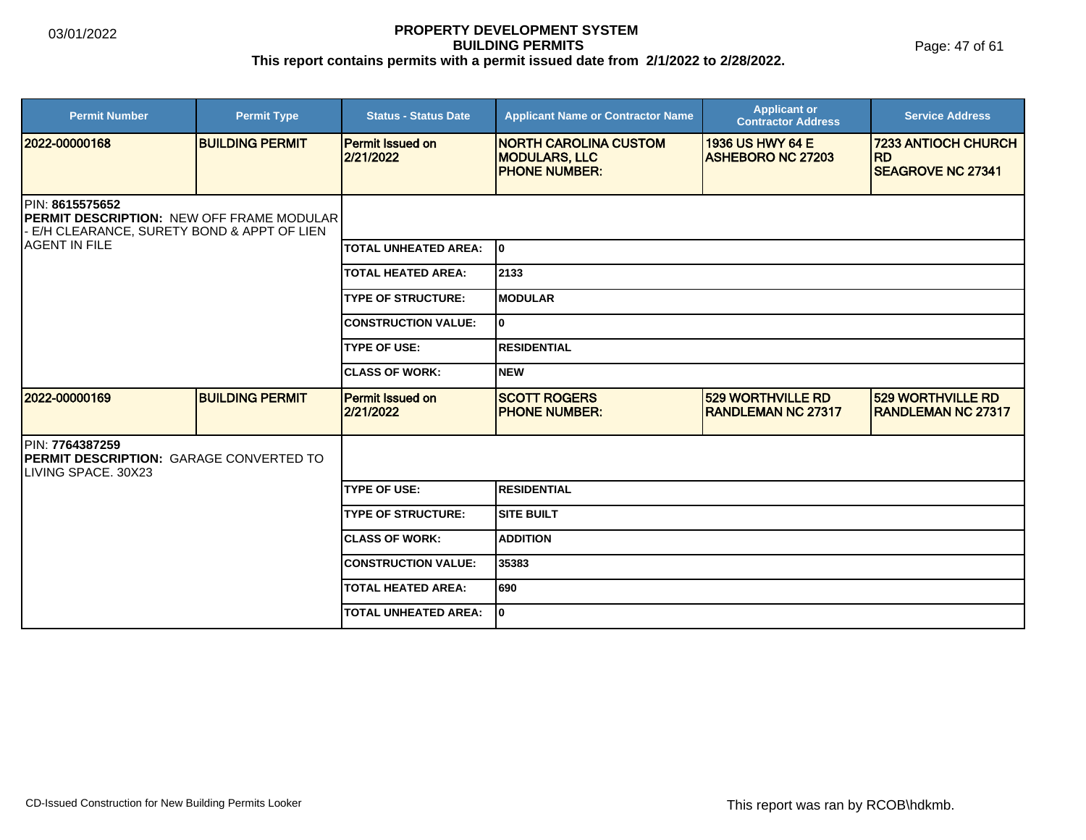Page: 47 of 61

| <b>Permit Number</b>                                                                                             | <b>Permit Type</b>     | <b>Status - Status Date</b>          | <b>Applicant Name or Contractor Name</b>                                     | <b>Applicant or</b><br><b>Contractor Address</b>      | <b>Service Address</b>                                              |
|------------------------------------------------------------------------------------------------------------------|------------------------|--------------------------------------|------------------------------------------------------------------------------|-------------------------------------------------------|---------------------------------------------------------------------|
| 2022-00000168                                                                                                    | <b>BUILDING PERMIT</b> | <b>Permit Issued on</b><br>2/21/2022 | <b>NORTH CAROLINA CUSTOM</b><br><b>MODULARS, LLC</b><br><b>PHONE NUMBER:</b> | 1936 US HWY 64 E<br><b>ASHEBORO NC 27203</b>          | <b>7233 ANTIOCH CHURCH</b><br><b>RD</b><br><b>SEAGROVE NC 27341</b> |
| PIN: 8615575652<br><b>PERMIT DESCRIPTION: NEW OFF FRAME MODULAR</b><br>E/H CLEARANCE, SURETY BOND & APPT OF LIEN |                        |                                      |                                                                              |                                                       |                                                                     |
| <b>AGENT IN FILE</b>                                                                                             |                        | <b>TOTAL UNHEATED AREA:</b>          | lo.                                                                          |                                                       |                                                                     |
|                                                                                                                  |                        | <b>TOTAL HEATED AREA:</b>            | 2133                                                                         |                                                       |                                                                     |
|                                                                                                                  |                        | <b>TYPE OF STRUCTURE:</b>            | <b>MODULAR</b>                                                               |                                                       |                                                                     |
|                                                                                                                  |                        | <b>CONSTRUCTION VALUE:</b>           | I٥                                                                           |                                                       |                                                                     |
|                                                                                                                  |                        | <b>TYPE OF USE:</b>                  | <b>RESIDENTIAL</b>                                                           |                                                       |                                                                     |
|                                                                                                                  |                        | <b>CLASS OF WORK:</b>                | Inew                                                                         |                                                       |                                                                     |
| 2022-00000169                                                                                                    | <b>BUILDING PERMIT</b> | <b>Permit Issued on</b><br>2/21/2022 | <b>SCOTT ROGERS</b><br><b>PHONE NUMBER:</b>                                  | <b>529 WORTHVILLE RD</b><br><b>RANDLEMAN NC 27317</b> | <b>529 WORTHVILLE RD</b><br><b>RANDLEMAN NC 27317</b>               |
| PIN: 7764387259<br><b>PERMIT DESCRIPTION: GARAGE CONVERTED TO</b><br>LIVING SPACE. 30X23                         |                        |                                      |                                                                              |                                                       |                                                                     |
|                                                                                                                  |                        | <b>TYPE OF USE:</b>                  | <b>RESIDENTIAL</b>                                                           |                                                       |                                                                     |
|                                                                                                                  |                        | <b>TYPE OF STRUCTURE:</b>            | <b>SITE BUILT</b>                                                            |                                                       |                                                                     |
|                                                                                                                  |                        | <b>CLASS OF WORK:</b>                | <b>ADDITION</b>                                                              |                                                       |                                                                     |
|                                                                                                                  |                        | <b>CONSTRUCTION VALUE:</b>           | 35383                                                                        |                                                       |                                                                     |
|                                                                                                                  |                        | <b>TOTAL HEATED AREA:</b>            | 690                                                                          |                                                       |                                                                     |
|                                                                                                                  |                        | <b>TOTAL UNHEATED AREA:</b>          | I٥                                                                           |                                                       |                                                                     |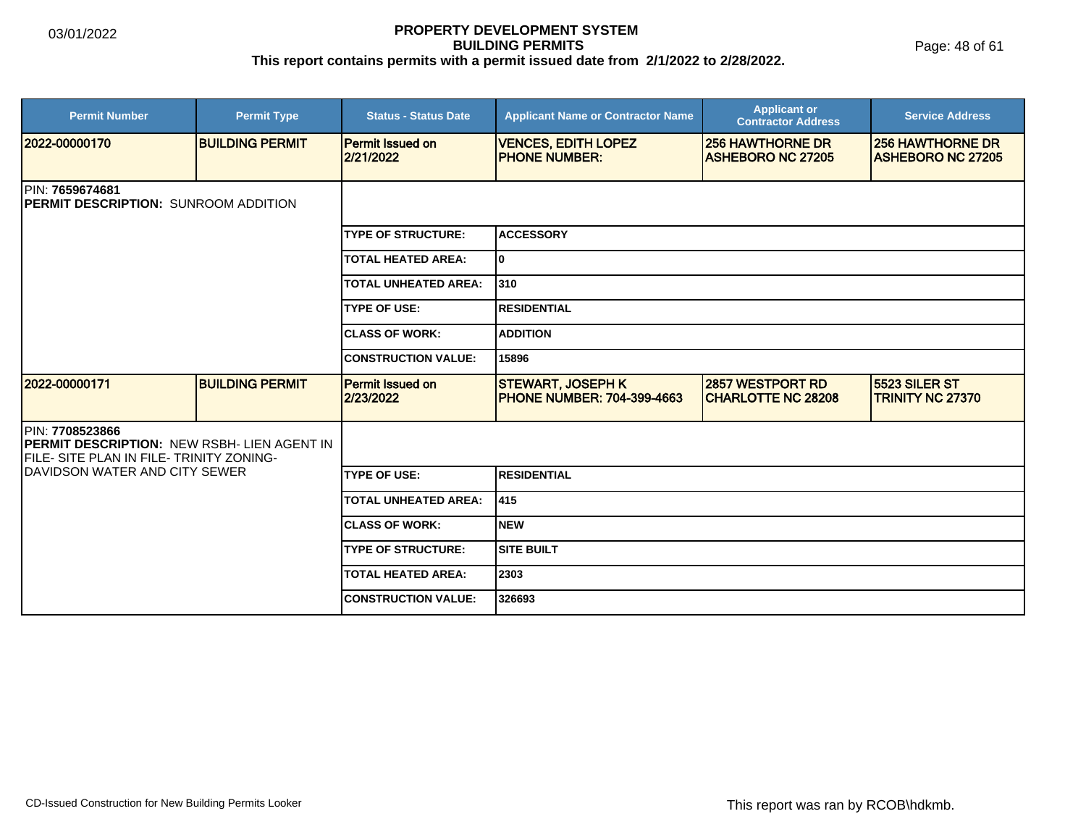| <b>Permit Number</b>                                                                                        | <b>Permit Type</b>     | <b>Status - Status Date</b>          | <b>Applicant Name or Contractor Name</b>                       | <b>Applicant or</b><br><b>Contractor Address</b>      | <b>Service Address</b>                              |  |  |
|-------------------------------------------------------------------------------------------------------------|------------------------|--------------------------------------|----------------------------------------------------------------|-------------------------------------------------------|-----------------------------------------------------|--|--|
| 2022-00000170                                                                                               | <b>BUILDING PERMIT</b> | <b>Permit Issued on</b><br>2/21/2022 | <b>VENCES, EDITH LOPEZ</b><br><b>IPHONE NUMBER:</b>            | <b>256 HAWTHORNE DR</b><br><b>ASHEBORO NC 27205</b>   | <b>256 HAWTHORNE DR</b><br><b>ASHEBORO NC 27205</b> |  |  |
| <b>IPIN: 7659674681</b><br><b>PERMIT DESCRIPTION: SUNROOM ADDITION</b>                                      |                        |                                      |                                                                |                                                       |                                                     |  |  |
|                                                                                                             |                        | <b>TYPE OF STRUCTURE:</b>            | <b>ACCESSORY</b>                                               |                                                       |                                                     |  |  |
|                                                                                                             |                        | <b>TOTAL HEATED AREA:</b>            | lo.                                                            |                                                       |                                                     |  |  |
|                                                                                                             |                        | <b>TOTAL UNHEATED AREA:</b>          | 310                                                            |                                                       |                                                     |  |  |
|                                                                                                             |                        | <b>TYPE OF USE:</b>                  | <b>RESIDENTIAL</b>                                             |                                                       |                                                     |  |  |
|                                                                                                             |                        | <b>CLASS OF WORK:</b>                | <b>ADDITION</b>                                                |                                                       |                                                     |  |  |
|                                                                                                             |                        | <b>CONSTRUCTION VALUE:</b>           | 15896                                                          |                                                       |                                                     |  |  |
| 2022-00000171                                                                                               | <b>BUILDING PERMIT</b> | <b>Permit Issued on</b><br>2/23/2022 | <b>STEWART, JOSEPH K</b><br><b>IPHONE NUMBER: 704-399-4663</b> | <b>2857 WESTPORT RD</b><br><b>ICHARLOTTE NC 28208</b> | <b>5523 SILER ST</b><br><b>TRINITY NC 27370</b>     |  |  |
| PIN: 7708523866<br>PERMIT DESCRIPTION: NEW RSBH- LIEN AGENT IN<br>IFILE- SITE PLAN IN FILE- TRINITY ZONING- |                        |                                      |                                                                |                                                       |                                                     |  |  |
| IDAVIDSON WATER AND CITY SEWER                                                                              |                        | <b>TYPE OF USE:</b>                  | <b>RESIDENTIAL</b>                                             |                                                       |                                                     |  |  |
|                                                                                                             |                        | <b>TOTAL UNHEATED AREA:</b>          | 415                                                            |                                                       |                                                     |  |  |
|                                                                                                             |                        | <b>ICLASS OF WORK:</b>               | Inew                                                           |                                                       |                                                     |  |  |
|                                                                                                             |                        | <b>TYPE OF STRUCTURE:</b>            | <b>SITE BUILT</b>                                              |                                                       |                                                     |  |  |
|                                                                                                             |                        | <b>TOTAL HEATED AREA:</b>            | 2303                                                           |                                                       |                                                     |  |  |
|                                                                                                             |                        | <b>CONSTRUCTION VALUE:</b>           | 326693                                                         |                                                       |                                                     |  |  |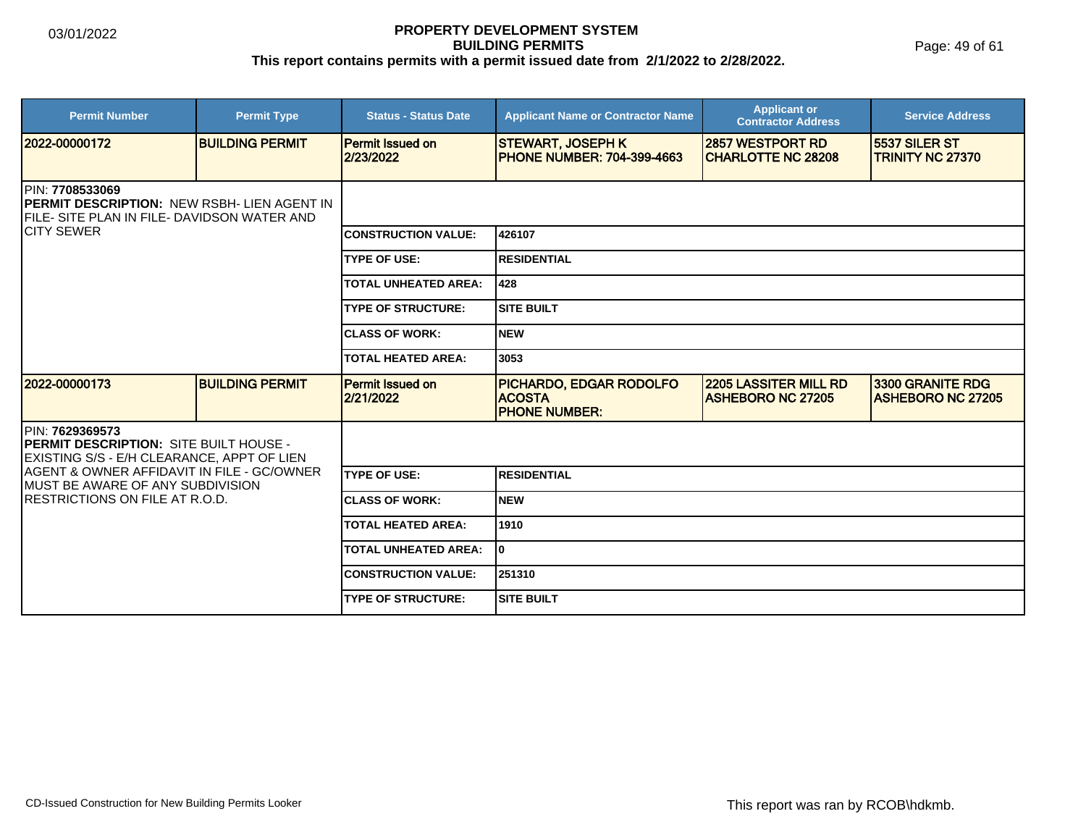Page: 49 of 61

| <b>Permit Number</b>                                                                                                                                        | <b>Permit Type</b>     | <b>Status - Status Date</b>          | <b>Applicant Name or Contractor Name</b>                         | <b>Applicant or</b><br><b>Contractor Address</b>         | <b>Service Address</b>                              |  |  |
|-------------------------------------------------------------------------------------------------------------------------------------------------------------|------------------------|--------------------------------------|------------------------------------------------------------------|----------------------------------------------------------|-----------------------------------------------------|--|--|
| 12022-00000172                                                                                                                                              | <b>BUILDING PERMIT</b> | <b>Permit Issued on</b><br>2/23/2022 | <b>STEWART, JOSEPH K</b><br><b>PHONE NUMBER: 704-399-4663</b>    | <b>2857 WESTPORT RD</b><br><b>ICHARLOTTE NC 28208</b>    | <b>15537 SILER ST</b><br><b>TRINITY NC 27370</b>    |  |  |
| <b>IPIN: 7708533069</b><br><b>IPERMIT DESCRIPTION: NEW RSBH- LIEN AGENT IN</b><br><b>IFILE- SITE PLAN IN FILE- DAVIDSON WATER AND</b><br><b>ICITY SEWER</b> |                        |                                      |                                                                  |                                                          |                                                     |  |  |
|                                                                                                                                                             |                        | <b>CONSTRUCTION VALUE:</b>           | 426107                                                           |                                                          |                                                     |  |  |
|                                                                                                                                                             |                        | <b>TYPE OF USE:</b>                  | <b>RESIDENTIAL</b>                                               |                                                          |                                                     |  |  |
|                                                                                                                                                             |                        | <b>TOTAL UNHEATED AREA:</b>          | 428                                                              |                                                          |                                                     |  |  |
|                                                                                                                                                             |                        | <b>TYPE OF STRUCTURE:</b>            | <b>SITE BUILT</b>                                                |                                                          |                                                     |  |  |
|                                                                                                                                                             |                        | <b>CLASS OF WORK:</b>                | <b>NEW</b>                                                       |                                                          |                                                     |  |  |
|                                                                                                                                                             |                        | <b>TOTAL HEATED AREA:</b>            | 3053                                                             |                                                          |                                                     |  |  |
| 12022-00000173                                                                                                                                              | <b>BUILDING PERMIT</b> | <b>Permit Issued on</b><br>2/21/2022 | PICHARDO, EDGAR RODOLFO<br><b>ACOSTA</b><br><b>PHONE NUMBER:</b> | <b>2205 LASSITER MILL RD</b><br><b>ASHEBORO NC 27205</b> | <b>3300 GRANITE RDG</b><br><b>ASHEBORO NC 27205</b> |  |  |
| <b>IPIN: 7629369573</b><br><b>PERMIT DESCRIPTION: SITE BUILT HOUSE -</b><br>EXISTING S/S - E/H CLEARANCE, APPT OF LIEN                                      |                        |                                      |                                                                  |                                                          |                                                     |  |  |
| AGENT & OWNER AFFIDAVIT IN FILE - GC/OWNER<br><b>IMUST BE AWARE OF ANY SUBDIVISION</b>                                                                      |                        | <b>TYPE OF USE:</b>                  | <b>RESIDENTIAL</b>                                               |                                                          |                                                     |  |  |
| <b>IRESTRICTIONS ON FILE AT R.O.D.</b>                                                                                                                      |                        | <b>CLASS OF WORK:</b>                | <b>NEW</b>                                                       |                                                          |                                                     |  |  |
|                                                                                                                                                             |                        | <b>TOTAL HEATED AREA:</b>            | 1910                                                             |                                                          |                                                     |  |  |
|                                                                                                                                                             |                        | <b>TOTAL UNHEATED AREA:</b>          | 0                                                                |                                                          |                                                     |  |  |
|                                                                                                                                                             |                        | <b>CONSTRUCTION VALUE:</b>           | 251310                                                           |                                                          |                                                     |  |  |
|                                                                                                                                                             |                        | <b>TYPE OF STRUCTURE:</b>            | <b>SITE BUILT</b>                                                |                                                          |                                                     |  |  |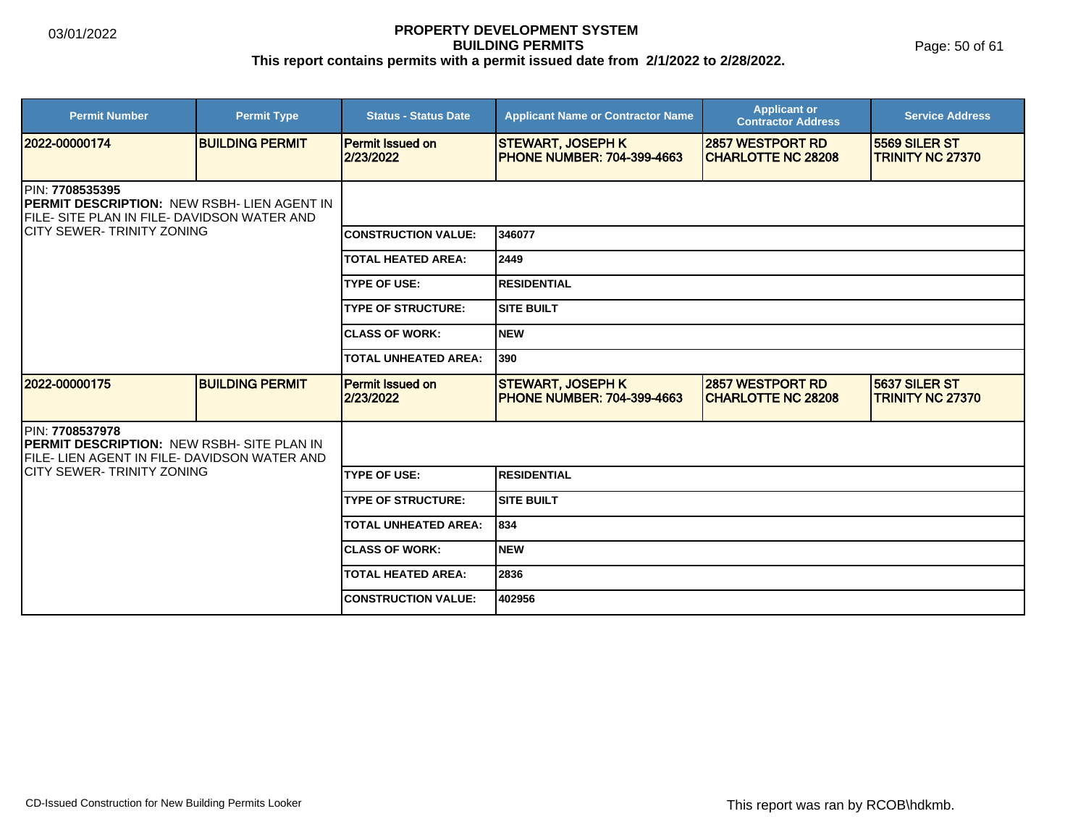Page: 50 of 61

| <b>Permit Number</b>                                                                                                                                               | <b>Permit Type</b>     | <b>Status - Status Date</b>          | <b>Applicant Name or Contractor Name</b>                      | <b>Applicant or</b><br><b>Contractor Address</b> | <b>Service Address</b>                   |  |
|--------------------------------------------------------------------------------------------------------------------------------------------------------------------|------------------------|--------------------------------------|---------------------------------------------------------------|--------------------------------------------------|------------------------------------------|--|
| 2022-00000174                                                                                                                                                      | <b>BUILDING PERMIT</b> | <b>Permit Issued on</b><br>2/23/2022 | <b>STEWART, JOSEPH K</b><br><b>PHONE NUMBER: 704-399-4663</b> | 2857 WESTPORT RD<br><b>CHARLOTTE NC 28208</b>    | 5569 SILER ST<br><b>TRINITY NC 27370</b> |  |
| <b>IPIN: 7708535395</b><br><b>IPERMIT DESCRIPTION: NEW RSBH- LIEN AGENT IN</b><br>FILE- SITE PLAN IN FILE- DAVIDSON WATER AND<br><b>ICITY SEWER-TRINITY ZONING</b> |                        |                                      |                                                               |                                                  |                                          |  |
|                                                                                                                                                                    |                        | <b>CONSTRUCTION VALUE:</b>           | 346077                                                        |                                                  |                                          |  |
|                                                                                                                                                                    |                        | <b>TOTAL HEATED AREA:</b>            | 2449                                                          |                                                  |                                          |  |
|                                                                                                                                                                    |                        | <b>TYPE OF USE:</b>                  | <b>RESIDENTIAL</b>                                            |                                                  |                                          |  |
|                                                                                                                                                                    |                        | <b>TYPE OF STRUCTURE:</b>            | <b>SITE BUILT</b>                                             |                                                  |                                          |  |
|                                                                                                                                                                    |                        | <b>CLASS OF WORK:</b>                | <b>NEW</b>                                                    |                                                  |                                          |  |
|                                                                                                                                                                    |                        | <b>TOTAL UNHEATED AREA:</b>          | 390                                                           |                                                  |                                          |  |
| 12022-00000175                                                                                                                                                     | <b>BUILDING PERMIT</b> | Permit Issued on<br>2/23/2022        | <b>STEWART, JOSEPH K</b><br><b>PHONE NUMBER: 704-399-4663</b> | 2857 WESTPORT RD<br><b>CHARLOTTE NC 28208</b>    | 5637 SILER ST<br><b>TRINITY NC 27370</b> |  |
| <b>IPIN: 7708537978</b><br><b>PERMIT DESCRIPTION: NEW RSBH- SITE PLAN IN</b><br><b>IFILE- LIEN AGENT IN FILE- DAVIDSON WATER AND</b>                               |                        |                                      |                                                               |                                                  |                                          |  |
| <b>CITY SEWER-TRINITY ZONING</b>                                                                                                                                   |                        | <b>TYPE OF USE:</b>                  | <b>RESIDENTIAL</b>                                            |                                                  |                                          |  |
|                                                                                                                                                                    |                        | <b>TYPE OF STRUCTURE:</b>            | <b>SITE BUILT</b>                                             |                                                  |                                          |  |
|                                                                                                                                                                    |                        | <b>TOTAL UNHEATED AREA:</b>          | 834                                                           |                                                  |                                          |  |
|                                                                                                                                                                    |                        | <b>ICLASS OF WORK:</b>               | <b>NEW</b>                                                    |                                                  |                                          |  |
|                                                                                                                                                                    |                        | <b>TOTAL HEATED AREA:</b>            | 2836                                                          |                                                  |                                          |  |
|                                                                                                                                                                    |                        | <b>CONSTRUCTION VALUE:</b>           | 402956                                                        |                                                  |                                          |  |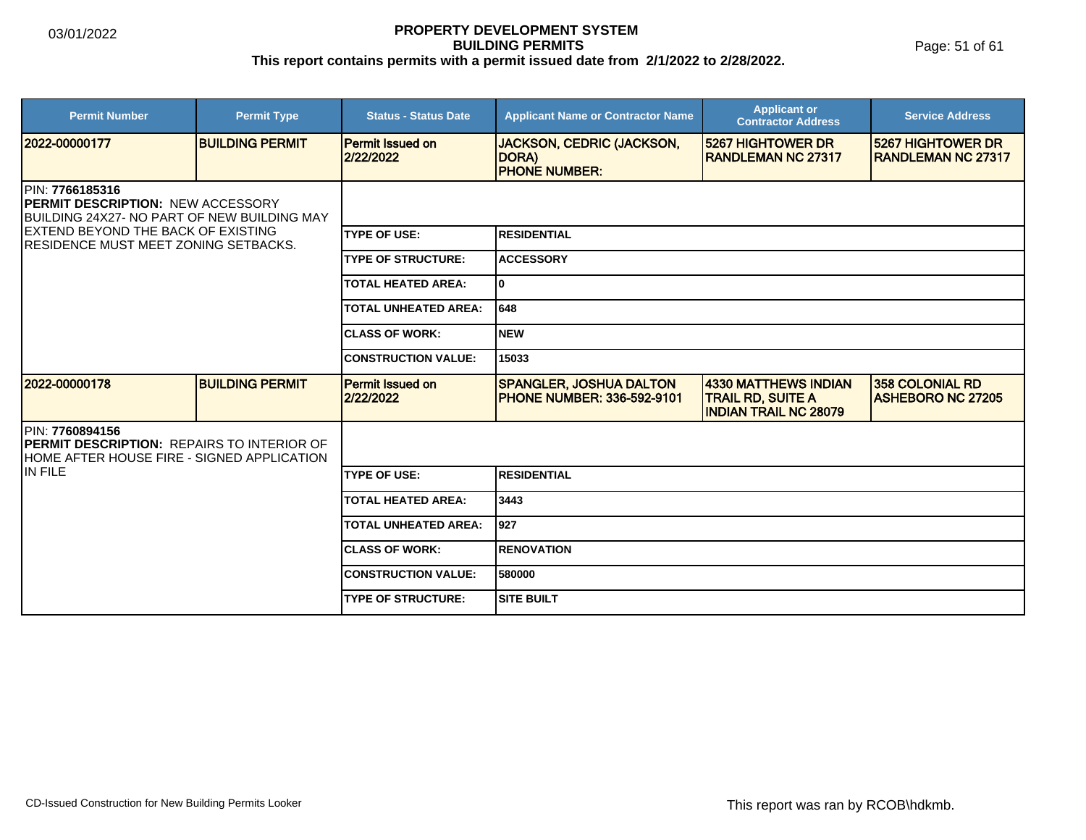Page: 51 of 61

| <b>Permit Number</b>                                                                                                                                                                             | <b>Permit Type</b>     | <b>Status - Status Date</b>          | <b>Applicant Name or Contractor Name</b>                            | <b>Applicant or</b><br><b>Contractor Address</b>                                        | <b>Service Address</b>                             |  |
|--------------------------------------------------------------------------------------------------------------------------------------------------------------------------------------------------|------------------------|--------------------------------------|---------------------------------------------------------------------|-----------------------------------------------------------------------------------------|----------------------------------------------------|--|
| 2022-00000177                                                                                                                                                                                    | <b>BUILDING PERMIT</b> | <b>Permit Issued on</b><br>2/22/2022 | <b>JACKSON, CEDRIC (JACKSON,</b><br>DORA)<br><b>PHONE NUMBER:</b>   | 5267 HIGHTOWER DR<br><b>RANDLEMAN NC 27317</b>                                          | 5267 HIGHTOWER DR<br><b>IRANDLEMAN NC 27317</b>    |  |
| PIN: 7766185316<br><b>PERMIT DESCRIPTION: NEW ACCESSORY</b><br>BUILDING 24X27- NO PART OF NEW BUILDING MAY<br><b>EXTEND BEYOND THE BACK OF EXISTING</b><br>IRESIDENCE MUST MEET ZONING SETBACKS. |                        |                                      |                                                                     |                                                                                         |                                                    |  |
|                                                                                                                                                                                                  |                        | <b>ITYPE OF USE:</b>                 | IRESIDENTIAL                                                        |                                                                                         |                                                    |  |
|                                                                                                                                                                                                  |                        | <b>TYPE OF STRUCTURE:</b>            | <b>ACCESSORY</b>                                                    |                                                                                         |                                                    |  |
|                                                                                                                                                                                                  |                        | <b>TOTAL HEATED AREA:</b>            | I٥                                                                  |                                                                                         |                                                    |  |
|                                                                                                                                                                                                  |                        | <b>TOTAL UNHEATED AREA:</b>          | 648                                                                 |                                                                                         |                                                    |  |
|                                                                                                                                                                                                  |                        | <b>ICLASS OF WORK:</b>               | Inew                                                                |                                                                                         |                                                    |  |
|                                                                                                                                                                                                  |                        | <b>CONSTRUCTION VALUE:</b>           | 15033                                                               |                                                                                         |                                                    |  |
| 2022-00000178                                                                                                                                                                                    | <b>BUILDING PERMIT</b> | <b>Permit Issued on</b><br>2/22/2022 | <b>SPANGLER, JOSHUA DALTON</b><br><b>PHONE NUMBER: 336-592-9101</b> | <b>4330 MATTHEWS INDIAN</b><br><b>TRAIL RD, SUITE A</b><br><b>INDIAN TRAIL NC 28079</b> | <b>358 COLONIAL RD</b><br><b>ASHEBORO NC 27205</b> |  |
| IPIN: 7760894156<br>PERMIT DESCRIPTION: REPAIRS TO INTERIOR OF<br>HOME AFTER HOUSE FIRE - SIGNED APPLICATION                                                                                     |                        |                                      |                                                                     |                                                                                         |                                                    |  |
| IIN FILE                                                                                                                                                                                         |                        | <b>TYPE OF USE:</b>                  | IRESIDENTIAL                                                        |                                                                                         |                                                    |  |
|                                                                                                                                                                                                  |                        | <b>TOTAL HEATED AREA:</b>            | 3443                                                                |                                                                                         |                                                    |  |
|                                                                                                                                                                                                  |                        | <b>TOTAL UNHEATED AREA:</b>          | 1927                                                                |                                                                                         |                                                    |  |
|                                                                                                                                                                                                  |                        | <b>ICLASS OF WORK:</b>               | IRENOVATION                                                         |                                                                                         |                                                    |  |
|                                                                                                                                                                                                  |                        | <b>CONSTRUCTION VALUE:</b>           | 580000                                                              |                                                                                         |                                                    |  |
|                                                                                                                                                                                                  |                        | <b>TYPE OF STRUCTURE:</b>            | <b>SITE BUILT</b>                                                   |                                                                                         |                                                    |  |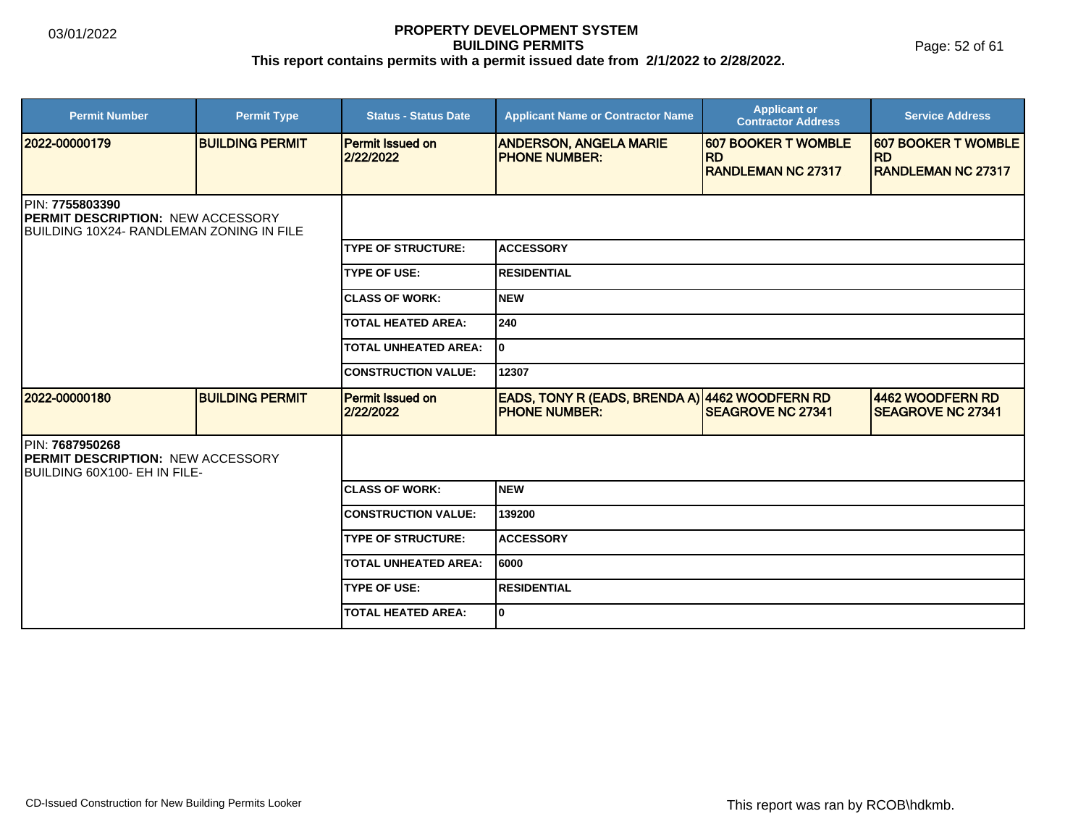Page: 52 of 61

| <b>Permit Number</b>                                                                                      | <b>Permit Type</b>     | <b>Status - Status Date</b>          | <b>Applicant Name or Contractor Name</b>                               | <b>Applicant or</b><br><b>Contractor Address</b> | <b>Service Address</b>                       |  |  |
|-----------------------------------------------------------------------------------------------------------|------------------------|--------------------------------------|------------------------------------------------------------------------|--------------------------------------------------|----------------------------------------------|--|--|
| 2022-00000179                                                                                             | <b>BUILDING PERMIT</b> | <b>Permit Issued on</b><br>2/22/2022 | <b>ANDERSON, ANGELA MARIE</b><br><b>PHONE NUMBER:</b>                  | <b>607 BOOKER T WOMBLE</b><br><b>IRD</b>         | <b>607 BOOKER T WOMBLE</b><br><b>IRD</b>     |  |  |
|                                                                                                           |                        |                                      |                                                                        | <b>RANDLEMAN NC 27317</b>                        | <b>RANDLEMAN NC 27317</b>                    |  |  |
| IPIN: 7755803390<br><b>PERMIT DESCRIPTION: NEW ACCESSORY</b><br>IBUILDING 10X24- RANDLEMAN ZONING IN FILE |                        |                                      |                                                                        |                                                  |                                              |  |  |
|                                                                                                           |                        | <b>TYPE OF STRUCTURE:</b>            | <b>ACCESSORY</b>                                                       |                                                  |                                              |  |  |
|                                                                                                           |                        | <b>TYPE OF USE:</b>                  | <b>RESIDENTIAL</b>                                                     |                                                  |                                              |  |  |
|                                                                                                           |                        | <b>CLASS OF WORK:</b>                | <b>NEW</b>                                                             |                                                  |                                              |  |  |
|                                                                                                           |                        | <b>TOTAL HEATED AREA:</b>            | 240                                                                    |                                                  |                                              |  |  |
|                                                                                                           |                        | <b>TOTAL UNHEATED AREA:</b>          | 0                                                                      |                                                  |                                              |  |  |
|                                                                                                           |                        | <b>CONSTRUCTION VALUE:</b>           | 12307                                                                  |                                                  |                                              |  |  |
| 2022-00000180                                                                                             | <b>BUILDING PERMIT</b> | <b>Permit Issued on</b><br>2/22/2022 | EADS, TONY R (EADS, BRENDA A) 4462 WOODFERN RD<br><b>PHONE NUMBER:</b> | <b>SEAGROVE NC 27341</b>                         | 4462 WOODFERN RD<br><b>SEAGROVE NC 27341</b> |  |  |
| IPIN: 7687950268<br><b>PERMIT DESCRIPTION: NEW ACCESSORY</b><br>BUILDING 60X100- EH IN FILE-              |                        |                                      |                                                                        |                                                  |                                              |  |  |
|                                                                                                           |                        | <b>CLASS OF WORK:</b>                | <b>NEW</b>                                                             |                                                  |                                              |  |  |
|                                                                                                           |                        | <b>CONSTRUCTION VALUE:</b>           | 139200                                                                 |                                                  |                                              |  |  |
|                                                                                                           |                        | <b>TYPE OF STRUCTURE:</b>            | <b>ACCESSORY</b>                                                       |                                                  |                                              |  |  |
|                                                                                                           |                        | <b>TOTAL UNHEATED AREA:</b>          | 6000                                                                   |                                                  |                                              |  |  |
|                                                                                                           |                        | <b>TYPE OF USE:</b>                  | <b>RESIDENTIAL</b>                                                     |                                                  |                                              |  |  |
|                                                                                                           |                        | <b>TOTAL HEATED AREA:</b>            | 0                                                                      |                                                  |                                              |  |  |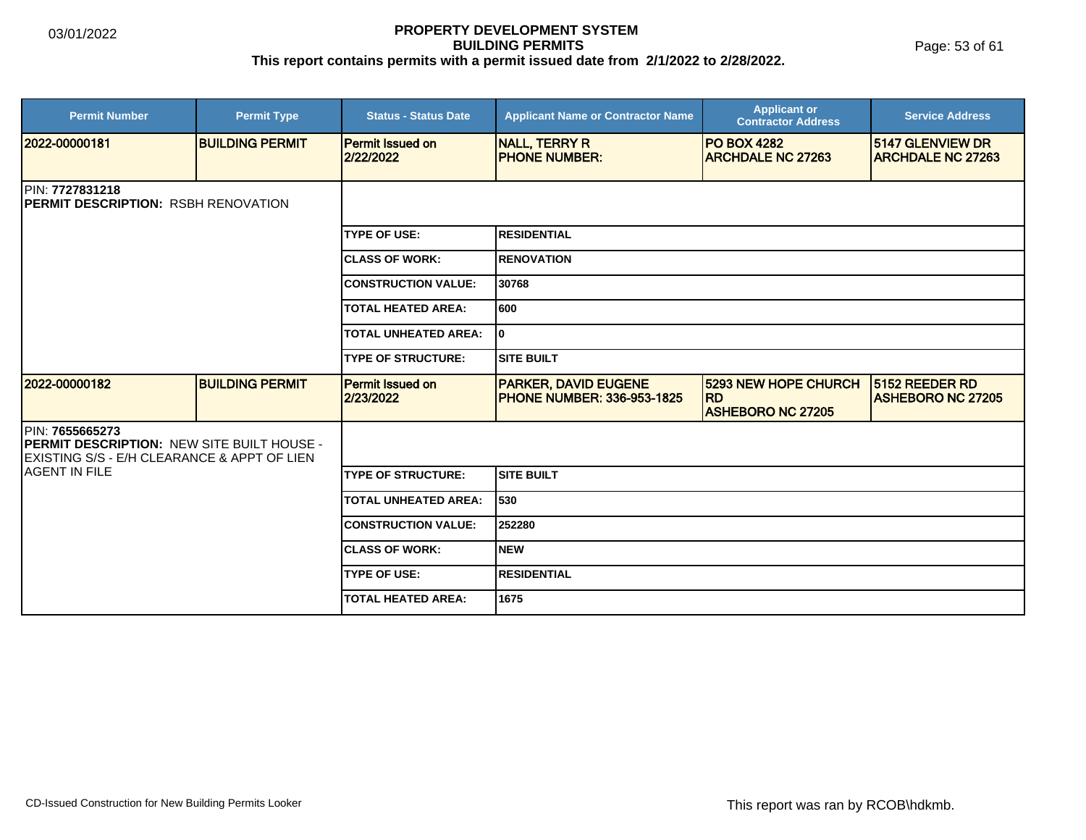Page: 53 of 61

| <b>Permit Number</b>                                                                                                       | <b>Permit Type</b>     | <b>Status - Status Date</b>          | <b>Applicant Name or Contractor Name</b>                         | <b>Applicant or</b><br><b>Contractor Address</b>                     | <b>Service Address</b>                       |  |  |
|----------------------------------------------------------------------------------------------------------------------------|------------------------|--------------------------------------|------------------------------------------------------------------|----------------------------------------------------------------------|----------------------------------------------|--|--|
| 2022-00000181                                                                                                              | <b>BUILDING PERMIT</b> | <b>Permit Issued on</b><br>2/22/2022 | <b>NALL, TERRY R</b><br><b>PHONE NUMBER:</b>                     | <b>PO BOX 4282</b><br><b>ARCHDALE NC 27263</b>                       | 5147 GLENVIEW DR<br><b>ARCHDALE NC 27263</b> |  |  |
| <b>IPIN: 7727831218</b><br><b>IPERMIT DESCRIPTION: RSBH RENOVATION</b>                                                     |                        |                                      |                                                                  |                                                                      |                                              |  |  |
|                                                                                                                            |                        | <b>TYPE OF USE:</b>                  | <b>RESIDENTIAL</b>                                               |                                                                      |                                              |  |  |
|                                                                                                                            |                        | <b>ICLASS OF WORK:</b>               | <b>RENOVATION</b>                                                |                                                                      |                                              |  |  |
|                                                                                                                            |                        | <b>CONSTRUCTION VALUE:</b>           | 30768                                                            |                                                                      |                                              |  |  |
|                                                                                                                            |                        | <b>TOTAL HEATED AREA:</b>            | 600                                                              |                                                                      |                                              |  |  |
|                                                                                                                            |                        | <b>TOTAL UNHEATED AREA:</b>          | ١o                                                               |                                                                      |                                              |  |  |
|                                                                                                                            |                        | <b>TYPE OF STRUCTURE:</b>            | <b>SITE BUILT</b>                                                |                                                                      |                                              |  |  |
| 2022-00000182                                                                                                              | <b>BUILDING PERMIT</b> | Permit Issued on<br>2/23/2022        | <b>PARKER, DAVID EUGENE</b><br><b>PHONE NUMBER: 336-953-1825</b> | <b>5293 NEW HOPE CHURCH</b><br><b>RD</b><br><b>ASHEBORO NC 27205</b> | 5152 REEDER RD<br><b>ASHEBORO NC 27205</b>   |  |  |
| <b>PIN: 7655665273</b><br><b>PERMIT DESCRIPTION: NEW SITE BUILT HOUSE -</b><br>EXISTING S/S - E/H CLEARANCE & APPT OF LIEN |                        |                                      |                                                                  |                                                                      |                                              |  |  |
| <b>IAGENT IN FILE</b>                                                                                                      |                        | <b>TYPE OF STRUCTURE:</b>            | <b>SITE BUILT</b>                                                |                                                                      |                                              |  |  |
|                                                                                                                            |                        | <b>TOTAL UNHEATED AREA:</b>          | 530                                                              |                                                                      |                                              |  |  |
|                                                                                                                            |                        | <b>CONSTRUCTION VALUE:</b>           | 252280                                                           |                                                                      |                                              |  |  |
|                                                                                                                            |                        | <b>ICLASS OF WORK:</b>               | <b>NEW</b>                                                       |                                                                      |                                              |  |  |
|                                                                                                                            |                        | <b>TYPE OF USE:</b>                  | <b>RESIDENTIAL</b>                                               |                                                                      |                                              |  |  |
|                                                                                                                            |                        | <b>TOTAL HEATED AREA:</b>            | 1675                                                             |                                                                      |                                              |  |  |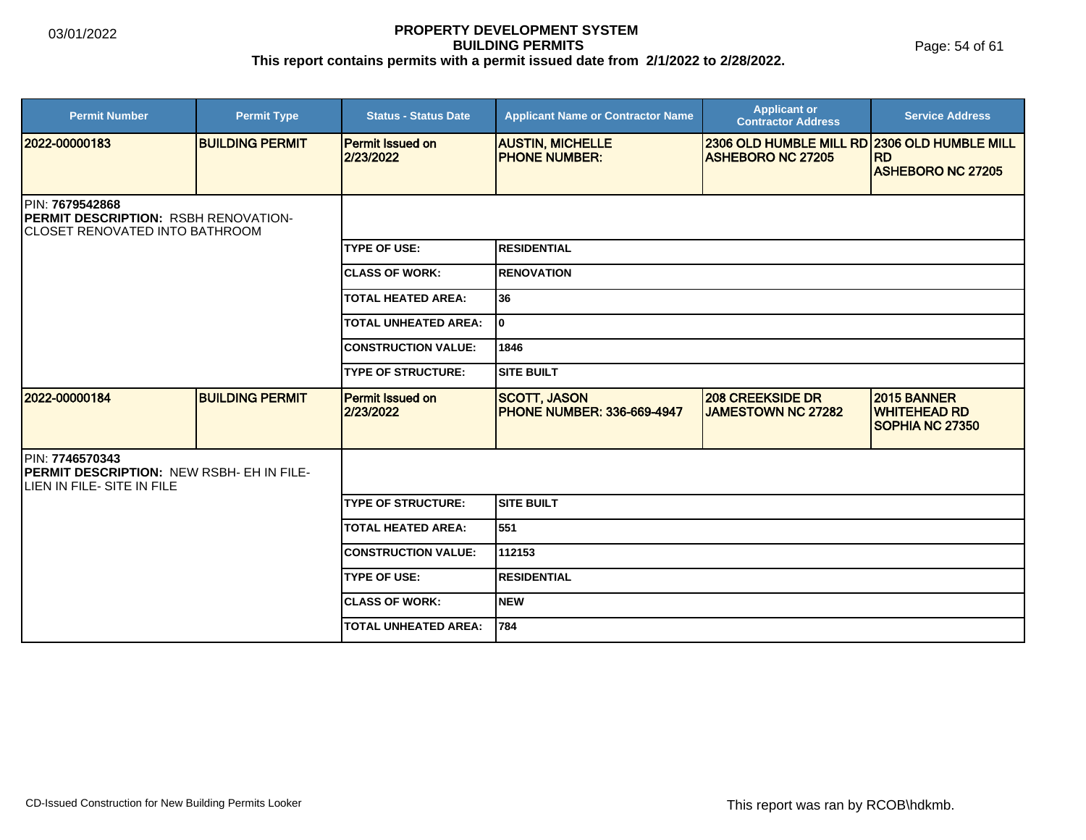| <b>Permit Number</b>                                                                        | <b>Permit Type</b>     | <b>Status - Status Date</b>          | <b>Applicant Name or Contractor Name</b>                 | <b>Applicant or</b><br><b>Contractor Address</b>                         | <b>Service Address</b>                                |  |  |
|---------------------------------------------------------------------------------------------|------------------------|--------------------------------------|----------------------------------------------------------|--------------------------------------------------------------------------|-------------------------------------------------------|--|--|
| 2022-00000183                                                                               | <b>BUILDING PERMIT</b> | <b>Permit Issued on</b><br>2/23/2022 | <b>AUSTIN, MICHELLE</b><br><b>PHONE NUMBER:</b>          | 2306 OLD HUMBLE MILL RD 2306 OLD HUMBLE MILL<br><b>ASHEBORO NC 27205</b> | <b>RD</b><br><b>ASHEBORO NC 27205</b>                 |  |  |
| PIN: 7679542868<br>PERMIT DESCRIPTION: RSBH RENOVATION-<br>ICLOSET RENOVATED INTO BATHROOM  |                        |                                      |                                                          |                                                                          |                                                       |  |  |
|                                                                                             |                        | <b>TYPE OF USE:</b>                  | <b>RESIDENTIAL</b>                                       |                                                                          |                                                       |  |  |
|                                                                                             |                        | <b>CLASS OF WORK:</b>                | <b>RENOVATION</b>                                        |                                                                          |                                                       |  |  |
|                                                                                             |                        | <b>TOTAL HEATED AREA:</b>            | 36                                                       |                                                                          |                                                       |  |  |
|                                                                                             |                        | <b>TOTAL UNHEATED AREA:</b>          | lo.                                                      |                                                                          |                                                       |  |  |
|                                                                                             |                        | <b>CONSTRUCTION VALUE:</b>           | 1846                                                     |                                                                          |                                                       |  |  |
|                                                                                             |                        | <b>TYPE OF STRUCTURE:</b>            | <b>SITE BUILT</b>                                        |                                                                          |                                                       |  |  |
| 2022-00000184                                                                               | <b>BUILDING PERMIT</b> | Permit Issued on<br>2/23/2022        | <b>SCOTT, JASON</b><br><b>PHONE NUMBER: 336-669-4947</b> | <b>208 CREEKSIDE DR</b><br><b>JAMESTOWN NC 27282</b>                     | 2015 BANNER<br><b>WHITEHEAD RD</b><br>SOPHIA NC 27350 |  |  |
| PIN: 7746570343<br>PERMIT DESCRIPTION: NEW RSBH- EH IN FILE-<br>ILIEN IN FILE- SITE IN FILE |                        |                                      |                                                          |                                                                          |                                                       |  |  |
|                                                                                             |                        | <b>TYPE OF STRUCTURE:</b>            | <b>SITE BUILT</b>                                        |                                                                          |                                                       |  |  |
|                                                                                             |                        | <b>TOTAL HEATED AREA:</b>            | 551                                                      |                                                                          |                                                       |  |  |
|                                                                                             |                        | <b>CONSTRUCTION VALUE:</b>           | 112153                                                   |                                                                          |                                                       |  |  |
|                                                                                             |                        | <b>TYPE OF USE:</b>                  | <b>RESIDENTIAL</b>                                       |                                                                          |                                                       |  |  |
|                                                                                             |                        | <b>CLASS OF WORK:</b>                | <b>NEW</b>                                               |                                                                          |                                                       |  |  |
|                                                                                             |                        | <b>TOTAL UNHEATED AREA:</b>          | 784                                                      |                                                                          |                                                       |  |  |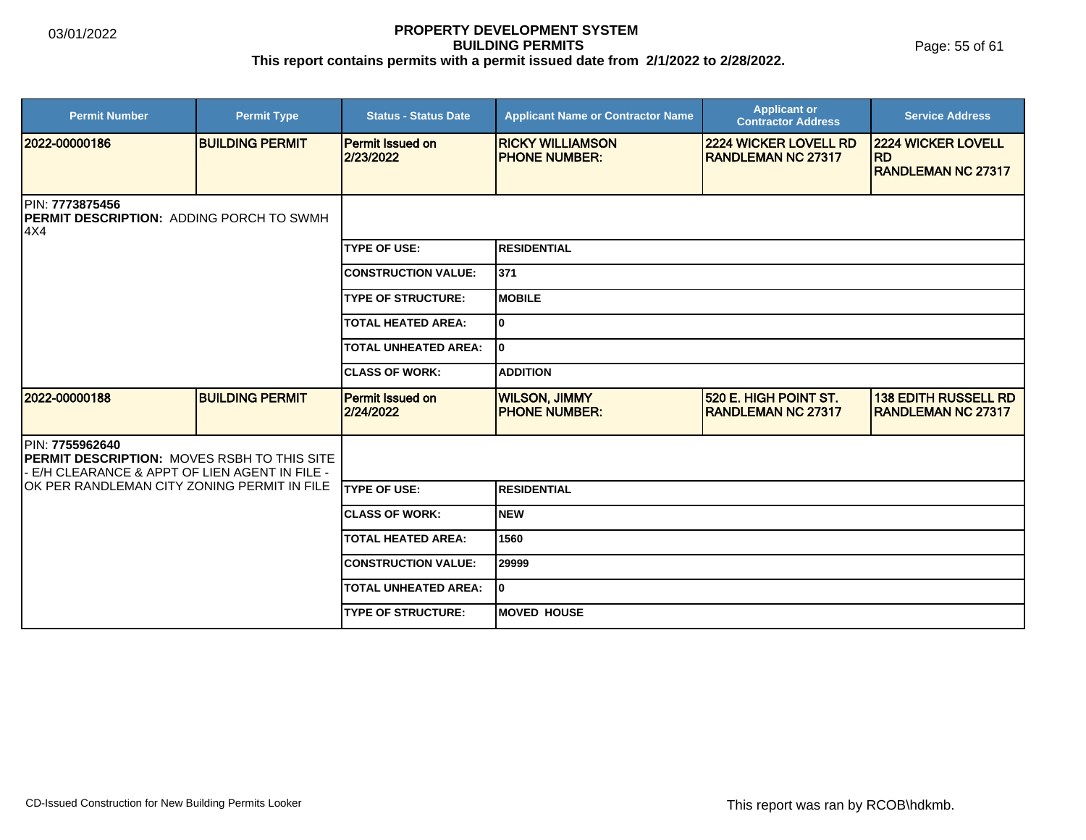| <b>Permit Number</b>                                                                                                  | <b>Permit Type</b>     | <b>Status - Status Date</b>          | <b>Applicant Name or Contractor Name</b>         | <b>Applicant or</b><br><b>Contractor Address</b>          | <b>Service Address</b>                                   |  |
|-----------------------------------------------------------------------------------------------------------------------|------------------------|--------------------------------------|--------------------------------------------------|-----------------------------------------------------------|----------------------------------------------------------|--|
| 2022-00000186                                                                                                         | <b>BUILDING PERMIT</b> | <b>Permit Issued on</b><br>2/23/2022 | <b>IRICKY WILLIAMSON</b><br><b>PHONE NUMBER:</b> | <b>2224 WICKER LOVELL RD</b><br><b>RANDLEMAN NC 27317</b> | <b>2224 WICKER LOVELL</b><br><b>RD</b>                   |  |
|                                                                                                                       |                        |                                      |                                                  |                                                           | <b>RANDLEMAN NC 27317</b>                                |  |
| PIN: 7773875456<br><b>PERMIT DESCRIPTION: ADDING PORCH TO SWMH</b><br>4X4                                             |                        |                                      |                                                  |                                                           |                                                          |  |
|                                                                                                                       |                        | <b>TYPE OF USE:</b>                  | <b>RESIDENTIAL</b>                               |                                                           |                                                          |  |
|                                                                                                                       |                        | <b>CONSTRUCTION VALUE:</b>           | 371                                              |                                                           |                                                          |  |
|                                                                                                                       |                        | <b>TYPE OF STRUCTURE:</b>            | <b>IMOBILE</b>                                   |                                                           |                                                          |  |
|                                                                                                                       |                        | <b>TOTAL HEATED AREA:</b>            | lo.                                              |                                                           |                                                          |  |
|                                                                                                                       |                        | <b>TOTAL UNHEATED AREA:</b>          | I٥                                               |                                                           |                                                          |  |
|                                                                                                                       |                        | <b>CLASS OF WORK:</b>                | <b>ADDITION</b>                                  |                                                           |                                                          |  |
| 2022-00000188                                                                                                         | <b>BUILDING PERMIT</b> | <b>Permit Issued on</b><br>2/24/2022 | <b>WILSON, JIMMY</b><br><b>IPHONE NUMBER:</b>    | 520 E. HIGH POINT ST.<br><b>RANDLEMAN NC 27317</b>        | <b>138 EDITH RUSSELL RD</b><br><b>RANDLEMAN NC 27317</b> |  |
| PIN: 7755962640<br><b>PERMIT DESCRIPTION: MOVES RSBH TO THIS SITE</b><br>E/H CLEARANCE & APPT OF LIEN AGENT IN FILE - |                        |                                      |                                                  |                                                           |                                                          |  |
| IOK PER RANDLEMAN CITY ZONING PERMIT IN FILE                                                                          |                        | <b>ITYPE OF USE:</b>                 | <b>RESIDENTIAL</b>                               |                                                           |                                                          |  |
|                                                                                                                       |                        | <b>CLASS OF WORK:</b>                | Inew                                             |                                                           |                                                          |  |
|                                                                                                                       |                        | <b>TOTAL HEATED AREA:</b>            | 1560                                             |                                                           |                                                          |  |
|                                                                                                                       |                        | <b>CONSTRUCTION VALUE:</b>           | 29999                                            |                                                           |                                                          |  |
|                                                                                                                       |                        | <b>TOTAL UNHEATED AREA:</b>          | I٥                                               |                                                           |                                                          |  |
|                                                                                                                       |                        | <b>TYPE OF STRUCTURE:</b>            | <b>MOVED HOUSE</b>                               |                                                           |                                                          |  |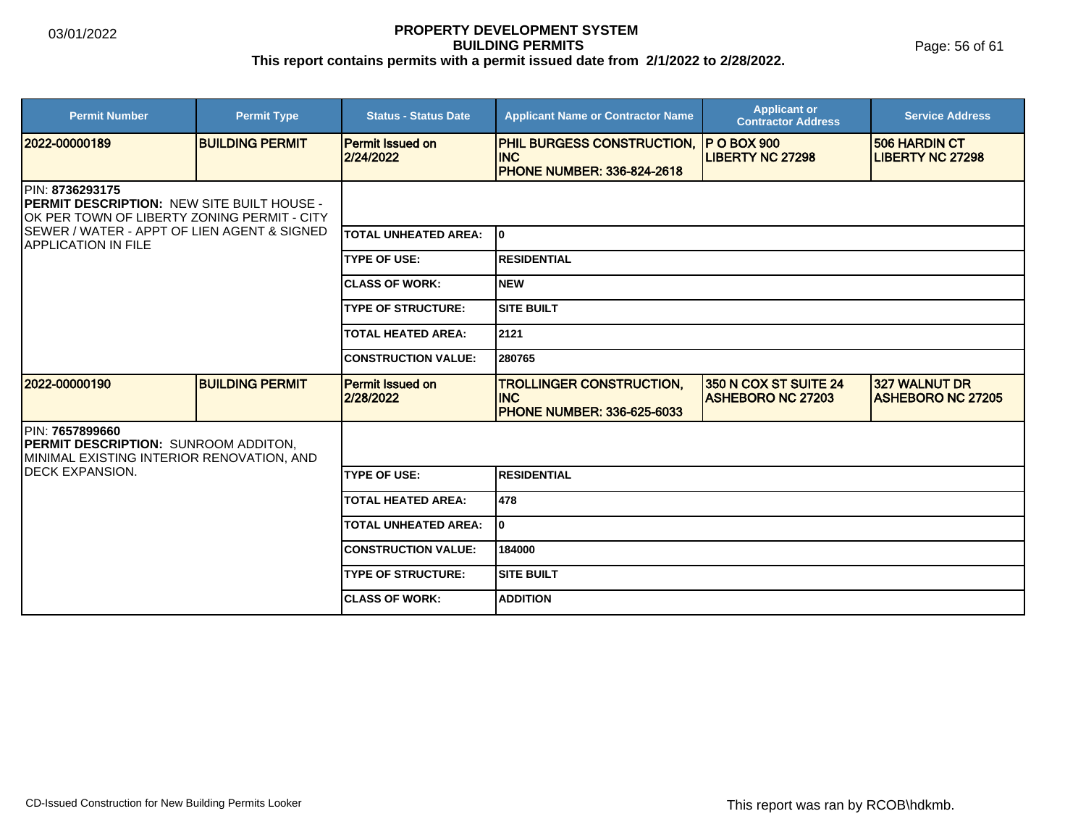Page: 56 of 61

| <b>Permit Number</b>                                                                                                 | <b>Permit Type</b>     | <b>Status - Status Date</b>          | <b>Applicant Name or Contractor Name</b>                                             | <b>Applicant or</b><br><b>Contractor Address</b>  | <b>Service Address</b>                          |  |
|----------------------------------------------------------------------------------------------------------------------|------------------------|--------------------------------------|--------------------------------------------------------------------------------------|---------------------------------------------------|-------------------------------------------------|--|
| 2022-00000189                                                                                                        | <b>BUILDING PERMIT</b> | <b>Permit Issued on</b><br>2/24/2022 | <b>PHIL BURGESS CONSTRUCTION,</b><br><b>INC</b><br><b>PHONE NUMBER: 336-824-2618</b> | <b>P O BOX 900</b><br><b>LIBERTY NC 27298</b>     | <b>506 HARDIN CT</b><br><b>LIBERTY NC 27298</b> |  |
| <b>IPIN: 8736293175</b><br>PERMIT DESCRIPTION: NEW SITE BUILT HOUSE -<br>OK PER TOWN OF LIBERTY ZONING PERMIT - CITY |                        |                                      |                                                                                      |                                                   |                                                 |  |
| SEWER / WATER - APPT OF LIEN AGENT & SIGNED<br><b>IAPPLICATION IN FILE</b>                                           |                        | <b>TOTAL UNHEATED AREA:</b>          | l0                                                                                   |                                                   |                                                 |  |
|                                                                                                                      |                        | <b>TYPE OF USE:</b>                  | IRESIDENTIAL                                                                         |                                                   |                                                 |  |
|                                                                                                                      |                        | <b>ICLASS OF WORK:</b>               | Inew                                                                                 |                                                   |                                                 |  |
|                                                                                                                      |                        | <b>TYPE OF STRUCTURE:</b>            | <b>SITE BUILT</b>                                                                    |                                                   |                                                 |  |
|                                                                                                                      |                        | <b>TOTAL HEATED AREA:</b>            | 2121                                                                                 |                                                   |                                                 |  |
|                                                                                                                      |                        | <b>CONSTRUCTION VALUE:</b>           | 280765                                                                               |                                                   |                                                 |  |
| 2022-00000190                                                                                                        | <b>BUILDING PERMIT</b> | <b>Permit Issued on</b><br>2/28/2022 | <b>TROLLINGER CONSTRUCTION,</b><br><b>INC</b><br><b>PHONE NUMBER: 336-625-6033</b>   | 350 N COX ST SUITE 24<br><b>ASHEBORO NC 27203</b> | 327 WALNUT DR<br><b>IASHEBORO NC 27205</b>      |  |
| PIN: 7657899660<br>PERMIT DESCRIPTION: SUNROOM ADDITON,<br>MINIMAL EXISTING INTERIOR RENOVATION, AND                 |                        |                                      |                                                                                      |                                                   |                                                 |  |
| DECK EXPANSION.                                                                                                      |                        | <b>TYPE OF USE:</b>                  | IRESIDENTIAL                                                                         |                                                   |                                                 |  |
|                                                                                                                      |                        | <b>TOTAL HEATED AREA:</b>            | 478                                                                                  |                                                   |                                                 |  |
|                                                                                                                      |                        | <b>TOTAL UNHEATED AREA:</b>          | I٥                                                                                   |                                                   |                                                 |  |
|                                                                                                                      |                        | <b>CONSTRUCTION VALUE:</b>           | 184000                                                                               |                                                   |                                                 |  |
|                                                                                                                      |                        | <b>TYPE OF STRUCTURE:</b>            | ISITE BUILT                                                                          |                                                   |                                                 |  |
|                                                                                                                      |                        | <b>ICLASS OF WORK:</b>               | <b>ADDITION</b>                                                                      |                                                   |                                                 |  |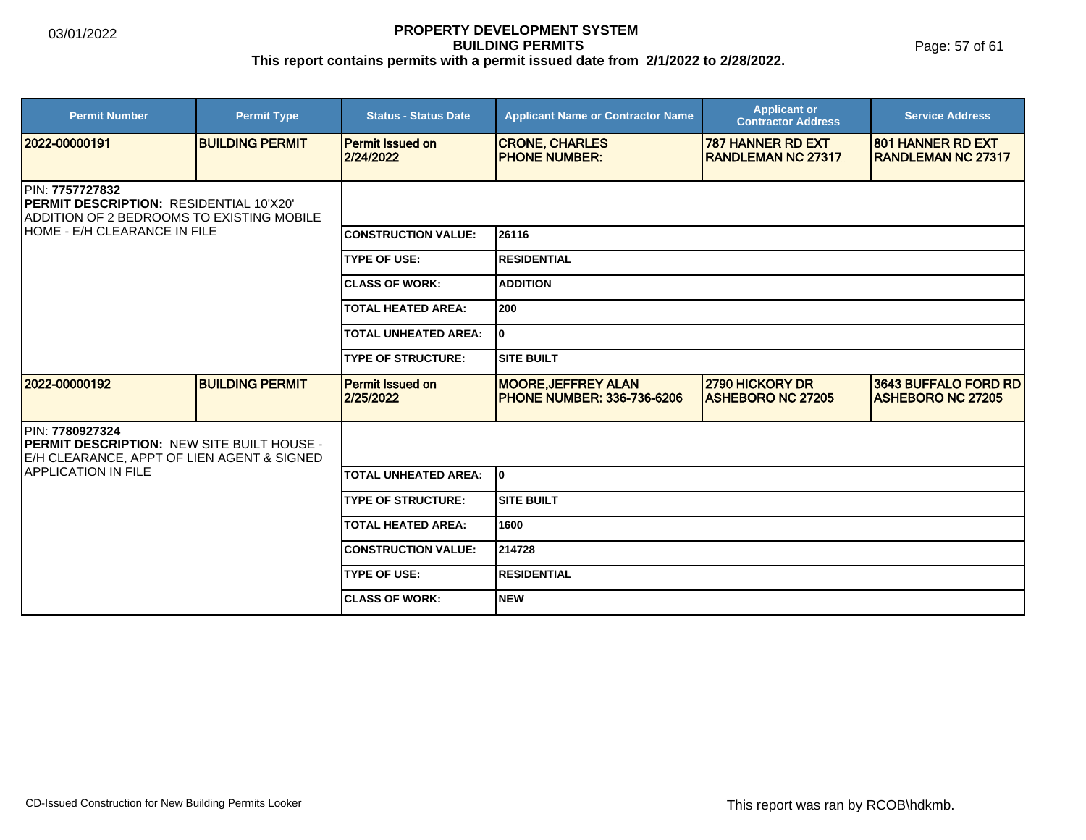| <b>Permit Number</b>                                                                                               | <b>Permit Type</b>     | <b>Status - Status Date</b>          | <b>Applicant Name or Contractor Name</b>                         | <b>Applicant or</b><br><b>Contractor Address</b>      | <b>Service Address</b>                            |  |  |
|--------------------------------------------------------------------------------------------------------------------|------------------------|--------------------------------------|------------------------------------------------------------------|-------------------------------------------------------|---------------------------------------------------|--|--|
| 12022-00000191                                                                                                     | <b>BUILDING PERMIT</b> | <b>Permit Issued on</b><br>2/24/2022 | <b>CRONE, CHARLES</b><br><b>PHONE NUMBER:</b>                    | <b>787 HANNER RD EXT</b><br><b>RANDLEMAN NC 27317</b> | 801 HANNER RD EXT<br><b>RANDLEMAN NC 27317</b>    |  |  |
| IPIN: 7757727832<br><b>IPERMIT DESCRIPTION: RESIDENTIAL 10'X20'</b><br>ADDITION OF 2 BEDROOMS TO EXISTING MOBILE   |                        |                                      |                                                                  |                                                       |                                                   |  |  |
| IHOME - E/H CLEARANCE IN FILE                                                                                      |                        | <b>CONSTRUCTION VALUE:</b>           | 26116                                                            |                                                       |                                                   |  |  |
|                                                                                                                    |                        | <b>TYPE OF USE:</b>                  | <b>RESIDENTIAL</b>                                               |                                                       |                                                   |  |  |
|                                                                                                                    |                        | <b>CLASS OF WORK:</b>                | <b>ADDITION</b>                                                  |                                                       |                                                   |  |  |
|                                                                                                                    |                        | <b>TOTAL HEATED AREA:</b>            | 200                                                              |                                                       |                                                   |  |  |
|                                                                                                                    |                        | <b>TOTAL UNHEATED AREA:</b>          | I٥                                                               |                                                       |                                                   |  |  |
|                                                                                                                    |                        | <b>TYPE OF STRUCTURE:</b>            | <b>SITE BUILT</b>                                                |                                                       |                                                   |  |  |
| 2022-00000192                                                                                                      | <b>BUILDING PERMIT</b> | <b>Permit Issued on</b><br>2/25/2022 | <b>MOORE, JEFFREY ALAN</b><br><b>IPHONE NUMBER: 336-736-6206</b> | 2790 HICKORY DR<br><b>IASHEBORO NC 27205</b>          | 3643 BUFFALO FORD RD<br><b>IASHEBORO NC 27205</b> |  |  |
| PIN: 7780927324<br><b>PERMIT DESCRIPTION: NEW SITE BUILT HOUSE -</b><br>E/H CLEARANCE, APPT OF LIEN AGENT & SIGNED |                        |                                      |                                                                  |                                                       |                                                   |  |  |
| <b>APPLICATION IN FILE</b>                                                                                         |                        | <b>TOTAL UNHEATED AREA:</b>          | lo.                                                              |                                                       |                                                   |  |  |
|                                                                                                                    |                        | <b>TYPE OF STRUCTURE:</b>            | <b>SITE BUILT</b>                                                |                                                       |                                                   |  |  |
|                                                                                                                    |                        | <b>TOTAL HEATED AREA:</b>            | 1600                                                             |                                                       |                                                   |  |  |
|                                                                                                                    |                        | <b>CONSTRUCTION VALUE:</b>           | 214728                                                           |                                                       |                                                   |  |  |
|                                                                                                                    |                        | <b>TYPE OF USE:</b>                  | <b>RESIDENTIAL</b>                                               |                                                       |                                                   |  |  |
|                                                                                                                    |                        | <b>CLASS OF WORK:</b>                | <b>NEW</b>                                                       |                                                       |                                                   |  |  |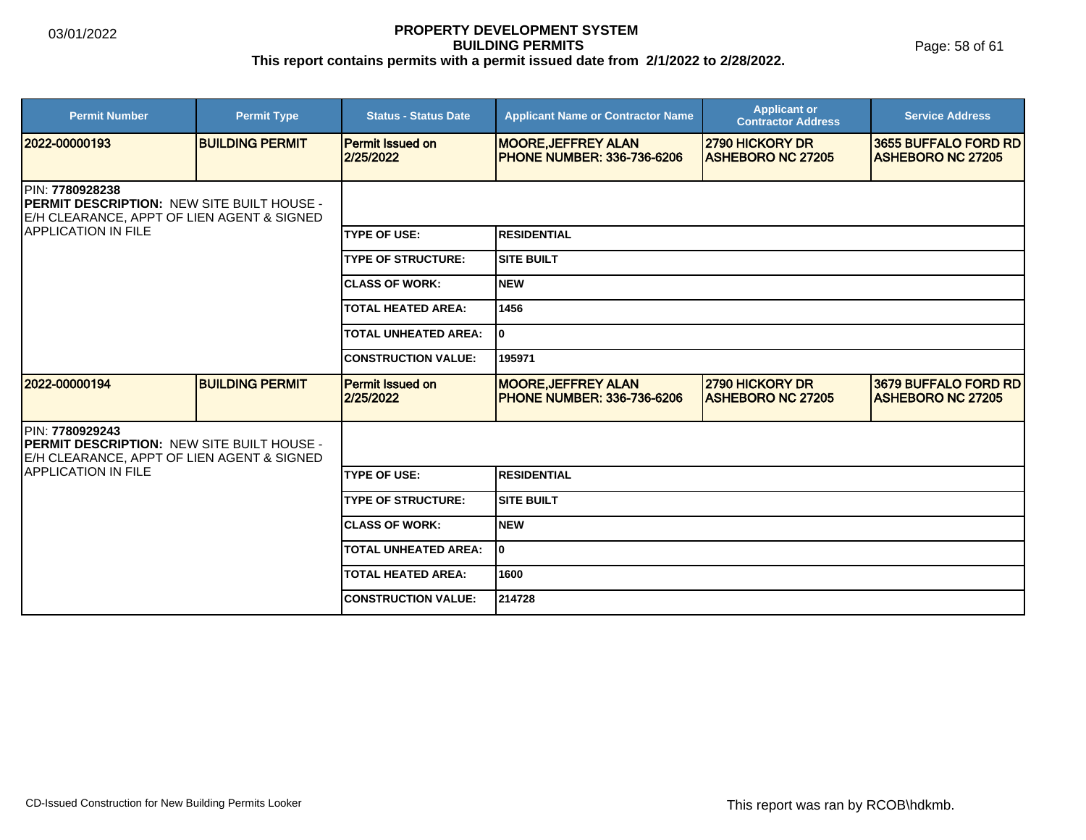Page: 58 of 61

| <b>Permit Number</b>                                                                                                                                       | <b>Permit Type</b>     | <b>Status - Status Date</b>          | <b>Applicant Name or Contractor Name</b>                        | <b>Applicant or</b><br><b>Contractor Address</b>   | <b>Service Address</b>                           |  |
|------------------------------------------------------------------------------------------------------------------------------------------------------------|------------------------|--------------------------------------|-----------------------------------------------------------------|----------------------------------------------------|--------------------------------------------------|--|
| 2022-00000193                                                                                                                                              | <b>BUILDING PERMIT</b> | <b>Permit Issued on</b><br>2/25/2022 | <b>MOORE, JEFFREY ALAN</b><br><b>PHONE NUMBER: 336-736-6206</b> | <b>2790 HICKORY DR</b><br><b>ASHEBORO NC 27205</b> | 3655 BUFFALO FORD RD<br><b>ASHEBORO NC 27205</b> |  |
| <b>IPIN: 7780928238</b><br><b>IPERMIT DESCRIPTION: NEW SITE BUILT HOUSE -</b><br>E/H CLEARANCE, APPT OF LIEN AGENT & SIGNED<br><b>IAPPLICATION IN FILE</b> |                        |                                      |                                                                 |                                                    |                                                  |  |
|                                                                                                                                                            |                        | <b>TYPE OF USE:</b>                  | <b>RESIDENTIAL</b>                                              |                                                    |                                                  |  |
|                                                                                                                                                            |                        | <b>TYPE OF STRUCTURE:</b>            | <b>SITE BUILT</b>                                               |                                                    |                                                  |  |
|                                                                                                                                                            |                        | <b>CLASS OF WORK:</b>                | <b>NEW</b>                                                      |                                                    |                                                  |  |
|                                                                                                                                                            |                        | <b>TOTAL HEATED AREA:</b>            | 1456                                                            |                                                    |                                                  |  |
|                                                                                                                                                            |                        | <b>TOTAL UNHEATED AREA:</b>          | $\mathbf{0}$                                                    |                                                    |                                                  |  |
|                                                                                                                                                            |                        | <b>CONSTRUCTION VALUE:</b>           | 195971                                                          |                                                    |                                                  |  |
| 2022-00000194                                                                                                                                              | <b>BUILDING PERMIT</b> | Permit Issued on<br>2/25/2022        | <b>MOORE, JEFFREY ALAN</b><br><b>PHONE NUMBER: 336-736-6206</b> | 2790 HICKORY DR<br><b>ASHEBORO NC 27205</b>        | 3679 BUFFALO FORD RD<br><b>ASHEBORO NC 27205</b> |  |
| PIN: 7780929243<br>PERMIT DESCRIPTION: NEW SITE BUILT HOUSE -<br>E/H CLEARANCE, APPT OF LIEN AGENT & SIGNED                                                |                        |                                      |                                                                 |                                                    |                                                  |  |
| <b>APPLICATION IN FILE</b>                                                                                                                                 |                        | <b>TYPE OF USE:</b>                  | <b>RESIDENTIAL</b>                                              |                                                    |                                                  |  |
|                                                                                                                                                            |                        | <b>TYPE OF STRUCTURE:</b>            | <b>SITE BUILT</b>                                               |                                                    |                                                  |  |
|                                                                                                                                                            |                        | <b>ICLASS OF WORK:</b>               | <b>NEW</b>                                                      |                                                    |                                                  |  |
|                                                                                                                                                            |                        | <b>TOTAL UNHEATED AREA:</b>          | ١o                                                              |                                                    |                                                  |  |
|                                                                                                                                                            |                        | <b>TOTAL HEATED AREA:</b>            | 1600                                                            |                                                    |                                                  |  |
|                                                                                                                                                            |                        | <b>CONSTRUCTION VALUE:</b>           | 214728                                                          |                                                    |                                                  |  |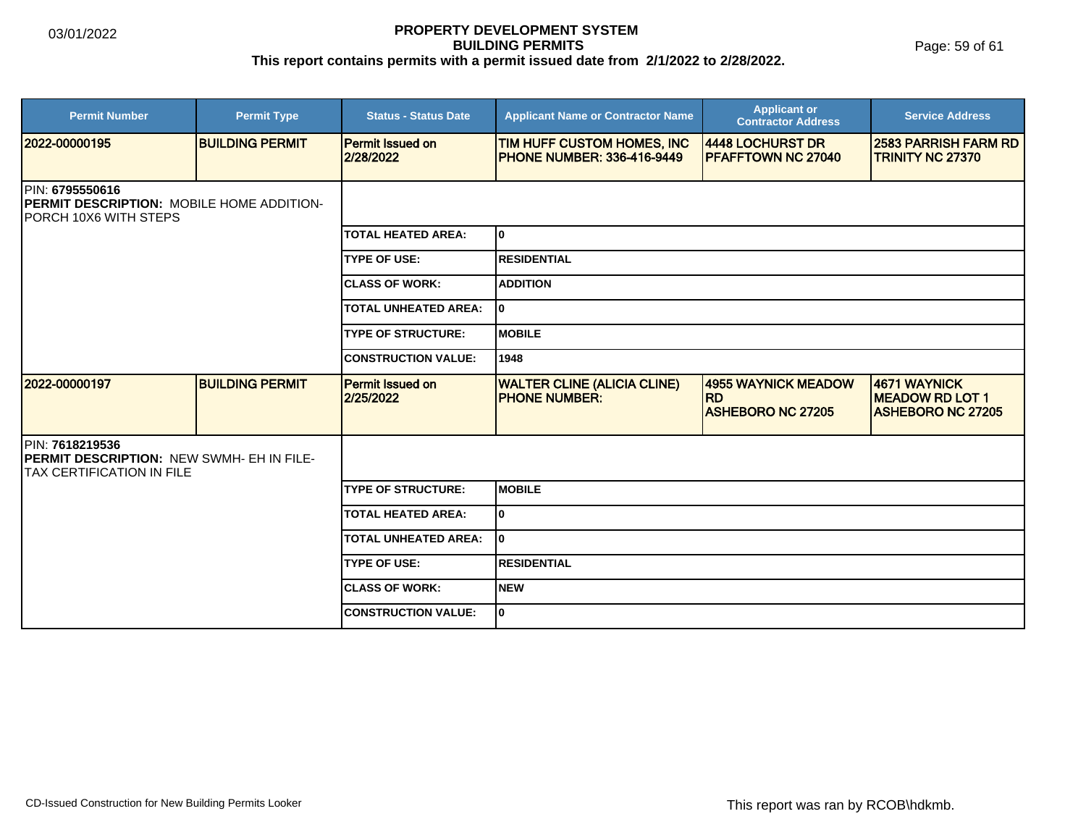Page: 59 of 61

| <b>Permit Number</b>                                                                                 | <b>Permit Type</b>     | <b>Status - Status Date</b>          | <b>Applicant Name or Contractor Name</b>                        | <b>Applicant or</b><br><b>Contractor Address</b>             | <b>Service Address</b>                                             |  |
|------------------------------------------------------------------------------------------------------|------------------------|--------------------------------------|-----------------------------------------------------------------|--------------------------------------------------------------|--------------------------------------------------------------------|--|
| 2022-00000195                                                                                        | <b>BUILDING PERMIT</b> | <b>Permit Issued on</b><br>2/28/2022 | TIM HUFF CUSTOM HOMES, INC<br><b>PHONE NUMBER: 336-416-9449</b> | 4448 LOCHURST DR<br><b>IPFAFFTOWN NC 27040</b>               | <b>2583 PARRISH FARM RD</b><br><b>TRINITY NC 27370</b>             |  |
| PIN: 6795550616<br><b>PERMIT DESCRIPTION: MOBILE HOME ADDITION-</b><br><b>IPORCH 10X6 WITH STEPS</b> |                        |                                      |                                                                 |                                                              |                                                                    |  |
|                                                                                                      |                        | <b>TOTAL HEATED AREA:</b>            | I٥                                                              |                                                              |                                                                    |  |
|                                                                                                      |                        | <b>TYPE OF USE:</b>                  | RESIDENTIAL                                                     |                                                              |                                                                    |  |
|                                                                                                      |                        | <b>CLASS OF WORK:</b>                | <b>ADDITION</b>                                                 |                                                              |                                                                    |  |
|                                                                                                      |                        | <b>TOTAL UNHEATED AREA:</b>          | I٥                                                              |                                                              |                                                                    |  |
|                                                                                                      |                        | <b>TYPE OF STRUCTURE:</b>            | <b>MOBILE</b>                                                   |                                                              |                                                                    |  |
|                                                                                                      |                        | <b>CONSTRUCTION VALUE:</b>           | 1948                                                            |                                                              |                                                                    |  |
| 2022-00000197                                                                                        | <b>BUILDING PERMIT</b> | <b>Permit Issued on</b><br>2/25/2022 | <b>WALTER CLINE (ALICIA CLINE)</b><br><b>PHONE NUMBER:</b>      | 4955 WAYNICK MEADOW<br><b>RD</b><br><b>ASHEBORO NC 27205</b> | 4671 WAYNICK<br><b>MEADOW RD LOT 1</b><br><b>ASHEBORO NC 27205</b> |  |
| PIN: 7618219536<br><b>IPERMIT DESCRIPTION: NEW SWMH- EH IN FILE-</b><br>ITAX CERTIFICATION IN FILE   |                        |                                      |                                                                 |                                                              |                                                                    |  |
|                                                                                                      |                        | <b>TYPE OF STRUCTURE:</b>            | IMOBILE                                                         |                                                              |                                                                    |  |
|                                                                                                      |                        | <b>TOTAL HEATED AREA:</b>            | lo.                                                             |                                                              |                                                                    |  |
|                                                                                                      |                        | <b>TOTAL UNHEATED AREA:</b>          | I٥                                                              |                                                              |                                                                    |  |
|                                                                                                      |                        | <b>TYPE OF USE:</b>                  | <b>RESIDENTIAL</b>                                              |                                                              |                                                                    |  |
|                                                                                                      |                        | <b>CLASS OF WORK:</b>                | <b>NEW</b>                                                      |                                                              |                                                                    |  |
|                                                                                                      |                        | <b>CONSTRUCTION VALUE:</b>           | I٥                                                              |                                                              |                                                                    |  |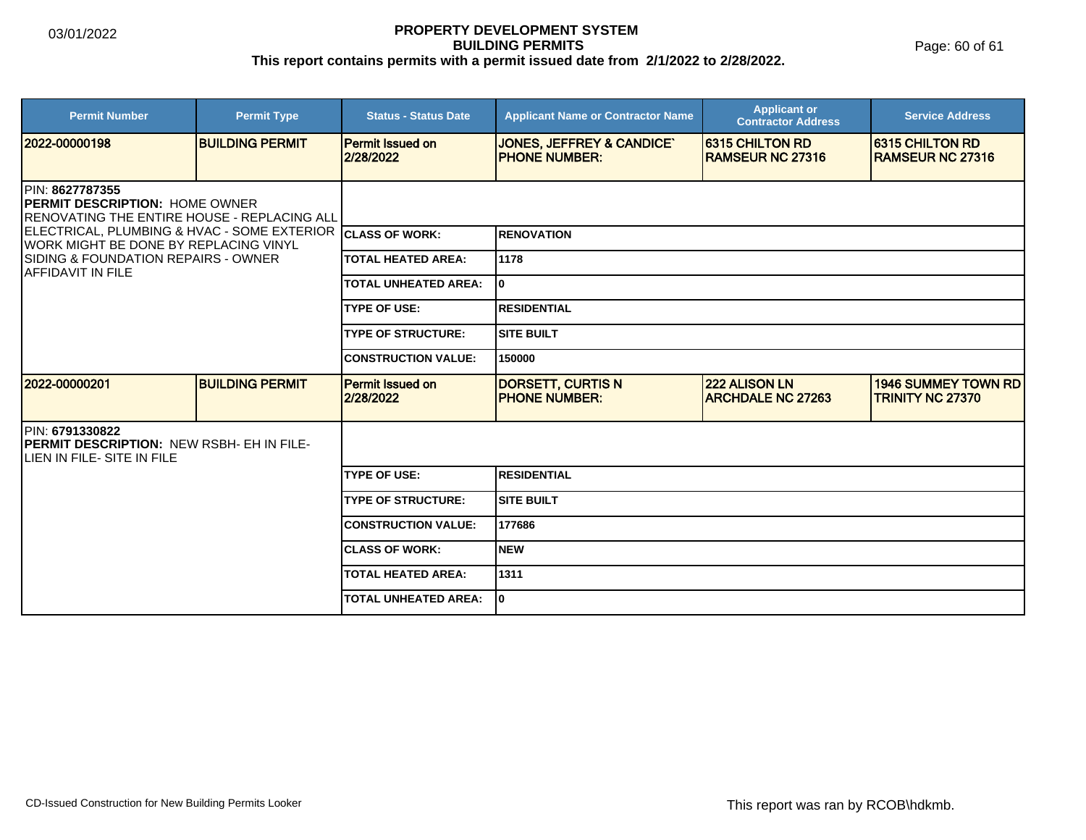Page: 60 of 61

| <b>Permit Number</b>                                                                                                                                                                                                                   | <b>Permit Type</b>     | <b>Status - Status Date</b>          | <b>Applicant Name or Contractor Name</b>                     | <b>Applicant or</b><br><b>Contractor Address</b>  | <b>Service Address</b>                                |
|----------------------------------------------------------------------------------------------------------------------------------------------------------------------------------------------------------------------------------------|------------------------|--------------------------------------|--------------------------------------------------------------|---------------------------------------------------|-------------------------------------------------------|
| 12022-00000198                                                                                                                                                                                                                         | <b>BUILDING PERMIT</b> | <b>Permit Issued on</b><br>2/28/2022 | <b>JONES, JEFFREY &amp; CANDICE'</b><br><b>PHONE NUMBER:</b> | <b>6315 CHILTON RD</b><br><b>RAMSEUR NC 27316</b> | 6315 CHILTON RD<br><b>IRAMSEUR NC 27316</b>           |
| <b>IPIN: 8627787355</b><br><b>PERMIT DESCRIPTION: HOME OWNER</b><br><b>IRENOVATING THE ENTIRE HOUSE - REPLACING ALL</b><br>ELECTRICAL, PLUMBING & HVAC - SOME EXTERIOR CLASS OF WORK:<br><b>IWORK MIGHT BE DONE BY REPLACING VINYL</b> |                        |                                      |                                                              |                                                   |                                                       |
|                                                                                                                                                                                                                                        |                        |                                      | <b>RENOVATION</b>                                            |                                                   |                                                       |
| <b>SIDING &amp; FOUNDATION REPAIRS - OWNER</b><br><b>IAFFIDAVIT IN FILE</b>                                                                                                                                                            |                        | <b>TOTAL HEATED AREA:</b>            | 1178<br>I٥<br><b>RESIDENTIAL</b>                             |                                                   |                                                       |
|                                                                                                                                                                                                                                        |                        | <b>TOTAL UNHEATED AREA:</b>          |                                                              |                                                   |                                                       |
|                                                                                                                                                                                                                                        |                        | <b>TYPE OF USE:</b>                  |                                                              |                                                   |                                                       |
|                                                                                                                                                                                                                                        |                        | <b>TYPE OF STRUCTURE:</b>            | ISITE BUILT                                                  |                                                   |                                                       |
|                                                                                                                                                                                                                                        |                        | <b>CONSTRUCTION VALUE:</b>           | 150000                                                       |                                                   |                                                       |
| 12022-00000201                                                                                                                                                                                                                         | <b>BUILDING PERMIT</b> | <b>Permit Issued on</b><br>2/28/2022 | <b>DORSETT, CURTIS N</b><br><b>IPHONE NUMBER:</b>            | <b>222 ALISON LN</b><br><b>ARCHDALE NC 27263</b>  | <b>1946 SUMMEY TOWN RD</b><br><b>TRINITY NC 27370</b> |
| PIN: 6791330822<br><b>IPERMIT DESCRIPTION: NEW RSBH- EH IN FILE-</b><br>ILIEN IN FILE- SITE IN FILE                                                                                                                                    |                        |                                      |                                                              |                                                   |                                                       |
|                                                                                                                                                                                                                                        |                        | <b>TYPE OF USE:</b>                  | <b>RESIDENTIAL</b>                                           |                                                   |                                                       |
|                                                                                                                                                                                                                                        |                        | <b>TYPE OF STRUCTURE:</b>            | <b>SITE BUILT</b>                                            |                                                   |                                                       |
|                                                                                                                                                                                                                                        |                        | <b>CONSTRUCTION VALUE:</b>           | 177686                                                       |                                                   |                                                       |
|                                                                                                                                                                                                                                        |                        | <b>CLASS OF WORK:</b>                | Inew                                                         |                                                   |                                                       |
|                                                                                                                                                                                                                                        |                        | <b>TOTAL HEATED AREA:</b>            | 1311                                                         |                                                   |                                                       |
|                                                                                                                                                                                                                                        |                        | <b>TOTAL UNHEATED AREA:</b>          | I٥                                                           |                                                   |                                                       |